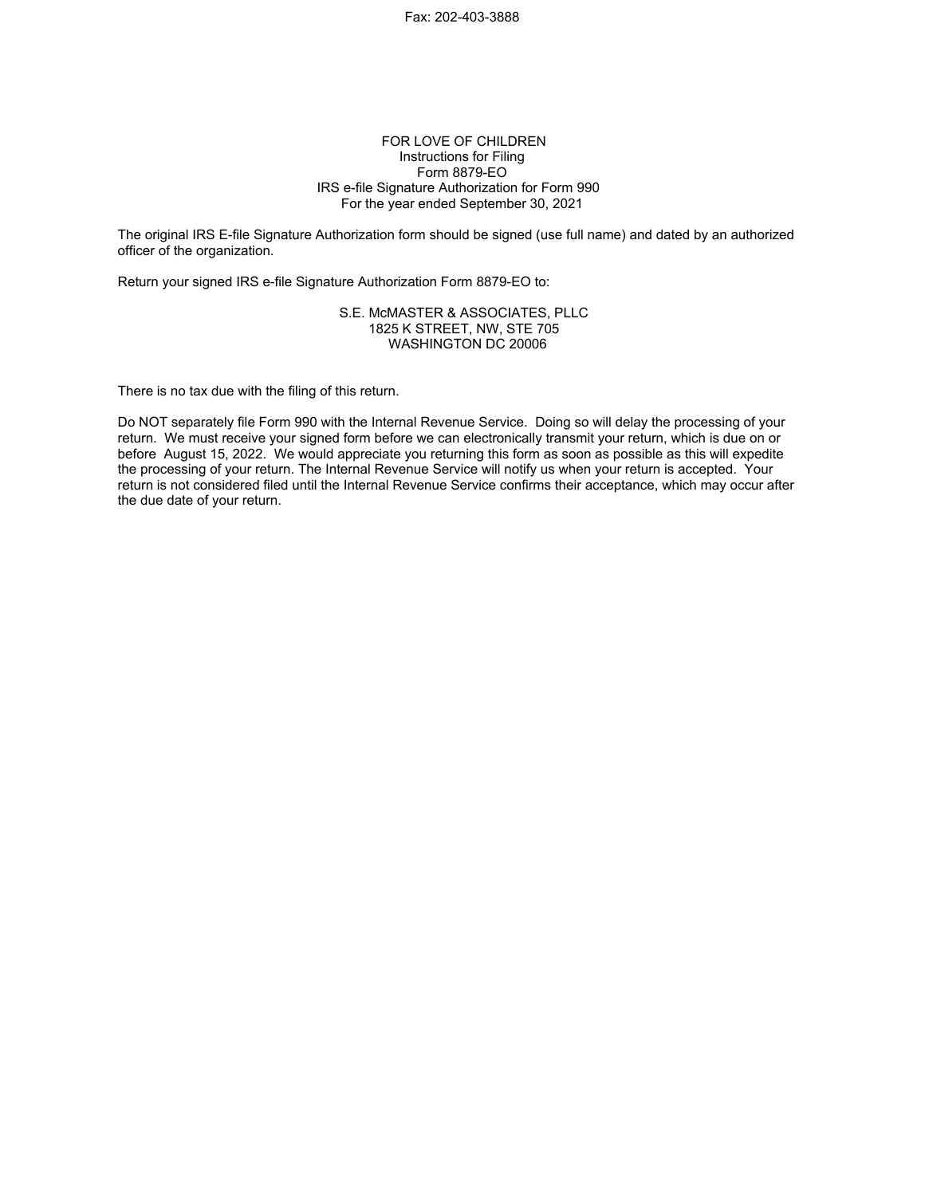### FOR LOVE OF CHILDREN Instructions for Filing Form 8879-EO IRS e-file Signature Authorization for Form 990 For the year ended September 30, 2021

The original IRS E-file Signature Authorization form should be signed (use full name) and dated by an authorized officer of the organization.

Return your signed IRS e-file Signature Authorization Form 8879-EO to:

### S.E. McMASTER & ASSOCIATES, PLLC 1825 K STREET, NW, STE 705 WASHINGTON DC 20006

There is no tax due with the filing of this return.

Do NOT separately file Form 990 with the Internal Revenue Service. Doing so will delay the processing of your return. We must receive your signed form before we can electronically transmit your return, which is due on or before August 15, 2022. We would appreciate you returning this form as soon as possible as this will expedite the processing of your return. The Internal Revenue Service will notify us when your return is accepted. Your return is not considered filed until the Internal Revenue Service confirms their acceptance, which may occur after the due date of your return.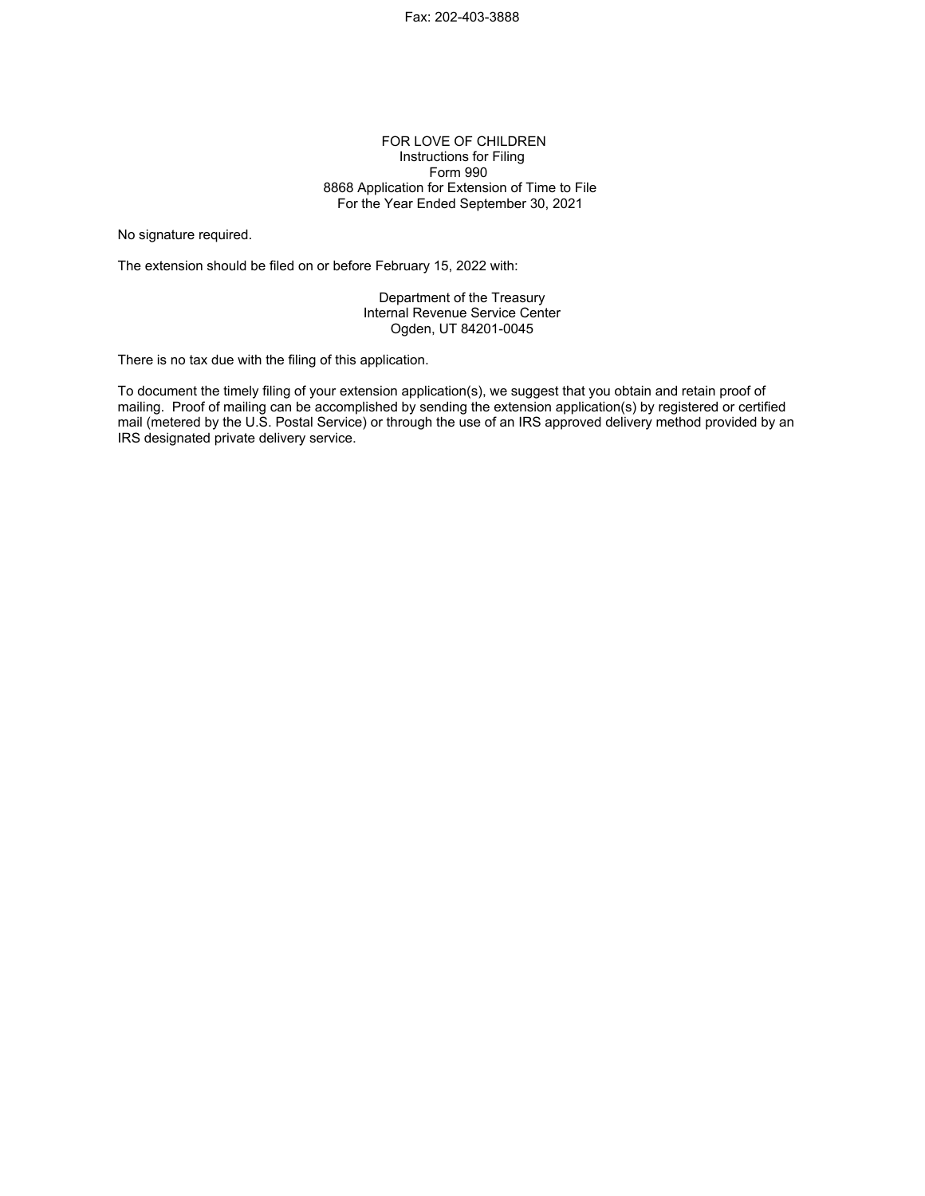### FOR LOVE OF CHILDREN Instructions for Filing Form 990 8868 Application for Extension of Time to File For the Year Ended September 30, 2021

No signature required.

The extension should be filed on or before February 15, 2022 with:

Department of the Treasury Internal Revenue Service Center Ogden, UT 84201-0045

There is no tax due with the filing of this application.

To document the timely filing of your extension application(s), we suggest that you obtain and retain proof of mailing. Proof of mailing can be accomplished by sending the extension application(s) by registered or certified mail (metered by the U.S. Postal Service) or through the use of an IRS approved delivery method provided by an IRS designated private delivery service.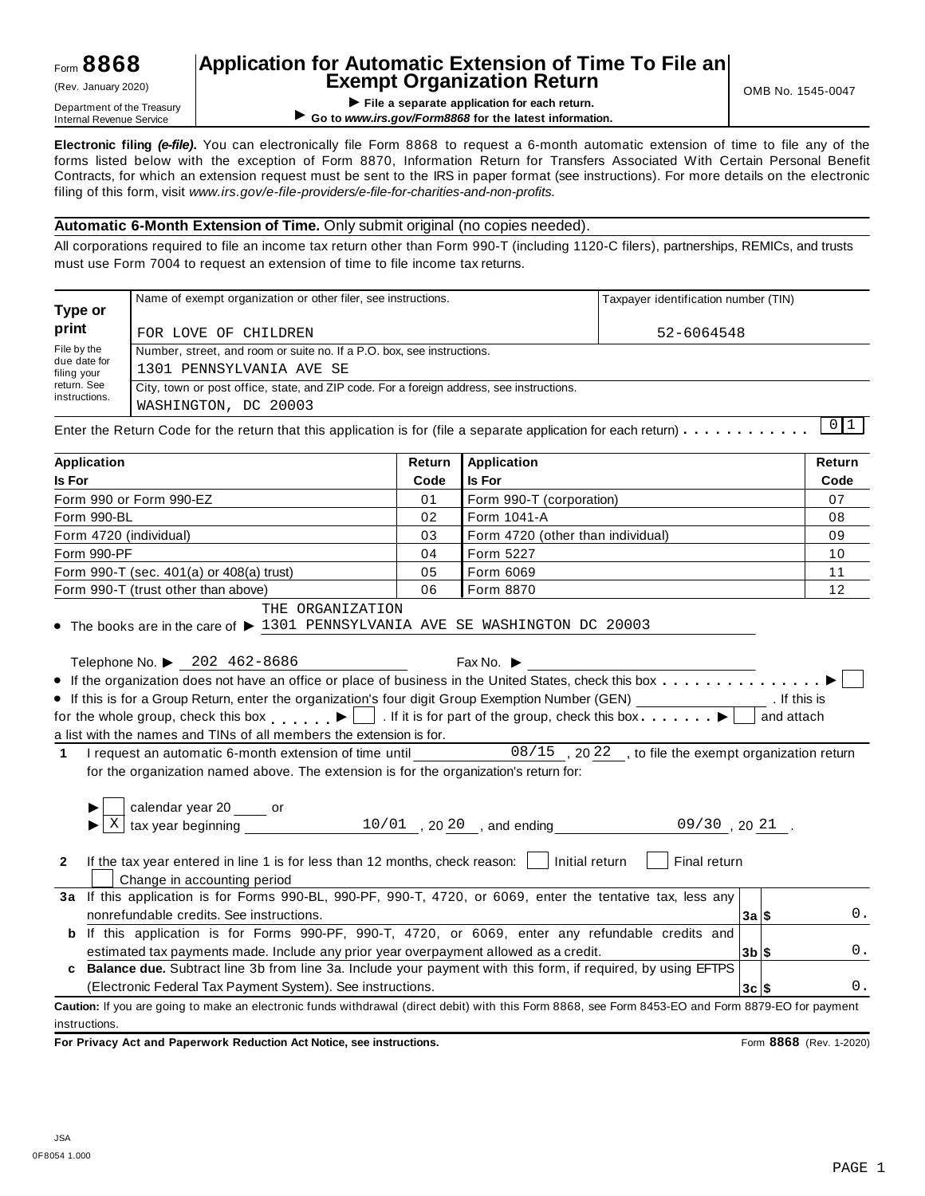## **Application for Automatic Extension of Time To File an Exempt Organization Return** (Rev. January 2020) OMB No. 1545-0047

**I FILERTIFIC SETTIPL SEPARATE IS A RETURN THEORY OF SEPARATE SEPARATE SEPARATE SEPARATE SEPARATE SEPARATE SEPARATE SEPARATE SEPARATE SEPARATE SEPARATE SEPARATE SEPARATE SEPARATE SEPARATE SEPARATE SEPARATE SEPARATE SEPARAT** ▶ Go to www.irs.gov/Form8868 for the latest information.

**Electronic filing** *(e-file)***.** You can electronically file Form 8868 to request a 6-month automatic extension of time to file any of the forms listed below with the exception of Form 8870, Information Return for Transfers Associated With Certain Personal Benefit Contracts, for which an extension request must be sent to the IRS in paper format (see instructions). For more details on the electronic filing of this form, visit *www.irs.gov/e-file-providers/e-file-for-charities-and-non-profits.*

### **Automatic 6-Month Extension of Time.** Only submit original (no copies needed).

All corporations required to file an income tax return other than Form 990-T (including 1120-C filers), partnerships, REMICs, and trusts must use Form 7004 to request an extension of time to file income tax returns.

|                                            | Name of exempt organization or other filer, see instructions.                                                                          |        |                                   | Taxpayer identification number (TIN) |        |
|--------------------------------------------|----------------------------------------------------------------------------------------------------------------------------------------|--------|-----------------------------------|--------------------------------------|--------|
| Type or<br>print                           | FOR LOVE OF CHILDREN                                                                                                                   |        |                                   | 52-6064548                           |        |
| File by the<br>due date for<br>filing your | Number, street, and room or suite no. If a P.O. box, see instructions.<br>1301 PENNSYLVANIA AVE SE                                     |        |                                   |                                      |        |
| return. See<br>instructions.               | City, town or post office, state, and ZIP code. For a foreign address, see instructions.<br>WASHINGTON, DC 20003                       |        |                                   |                                      |        |
|                                            | Enter the Return Code for the return that this application is for (file a separate application for each return) $\ldots \ldots \ldots$ |        |                                   |                                      | 0 1    |
| <b>Application</b>                         |                                                                                                                                        | Return | <b>Application</b>                |                                      | Return |
| Is For                                     |                                                                                                                                        | Code   | <b>Is For</b>                     |                                      | Code   |
|                                            | Form 990 or Form 990-EZ                                                                                                                | 01     | Form 990-T (corporation)          |                                      | 07     |
| Form 990-BL                                |                                                                                                                                        | 02     | Form 1041-A                       |                                      | 08     |
| Form 4720 (individual)                     |                                                                                                                                        | 03     | Form 4720 (other than individual) |                                      | 09     |
| Form 990-PF                                |                                                                                                                                        | 04     | Form 5227                         |                                      | 10     |
|                                            | Form 990-T (sec. 401(a) or 408(a) trust)                                                                                               | 05     | Form 6069                         |                                      | 11     |
|                                            | Form 990-T (trust other than above)                                                                                                    | 06     | Form 8870                         |                                      | 12     |
|                                            | THE ORGANIZATION<br>$\bullet$ The books are in the care of $\blacktriangleright$ 1301 PENNSYLVANIA AVE SE WASHINGTON DC 20003          |        |                                   |                                      |        |
|                                            |                                                                                                                                        |        |                                   |                                      |        |

|             |  | Telephone No. $\triangleright$ 202 462-8686                                                                   | Fax No. $\blacktriangleright$ |                                                        |              |
|-------------|--|---------------------------------------------------------------------------------------------------------------|-------------------------------|--------------------------------------------------------|--------------|
|             |  |                                                                                                               |                               |                                                        |              |
|             |  | • If this is for a Group Return, enter the organization's four digit Group Exemption Number (GEN)             |                               |                                                        | . If this is |
|             |  | for the whole group, check this box $\Box$ . If it is for part of the group, check this box $\Box$ and attach |                               |                                                        |              |
|             |  | a list with the names and TINs of all members the extension is for.                                           |                               |                                                        |              |
| $\mathbf 1$ |  | I request an automatic 6-month extension of time until                                                        |                               | $08/15$ , 2022, to file the exempt organization return |              |
|             |  | for the organization named above. The extension is for the organization's return for:                         |                               |                                                        |              |
|             |  |                                                                                                               |                               |                                                        |              |

|                | calendar year $20$ _____ or<br>tax year beginning                                                                                                  |          |    |
|----------------|----------------------------------------------------------------------------------------------------------------------------------------------------|----------|----|
|                | 10/01, 20 20, and ending<br>$09/30$ , 20 21.                                                                                                       |          |    |
| $\overline{2}$ | If the tax year entered in line 1 is for less than 12 months, check reason:<br>Initial return<br>Final return<br>Change in accounting period       |          |    |
| За             | If this application is for Forms 990-BL, 990-PF, 990-T, 4720, or 6069, enter the tentative tax, less any                                           |          |    |
|                | nonrefundable credits. See instructions.                                                                                                           | 3a S     | 0. |
| b              | this application is for Forms 990-PF, 990-T, 4720, or 6069, enter any refundable credits and                                                       |          |    |
|                | estimated tax payments made. Include any prior year overpayment allowed as a credit.                                                               | $3b$ $s$ | 0. |
| C.             | <b>Balance due.</b> Subtract line 3b from line 3a. Include your payment with this form, if required, by using EFTPS                                |          |    |
|                | (Electronic Federal Tax Payment System). See instructions.                                                                                         | $3c$ $s$ | 0. |
|                | Caution: If you are going to make an electronic funds withdrawal (direct debit) with this Form 8868, see Form 8453-EO and Form 8879-EO for payment |          |    |
|                | instructions.                                                                                                                                      |          |    |

**For Privacy Act and Paperwork Reduction Act Notice, see instructions.** Form **8868** (Rev. 1-2020)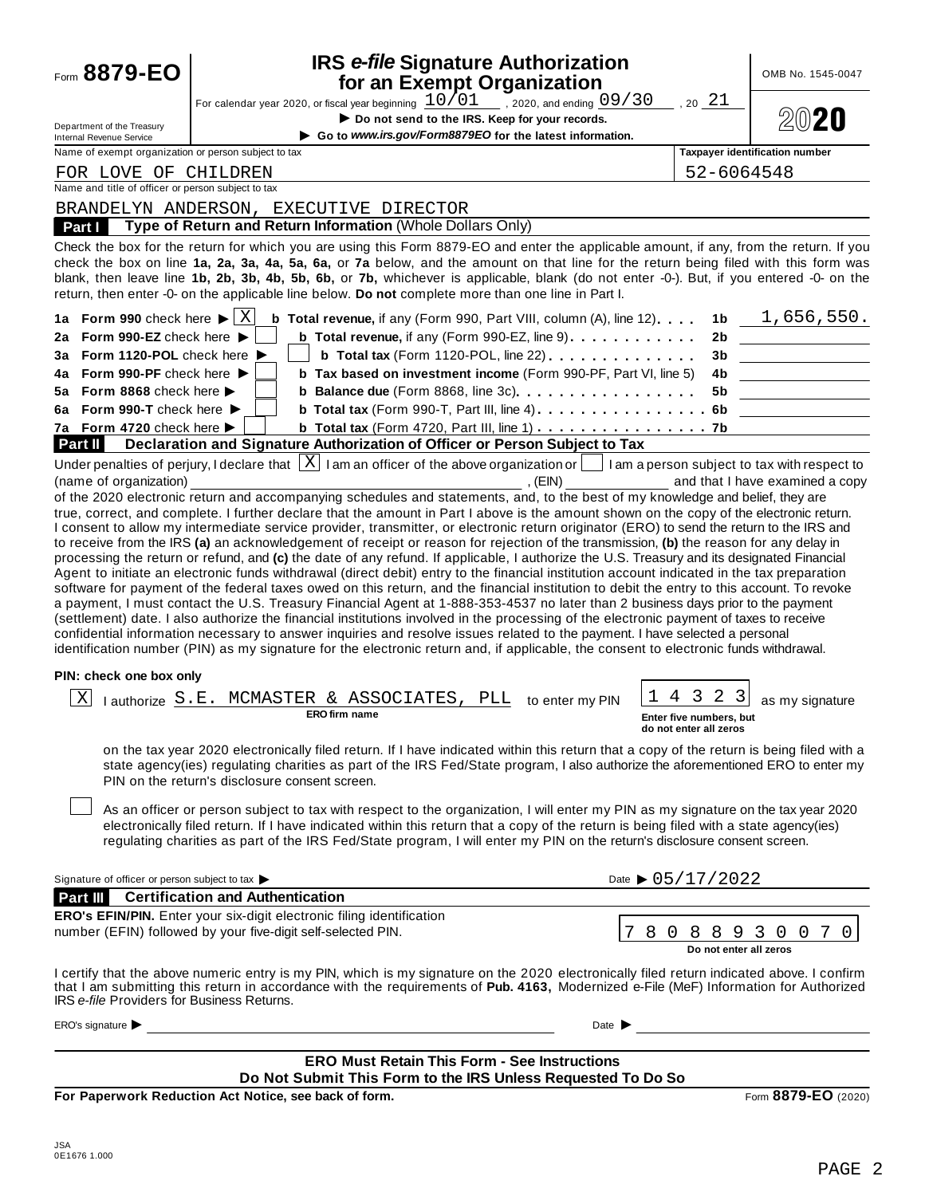| Form 8879-EO                                          | <b>IRS e-file Signature Authorization</b><br>for an Exempt Organization                                                                                                                                                                                                                                                                                                                                                                                                                                                                                                                                                                                                                                                                                                                                                                                                                                                                                                                                                                                                                                                                                                                                                                                                                |                                                              | OMB No. 1545-0047                                    |
|-------------------------------------------------------|----------------------------------------------------------------------------------------------------------------------------------------------------------------------------------------------------------------------------------------------------------------------------------------------------------------------------------------------------------------------------------------------------------------------------------------------------------------------------------------------------------------------------------------------------------------------------------------------------------------------------------------------------------------------------------------------------------------------------------------------------------------------------------------------------------------------------------------------------------------------------------------------------------------------------------------------------------------------------------------------------------------------------------------------------------------------------------------------------------------------------------------------------------------------------------------------------------------------------------------------------------------------------------------|--------------------------------------------------------------|------------------------------------------------------|
|                                                       | For calendar year 2020, or fiscal year beginning $\frac{10/01}{\sqrt{2}}$ , 2020, and ending $\frac{09/30}{\sqrt{2}}$                                                                                                                                                                                                                                                                                                                                                                                                                                                                                                                                                                                                                                                                                                                                                                                                                                                                                                                                                                                                                                                                                                                                                                  | 2021                                                         |                                                      |
| Department of the Treasury                            | Do not send to the IRS. Keep for your records.                                                                                                                                                                                                                                                                                                                                                                                                                                                                                                                                                                                                                                                                                                                                                                                                                                                                                                                                                                                                                                                                                                                                                                                                                                         |                                                              |                                                      |
| Internal Revenue Service                              | Go to www.irs.gov/Form8879EO for the latest information.                                                                                                                                                                                                                                                                                                                                                                                                                                                                                                                                                                                                                                                                                                                                                                                                                                                                                                                                                                                                                                                                                                                                                                                                                               |                                                              |                                                      |
| Name of exempt organization or person subject to tax  |                                                                                                                                                                                                                                                                                                                                                                                                                                                                                                                                                                                                                                                                                                                                                                                                                                                                                                                                                                                                                                                                                                                                                                                                                                                                                        |                                                              | <b>Taxpayer identification number</b>                |
| FOR LOVE OF CHILDREN                                  |                                                                                                                                                                                                                                                                                                                                                                                                                                                                                                                                                                                                                                                                                                                                                                                                                                                                                                                                                                                                                                                                                                                                                                                                                                                                                        |                                                              | 52-6064548                                           |
| Name and title of officer or person subject to tax    |                                                                                                                                                                                                                                                                                                                                                                                                                                                                                                                                                                                                                                                                                                                                                                                                                                                                                                                                                                                                                                                                                                                                                                                                                                                                                        |                                                              |                                                      |
|                                                       | BRANDELYN ANDERSON, EXECUTIVE DIRECTOR                                                                                                                                                                                                                                                                                                                                                                                                                                                                                                                                                                                                                                                                                                                                                                                                                                                                                                                                                                                                                                                                                                                                                                                                                                                 |                                                              |                                                      |
| Part I                                                | Type of Return and Return Information (Whole Dollars Only)                                                                                                                                                                                                                                                                                                                                                                                                                                                                                                                                                                                                                                                                                                                                                                                                                                                                                                                                                                                                                                                                                                                                                                                                                             |                                                              |                                                      |
|                                                       | Check the box for the return for which you are using this Form 8879-EO and enter the applicable amount, if any, from the return. If you<br>check the box on line 1a, 2a, 3a, 4a, 5a, 6a, or 7a below, and the amount on that line for the return being filed with this form was<br>blank, then leave line 1b, 2b, 3b, 4b, 5b, 6b, or 7b, whichever is applicable, blank (do not enter -0-). But, if you entered -0- on the<br>return, then enter -0- on the applicable line below. Do not complete more than one line in Part I.                                                                                                                                                                                                                                                                                                                                                                                                                                                                                                                                                                                                                                                                                                                                                       |                                                              |                                                      |
| 1a Form 990 check here $\blacktriangleright$ $\mid$ X | <b>b</b> Total revenue, if any (Form 990, Part VIII, column $(A)$ , line 12)                                                                                                                                                                                                                                                                                                                                                                                                                                                                                                                                                                                                                                                                                                                                                                                                                                                                                                                                                                                                                                                                                                                                                                                                           | 1 <sub>b</sub>                                               | 1,656,550.                                           |
| 2a Form 990-EZ check here ▶                           | <b>b</b> Total revenue, if any (Form 990-EZ, line 9) $\ldots$ ,,,,,,,,,,,                                                                                                                                                                                                                                                                                                                                                                                                                                                                                                                                                                                                                                                                                                                                                                                                                                                                                                                                                                                                                                                                                                                                                                                                              | 2b                                                           |                                                      |
| 3a Form 1120-POL check here ▶                         | <b>b</b> Total tax (Form 1120-POL, line 22) $\ldots$                                                                                                                                                                                                                                                                                                                                                                                                                                                                                                                                                                                                                                                                                                                                                                                                                                                                                                                                                                                                                                                                                                                                                                                                                                   | 3b                                                           |                                                      |
| 4a Form 990-PF check here                             | b Tax based on investment income (Form 990-PF, Part VI, line 5)                                                                                                                                                                                                                                                                                                                                                                                                                                                                                                                                                                                                                                                                                                                                                                                                                                                                                                                                                                                                                                                                                                                                                                                                                        | 4b                                                           |                                                      |
| 5a Form 8868 check here $\blacktriangleright$         | <b>b</b> Balance due (Form 8868, line 3c). $\ldots$ ,                                                                                                                                                                                                                                                                                                                                                                                                                                                                                                                                                                                                                                                                                                                                                                                                                                                                                                                                                                                                                                                                                                                                                                                                                                  | 5b                                                           |                                                      |
| 6a Form 990-T check here $\blacktriangleright$        | <b>b</b> Total tax (Form 990-T, Part III, line 4) $\ldots$ ,,,,,,,,,,,,,,,6b                                                                                                                                                                                                                                                                                                                                                                                                                                                                                                                                                                                                                                                                                                                                                                                                                                                                                                                                                                                                                                                                                                                                                                                                           |                                                              |                                                      |
| 7a Form 4720 check here ▶                             | b Total tax (Form 4720, Part III, line 1) 7b                                                                                                                                                                                                                                                                                                                                                                                                                                                                                                                                                                                                                                                                                                                                                                                                                                                                                                                                                                                                                                                                                                                                                                                                                                           |                                                              |                                                      |
| <b>Part II</b>                                        | Declaration and Signature Authorization of Officer or Person Subject to Tax<br>Under penalties of perjury, I declare that $\lfloor X \rfloor$ I am an officer of the above organization or $\lfloor$ I am a person subject to tax with respect to                                                                                                                                                                                                                                                                                                                                                                                                                                                                                                                                                                                                                                                                                                                                                                                                                                                                                                                                                                                                                                      |                                                              |                                                      |
|                                                       | I consent to allow my intermediate service provider, transmitter, or electronic return originator (ERO) to send the return to the IRS and<br>to receive from the IRS (a) an acknowledgement of receipt or reason for rejection of the transmission, (b) the reason for any delay in<br>processing the return or refund, and (c) the date of any refund. If applicable, I authorize the U.S. Treasury and its designated Financial<br>Agent to initiate an electronic funds withdrawal (direct debit) entry to the financial institution account indicated in the tax preparation<br>software for payment of the federal taxes owed on this return, and the financial institution to debit the entry to this account. To revoke<br>a payment, I must contact the U.S. Treasury Financial Agent at 1-888-353-4537 no later than 2 business days prior to the payment<br>(settlement) date. I also authorize the financial institutions involved in the processing of the electronic payment of taxes to receive<br>confidential information necessary to answer inquiries and resolve issues related to the payment. I have selected a personal<br>identification number (PIN) as my signature for the electronic return and, if applicable, the consent to electronic funds withdrawal. |                                                              |                                                      |
| PIN: check one box only                               |                                                                                                                                                                                                                                                                                                                                                                                                                                                                                                                                                                                                                                                                                                                                                                                                                                                                                                                                                                                                                                                                                                                                                                                                                                                                                        |                                                              |                                                      |
| Χ<br>l authorize S.E.                                 | MCMASTER & ASSOCIATES, PLL<br>to enter my PIN<br><b>ERO</b> firm name                                                                                                                                                                                                                                                                                                                                                                                                                                                                                                                                                                                                                                                                                                                                                                                                                                                                                                                                                                                                                                                                                                                                                                                                                  | -3<br>2<br>Enter five numbers, but<br>do not enter all zeros | 3<br>as my signature                                 |
|                                                       | on the tax year 2020 electronically filed return. If I have indicated within this return that a copy of the return is being filed with a<br>state agency(ies) regulating charities as part of the IRS Fed/State program, I also authorize the aforementioned ERO to enter my<br>PIN on the return's disclosure consent screen.                                                                                                                                                                                                                                                                                                                                                                                                                                                                                                                                                                                                                                                                                                                                                                                                                                                                                                                                                         |                                                              |                                                      |
|                                                       | As an officer or person subject to tax with respect to the organization, I will enter my PIN as my signature on the tax year 2020<br>electronically filed return. If I have indicated within this return that a copy of the return is being filed with a state agency(ies)<br>regulating charities as part of the IRS Fed/State program, I will enter my PIN on the return's disclosure consent screen.                                                                                                                                                                                                                                                                                                                                                                                                                                                                                                                                                                                                                                                                                                                                                                                                                                                                                |                                                              |                                                      |
| Signature of officer or person subject to tax         | Date $\triangleright$ 05/17/2022                                                                                                                                                                                                                                                                                                                                                                                                                                                                                                                                                                                                                                                                                                                                                                                                                                                                                                                                                                                                                                                                                                                                                                                                                                                       |                                                              |                                                      |
| Part III                                              | <b>Certification and Authentication</b>                                                                                                                                                                                                                                                                                                                                                                                                                                                                                                                                                                                                                                                                                                                                                                                                                                                                                                                                                                                                                                                                                                                                                                                                                                                |                                                              |                                                      |
|                                                       | <b>ERO's EFIN/PIN.</b> Enter your six-digit electronic filing identification                                                                                                                                                                                                                                                                                                                                                                                                                                                                                                                                                                                                                                                                                                                                                                                                                                                                                                                                                                                                                                                                                                                                                                                                           |                                                              |                                                      |
|                                                       | number (EFIN) followed by your five-digit self-selected PIN.<br>8<br>U                                                                                                                                                                                                                                                                                                                                                                                                                                                                                                                                                                                                                                                                                                                                                                                                                                                                                                                                                                                                                                                                                                                                                                                                                 | 8<br>8                                                       | 3<br>0<br>0<br>7<br>0<br>9<br>Do not enter all zeros |
|                                                       | I certify that the above numeric entry is my PIN, which is my signature on the 2020 electronically filed return indicated above. I confirm<br>that I am submitting this return in accordance with the requirements of Pub. 4163. Modernized e-File (MeF) Information for Authorized                                                                                                                                                                                                                                                                                                                                                                                                                                                                                                                                                                                                                                                                                                                                                                                                                                                                                                                                                                                                    |                                                              |                                                      |

that I am submitting this return in accordance with the requirements of **Pub. 4163,** Modernized e-File (MeF) Information for Authorized IRS *e-file* Providers for Business Returns.

 $ERO's signature \triangleright$  Date  $\triangleright$  Date  $\triangleright$ 

### **ERO Must Retain This Form - See Instructions Do Not Submit This Form to the IRS Unless Requested To Do So**

**For Paperwork Reduction Act Notice, see back of form.** Form **8879-EO** (2020)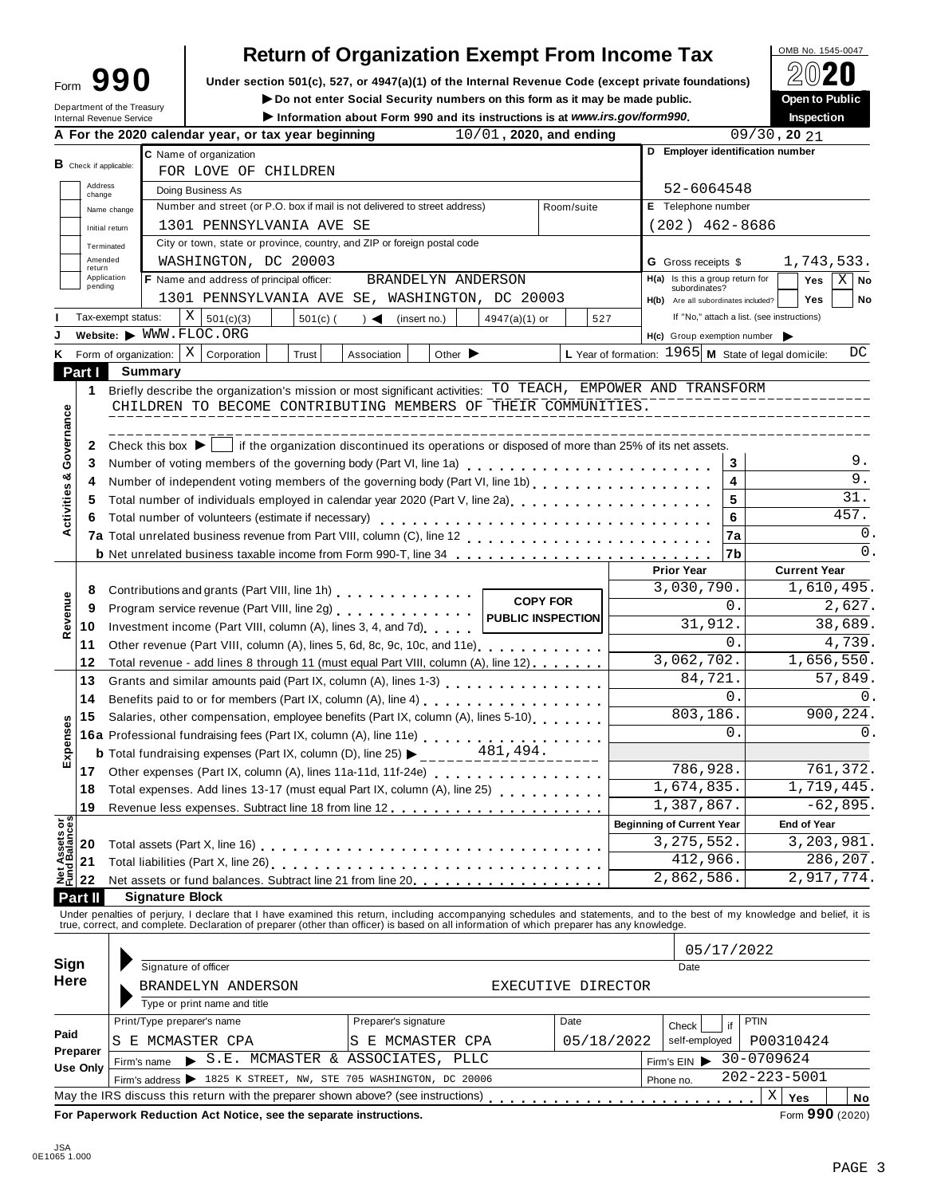| Form | 190                        |
|------|----------------------------|
|      | Department of the Treasury |

# **Return of Organization Exempt From Income Tax**<br>section 501(c), 527, or 4947(a)(1) of the Internal Revenue Code (except private foundations)

Form  $\mathbf{990}$  Under section 501(c), 527, or 4947(a)(1) of the Internal Revenue Code (except private foundations)  $\angle \Box$ <br>Do not enter Social Security numbers on this form as it may be made public. Open to Public

I**Do not enter Social Security numbers on this form as it may be made public. Open to Public**

|                                |                                  | Department of the Treasury<br>Internal Revenue Service |                                                                                                                                                                                                                                | ► Do not enter Social Security numbers on this form as it may be made public.<br>Information about Form 990 and its instructions is at www.irs.gov/form990. |                                                                                                                                        |                    |                                                        |            | <b>Open to Public</b><br>Inspection        |                  |
|--------------------------------|----------------------------------|--------------------------------------------------------|--------------------------------------------------------------------------------------------------------------------------------------------------------------------------------------------------------------------------------|-------------------------------------------------------------------------------------------------------------------------------------------------------------|----------------------------------------------------------------------------------------------------------------------------------------|--------------------|--------------------------------------------------------|------------|--------------------------------------------|------------------|
|                                |                                  |                                                        | A For the 2020 calendar year, or tax year beginning                                                                                                                                                                            |                                                                                                                                                             | 10/01, 2020, and ending                                                                                                                |                    |                                                        |            | $09/30$ , 20 $21$                          |                  |
|                                |                                  |                                                        | C Name of organization                                                                                                                                                                                                         |                                                                                                                                                             |                                                                                                                                        |                    |                                                        |            | D Employer identification number           |                  |
|                                | <b>B</b> Check if applicable:    |                                                        | FOR LOVE OF CHILDREN                                                                                                                                                                                                           |                                                                                                                                                             |                                                                                                                                        |                    |                                                        |            |                                            |                  |
|                                | Address<br>change                |                                                        | Doing Business As                                                                                                                                                                                                              |                                                                                                                                                             |                                                                                                                                        |                    |                                                        | 52-6064548 |                                            |                  |
|                                |                                  | Name change                                            | Number and street (or P.O. box if mail is not delivered to street address)                                                                                                                                                     |                                                                                                                                                             |                                                                                                                                        | Room/suite         | E Telephone number                                     |            |                                            |                  |
|                                | Initial return                   |                                                        | 1301 PENNSYLVANIA AVE SE                                                                                                                                                                                                       |                                                                                                                                                             |                                                                                                                                        |                    | $(202)$ 462-8686                                       |            |                                            |                  |
|                                | Terminated                       |                                                        | City or town, state or province, country, and ZIP or foreign postal code                                                                                                                                                       |                                                                                                                                                             |                                                                                                                                        |                    |                                                        |            |                                            |                  |
|                                | Amended                          |                                                        | WASHINGTON, DC 20003                                                                                                                                                                                                           |                                                                                                                                                             |                                                                                                                                        |                    | <b>G</b> Gross receipts \$                             |            | 1,743,533.                                 |                  |
|                                | return<br>Application<br>pending |                                                        | F Name and address of principal officer:                                                                                                                                                                                       | BRANDELYN ANDERSON                                                                                                                                          |                                                                                                                                        |                    | $H(a)$ Is this a group return for                      |            | Yes                                        | $X \mid$ No      |
|                                |                                  |                                                        | 1301 PENNSYLVANIA AVE SE, WASHINGTON, DC 20003                                                                                                                                                                                 |                                                                                                                                                             |                                                                                                                                        |                    | subordinates?<br>H(b) Are all subordinates included?   |            | <b>Yes</b>                                 | No               |
|                                |                                  | Tax-exempt status:                                     | ΧI<br>501(c)(3)<br>$501(c)$ (                                                                                                                                                                                                  | (insert no.)<br>$\rightarrow$ $\blacktriangleleft$                                                                                                          | 4947(a)(1) or                                                                                                                          | 527                |                                                        |            | If "No," attach a list. (see instructions) |                  |
|                                |                                  |                                                        | Website: WWW.FLOC.ORG                                                                                                                                                                                                          |                                                                                                                                                             |                                                                                                                                        |                    | $H(c)$ Group exemption number                          |            |                                            |                  |
| Κ                              |                                  | Form of organization:                                  | ΧI<br>Corporation<br>Trust                                                                                                                                                                                                     | Association<br>Other $\blacktriangleright$                                                                                                                  |                                                                                                                                        |                    | L Year of formation: $1965$ M State of legal domicile: |            |                                            | DC               |
| Part I                         |                                  | Summary                                                |                                                                                                                                                                                                                                |                                                                                                                                                             |                                                                                                                                        |                    |                                                        |            |                                            |                  |
|                                | 1                                |                                                        | Briefly describe the organization's mission or most significant activities: TO TEACH, EMPOWER AND TRANSFORM                                                                                                                    |                                                                                                                                                             |                                                                                                                                        |                    |                                                        |            |                                            |                  |
|                                |                                  |                                                        | CHILDREN TO BECOME CONTRIBUTING MEMBERS OF THEIR COMMUNITIES.                                                                                                                                                                  |                                                                                                                                                             |                                                                                                                                        |                    |                                                        |            |                                            |                  |
|                                |                                  |                                                        |                                                                                                                                                                                                                                |                                                                                                                                                             |                                                                                                                                        |                    |                                                        |            |                                            |                  |
| Activities & Governance        | 2                                |                                                        | Check this box $\blacktriangleright$   if the organization discontinued its operations or disposed of more than 25% of its net assets.                                                                                         |                                                                                                                                                             |                                                                                                                                        |                    |                                                        |            |                                            |                  |
|                                | 3                                |                                                        | Number of voting members of the governing body (Part VI, line 1a)                                                                                                                                                              |                                                                                                                                                             |                                                                                                                                        |                    |                                                        | 3          |                                            | 9.               |
|                                | 4                                |                                                        | Number of independent voting members of the governing body (Part VI, line 1b)                                                                                                                                                  |                                                                                                                                                             |                                                                                                                                        |                    |                                                        | 4          |                                            | $\overline{9}$ . |
|                                | 5                                |                                                        | Total number of individuals employed in calendar year 2020 (Part V, line 2a)<br>The 2a)                                                                                                                                        |                                                                                                                                                             |                                                                                                                                        |                    |                                                        | 5          |                                            | 31.              |
|                                | 6                                |                                                        | Total number of volunteers (estimate if necessary)                                                                                                                                                                             |                                                                                                                                                             |                                                                                                                                        |                    |                                                        | 6          |                                            | 457.             |
|                                |                                  |                                                        |                                                                                                                                                                                                                                |                                                                                                                                                             |                                                                                                                                        |                    |                                                        | 7a         |                                            | 0.               |
|                                |                                  |                                                        | <b>b</b> Net unrelated business taxable income from Form 990-T, line 34                                                                                                                                                        |                                                                                                                                                             |                                                                                                                                        |                    |                                                        | 7b         |                                            | 0.               |
|                                |                                  |                                                        |                                                                                                                                                                                                                                |                                                                                                                                                             |                                                                                                                                        |                    | <b>Prior Year</b>                                      |            | <b>Current Year</b>                        |                  |
|                                | 8                                |                                                        | Contributions and grants (Part VIII, line 1h)                                                                                                                                                                                  |                                                                                                                                                             |                                                                                                                                        |                    | 3,030,790.                                             |            | 1,610,495.                                 |                  |
|                                | 9                                |                                                        | Program service revenue (Part VIII, line 2g)                                                                                                                                                                                   |                                                                                                                                                             | <b>COPY FOR</b>                                                                                                                        |                    |                                                        | 0.         |                                            | 2,627.           |
| Revenue                        | 10                               |                                                        | Investment income (Part VIII, column (A), lines 3, 4, and 7d)                                                                                                                                                                  |                                                                                                                                                             | <b>PUBLIC INSPECTION</b>                                                                                                               |                    |                                                        | 31,912.    |                                            | 38,689.          |
|                                | 11                               |                                                        | Other revenue (Part VIII, column (A), lines 5, 6d, 8c, 9c, 10c, and 11e)                                                                                                                                                       |                                                                                                                                                             |                                                                                                                                        |                    |                                                        | $\Omega$ . |                                            | 4,739.           |
|                                | 12                               |                                                        | Total revenue - add lines 8 through 11 (must equal Part VIII, column (A), line 12)                                                                                                                                             |                                                                                                                                                             |                                                                                                                                        |                    | 3,062,702.                                             |            | 1,656,550.                                 |                  |
|                                | 13                               |                                                        |                                                                                                                                                                                                                                |                                                                                                                                                             |                                                                                                                                        |                    |                                                        | 84,721.    |                                            | 57,849.          |
|                                | 14                               |                                                        | Benefits paid to or for members (Part IX, column (A), line 4)                                                                                                                                                                  |                                                                                                                                                             |                                                                                                                                        |                    |                                                        | 0.         |                                            | 0.               |
|                                | 15                               |                                                        | Salaries, other compensation, employee benefits (Part IX, column (A), lines 5-10)                                                                                                                                              |                                                                                                                                                             |                                                                                                                                        |                    | 803, 186.                                              |            |                                            | 900,224.         |
| Expenses                       |                                  |                                                        |                                                                                                                                                                                                                                |                                                                                                                                                             | 16a Professional fundraising fees (Part IX, column (A), line 11e)<br>16a Professional fundraising fees (Part IX, column (A), line 11e) |                    |                                                        | $\Omega$ . |                                            | 0.               |
|                                |                                  |                                                        | <b>b</b> Total fundraising expenses (Part IX, column (D), line 25) $\blacktriangleright$ _____                                                                                                                                 |                                                                                                                                                             | 481,494.                                                                                                                               |                    |                                                        |            |                                            |                  |
|                                | 17                               |                                                        | Other expenses (Part IX, column (A), lines 11a-11d, 11f-24e)                                                                                                                                                                   |                                                                                                                                                             |                                                                                                                                        |                    | 786,928.                                               |            |                                            | 761,372.         |
|                                | 18                               |                                                        | Total expenses. Add lines 13-17 (must equal Part IX, column (A), line 25)                                                                                                                                                      |                                                                                                                                                             |                                                                                                                                        |                    | 1,674,835.                                             |            | 1,719,445.                                 |                  |
|                                | 19                               |                                                        |                                                                                                                                                                                                                                |                                                                                                                                                             |                                                                                                                                        |                    | 1,387,867.                                             |            |                                            | $-62,895.$       |
|                                |                                  |                                                        |                                                                                                                                                                                                                                |                                                                                                                                                             |                                                                                                                                        |                    | <b>Beginning of Current Year</b>                       |            | <b>End of Year</b>                         |                  |
| Net Assets or<br>Fund Balances | 20                               |                                                        |                                                                                                                                                                                                                                |                                                                                                                                                             |                                                                                                                                        |                    | 3, 275, 552.                                           |            | 3,203,981.                                 |                  |
|                                | 21                               |                                                        |                                                                                                                                                                                                                                |                                                                                                                                                             |                                                                                                                                        |                    |                                                        | 412,966.   |                                            | 286,207.         |
|                                | 22                               |                                                        | Net assets or fund balances. Subtract line 21 from line 20.                                                                                                                                                                    |                                                                                                                                                             |                                                                                                                                        |                    | 2,862,586.                                             |            | 2,917,774.                                 |                  |
| Part II                        |                                  |                                                        | <b>Signature Block</b>                                                                                                                                                                                                         |                                                                                                                                                             |                                                                                                                                        |                    |                                                        |            |                                            |                  |
|                                |                                  |                                                        |                                                                                                                                                                                                                                |                                                                                                                                                             |                                                                                                                                        |                    |                                                        |            |                                            |                  |
|                                |                                  |                                                        | Under penalties of perjury, I declare that I have examined this return, including accompanying schedules and statements, and to the best of my knowledge and belief, it is true, correct, and complete. Declaration of prepare |                                                                                                                                                             |                                                                                                                                        |                    |                                                        |            |                                            |                  |
|                                |                                  |                                                        |                                                                                                                                                                                                                                |                                                                                                                                                             |                                                                                                                                        |                    |                                                        | 05/17/2022 |                                            |                  |
| Sign                           |                                  |                                                        | Signature of officer                                                                                                                                                                                                           |                                                                                                                                                             |                                                                                                                                        |                    | Date                                                   |            |                                            |                  |
| <b>Here</b>                    |                                  |                                                        | BRANDELYN ANDERSON                                                                                                                                                                                                             |                                                                                                                                                             |                                                                                                                                        | EXECUTIVE DIRECTOR |                                                        |            |                                            |                  |
|                                |                                  |                                                        | Type or print name and title                                                                                                                                                                                                   |                                                                                                                                                             |                                                                                                                                        |                    |                                                        |            |                                            |                  |
|                                |                                  |                                                        |                                                                                                                                                                                                                                |                                                                                                                                                             |                                                                                                                                        |                    |                                                        |            |                                            |                  |
|                                |                                  |                                                        |                                                                                                                                                                                                                                |                                                                                                                                                             |                                                                                                                                        |                    |                                                        |            |                                            |                  |
|                                |                                  |                                                        | Print/Type preparer's name                                                                                                                                                                                                     | Preparer's signature                                                                                                                                        |                                                                                                                                        | Date               | Check                                                  | if         | PTIN                                       |                  |
|                                | Preparer                         |                                                        | S E MCMASTER CPA                                                                                                                                                                                                               | S E MCMASTER CPA                                                                                                                                            |                                                                                                                                        | 05/18/2022         | self-employed                                          |            | P00310424                                  |                  |
| Paid                           | Use Only                         | Firm's name                                            | S.E. MCMASTER & ASSOCIATES, PLLC                                                                                                                                                                                               |                                                                                                                                                             |                                                                                                                                        |                    | Firm's EIN                                             |            | 30-0709624                                 |                  |
|                                |                                  |                                                        | Firm's address > 1825 K STREET, NW, STE 705 WASHINGTON, DC 20006<br>May the IRS discuss this return with the preparer shown above? (see instructions)                                                                          |                                                                                                                                                             |                                                                                                                                        |                    | Phone no.                                              |            | 202-223-5001<br>Χ<br>Yes                   | No               |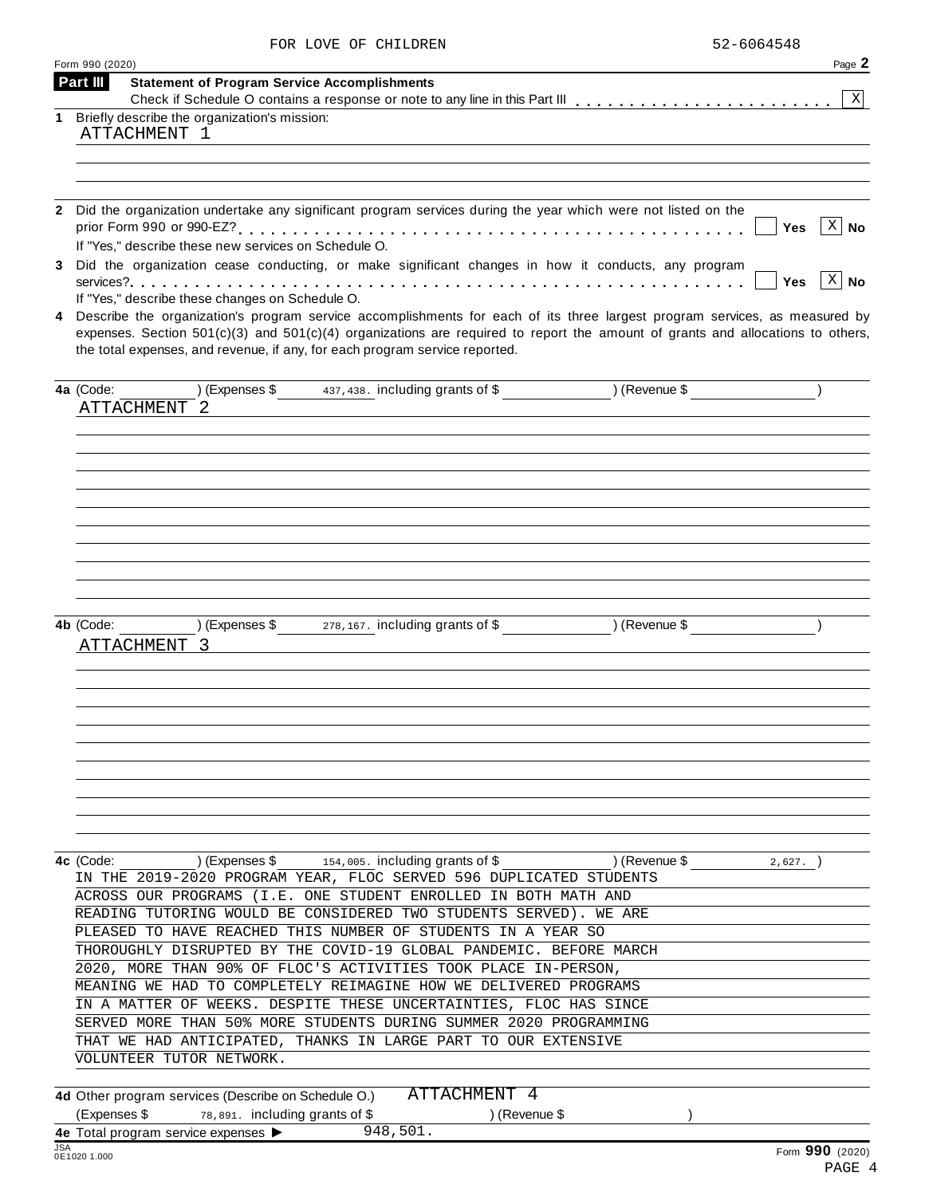| FOR LOVE OF CHILDREN | 52-6064548 |
|----------------------|------------|
|                      |            |

|     | Form 990 (2020)<br>Part III                                                                                                                                                                                                                                      | Page 2          |
|-----|------------------------------------------------------------------------------------------------------------------------------------------------------------------------------------------------------------------------------------------------------------------|-----------------|
|     | <b>Statement of Program Service Accomplishments</b>                                                                                                                                                                                                              | X               |
| 1   | Briefly describe the organization's mission:                                                                                                                                                                                                                     |                 |
|     | ATTACHMENT 1                                                                                                                                                                                                                                                     |                 |
|     |                                                                                                                                                                                                                                                                  |                 |
|     |                                                                                                                                                                                                                                                                  |                 |
|     |                                                                                                                                                                                                                                                                  |                 |
|     | 2 Did the organization undertake any significant program services during the year which were not listed on the                                                                                                                                                   |                 |
|     | <b>Yes</b>                                                                                                                                                                                                                                                       | $X \mid No$     |
|     | If "Yes," describe these new services on Schedule O.                                                                                                                                                                                                             |                 |
|     | 3 Did the organization cease conducting, or make significant changes in how it conducts, any program<br><b>Yes</b>                                                                                                                                               | $X \mid No$     |
|     | If "Yes," describe these changes on Schedule O.                                                                                                                                                                                                                  |                 |
|     | Describe the organization's program service accomplishments for each of its three largest program services, as measured by<br>expenses. Section $501(c)(3)$ and $501(c)(4)$ organizations are required to report the amount of grants and allocations to others, |                 |
|     | the total expenses, and revenue, if any, for each program service reported.                                                                                                                                                                                      |                 |
|     | (Expenses \$437,438. including grants of \$) (Revenue \$)<br>4a (Code:                                                                                                                                                                                           |                 |
|     | ATTACHMENT<br>- 2                                                                                                                                                                                                                                                |                 |
|     |                                                                                                                                                                                                                                                                  |                 |
|     |                                                                                                                                                                                                                                                                  |                 |
|     |                                                                                                                                                                                                                                                                  |                 |
|     |                                                                                                                                                                                                                                                                  |                 |
|     |                                                                                                                                                                                                                                                                  |                 |
|     |                                                                                                                                                                                                                                                                  |                 |
|     |                                                                                                                                                                                                                                                                  |                 |
|     |                                                                                                                                                                                                                                                                  |                 |
|     |                                                                                                                                                                                                                                                                  |                 |
|     |                                                                                                                                                                                                                                                                  |                 |
|     | $(1)$ (Expenses \$ 278, 167. including grants of \$ ) (Revenue \$<br>4b (Code:                                                                                                                                                                                   |                 |
|     | ATTACHMENT 3                                                                                                                                                                                                                                                     |                 |
|     |                                                                                                                                                                                                                                                                  |                 |
|     |                                                                                                                                                                                                                                                                  |                 |
|     |                                                                                                                                                                                                                                                                  |                 |
|     |                                                                                                                                                                                                                                                                  |                 |
|     |                                                                                                                                                                                                                                                                  |                 |
|     |                                                                                                                                                                                                                                                                  |                 |
|     |                                                                                                                                                                                                                                                                  |                 |
|     |                                                                                                                                                                                                                                                                  |                 |
|     |                                                                                                                                                                                                                                                                  |                 |
|     |                                                                                                                                                                                                                                                                  |                 |
|     | $(15.5)$ (Expenses \$154,005. including grants of \$<br>) (Revenue \$<br>4c (Code:<br>2,627.                                                                                                                                                                     |                 |
|     | IN THE 2019-2020 PROGRAM YEAR, FLOC SERVED 596 DUPLICATED STUDENTS                                                                                                                                                                                               |                 |
|     | ACROSS OUR PROGRAMS (I.E. ONE STUDENT ENROLLED IN BOTH MATH AND                                                                                                                                                                                                  |                 |
|     | READING TUTORING WOULD BE CONSIDERED TWO STUDENTS SERVED). WE ARE                                                                                                                                                                                                |                 |
|     | PLEASED TO HAVE REACHED THIS NUMBER OF STUDENTS IN A YEAR SO                                                                                                                                                                                                     |                 |
|     | THOROUGHLY DISRUPTED BY THE COVID-19 GLOBAL PANDEMIC. BEFORE MARCH                                                                                                                                                                                               |                 |
|     | 2020, MORE THAN 90% OF FLOC'S ACTIVITIES TOOK PLACE IN-PERSON,                                                                                                                                                                                                   |                 |
|     | MEANING WE HAD TO COMPLETELY REIMAGINE HOW WE DELIVERED PROGRAMS                                                                                                                                                                                                 |                 |
|     | IN A MATTER OF WEEKS. DESPITE THESE UNCERTAINTIES, FLOC HAS SINCE<br>SERVED MORE THAN 50% MORE STUDENTS DURING SUMMER 2020 PROGRAMMING                                                                                                                           |                 |
|     | THAT WE HAD ANTICIPATED, THANKS IN LARGE PART TO OUR EXTENSIVE                                                                                                                                                                                                   |                 |
|     | VOLUNTEER TUTOR NETWORK.                                                                                                                                                                                                                                         |                 |
|     |                                                                                                                                                                                                                                                                  |                 |
|     | ATTACHMENT 4<br>4d Other program services (Describe on Schedule O.)                                                                                                                                                                                              |                 |
|     | (Expenses \$<br>78,891. including grants of \$<br>) (Revenue \$                                                                                                                                                                                                  |                 |
|     | 4e Total program service expenses ><br>948,501.                                                                                                                                                                                                                  |                 |
| JSA | 0E1020 1.000                                                                                                                                                                                                                                                     | Form 990 (2020) |
|     |                                                                                                                                                                                                                                                                  |                 |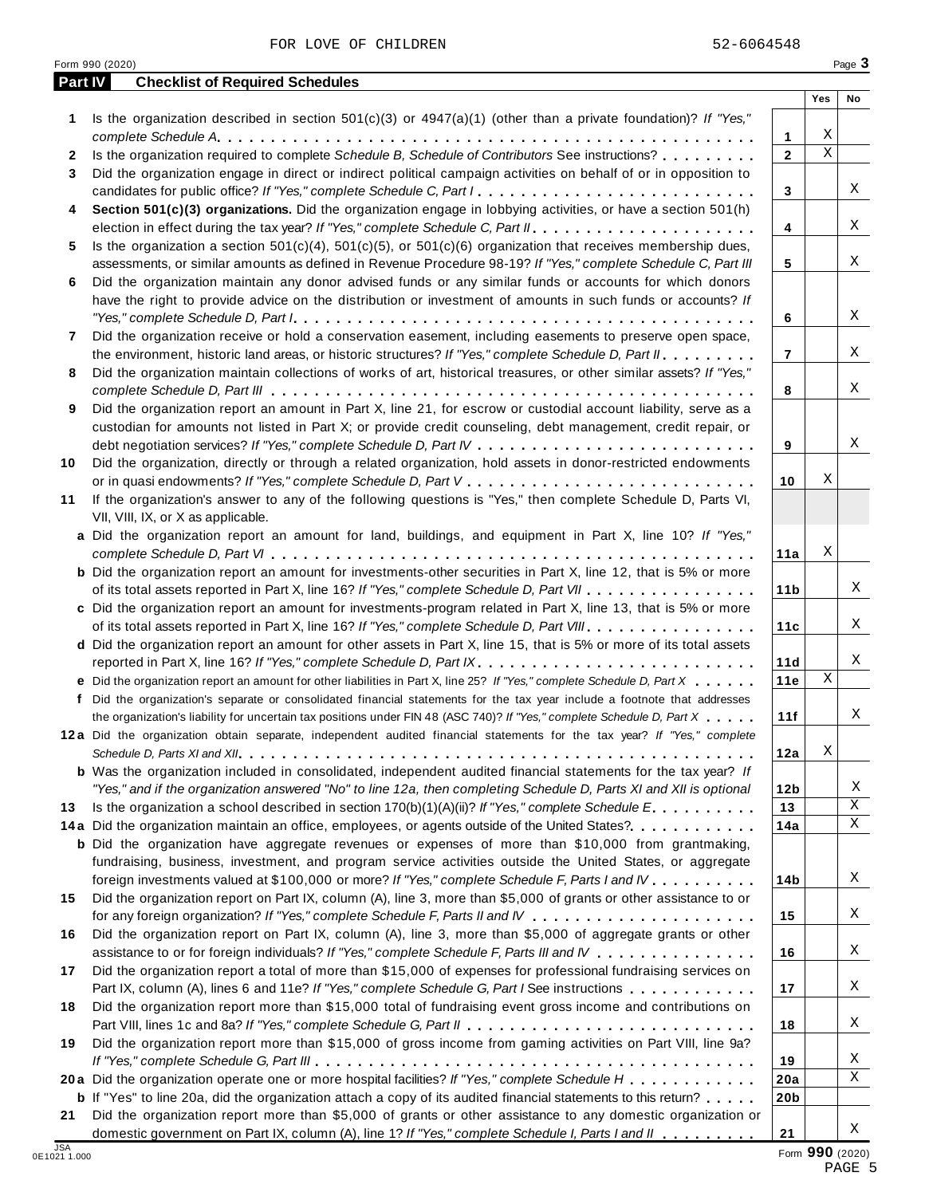FOR LOVE OF CHILDREN 52-6064548

| <b>Part IV</b> | <b>Checklist of Required Schedules</b>                                                                                                                                                                                                            |                 |             |             |
|----------------|---------------------------------------------------------------------------------------------------------------------------------------------------------------------------------------------------------------------------------------------------|-----------------|-------------|-------------|
|                | Is the organization described in section $501(c)(3)$ or $4947(a)(1)$ (other than a private foundation)? If "Yes,"                                                                                                                                 |                 | Yes         | No          |
| 1              |                                                                                                                                                                                                                                                   | 1               | Χ           |             |
| 2              | Is the organization required to complete Schedule B, Schedule of Contributors See instructions?                                                                                                                                                   | $\overline{2}$  | $\mathbf X$ |             |
| 3              | Did the organization engage in direct or indirect political campaign activities on behalf of or in opposition to                                                                                                                                  |                 |             |             |
|                |                                                                                                                                                                                                                                                   | 3               |             | Χ           |
| 4              | Section 501(c)(3) organizations. Did the organization engage in lobbying activities, or have a section 501(h)                                                                                                                                     |                 |             |             |
|                |                                                                                                                                                                                                                                                   | 4               |             | Χ           |
| 5              | Is the organization a section $501(c)(4)$ , $501(c)(5)$ , or $501(c)(6)$ organization that receives membership dues,                                                                                                                              |                 |             |             |
|                | assessments, or similar amounts as defined in Revenue Procedure 98-19? If "Yes," complete Schedule C, Part III                                                                                                                                    | 5               |             | Χ           |
| 6              | Did the organization maintain any donor advised funds or any similar funds or accounts for which donors                                                                                                                                           |                 |             |             |
|                | have the right to provide advice on the distribution or investment of amounts in such funds or accounts? If                                                                                                                                       |                 |             |             |
|                |                                                                                                                                                                                                                                                   | 6               |             | Χ           |
| 7              | Did the organization receive or hold a conservation easement, including easements to preserve open space,                                                                                                                                         |                 |             |             |
|                | the environment, historic land areas, or historic structures? If "Yes," complete Schedule D, Part II.                                                                                                                                             | $\overline{7}$  |             | Χ           |
| 8              | Did the organization maintain collections of works of art, historical treasures, or other similar assets? If "Yes,"                                                                                                                               |                 |             |             |
|                |                                                                                                                                                                                                                                                   | 8               |             | Χ           |
| 9              | Did the organization report an amount in Part X, line 21, for escrow or custodial account liability, serve as a                                                                                                                                   |                 |             |             |
|                | custodian for amounts not listed in Part X; or provide credit counseling, debt management, credit repair, or                                                                                                                                      | 9               |             | Χ           |
| 10             | Did the organization, directly or through a related organization, hold assets in donor-restricted endowments                                                                                                                                      |                 |             |             |
|                |                                                                                                                                                                                                                                                   | 10              | Χ           |             |
| 11             | If the organization's answer to any of the following questions is "Yes," then complete Schedule D, Parts VI,                                                                                                                                      |                 |             |             |
|                | VII, VIII, IX, or X as applicable.                                                                                                                                                                                                                |                 |             |             |
|                | a Did the organization report an amount for land, buildings, and equipment in Part X, line 10? If "Yes,"                                                                                                                                          |                 |             |             |
|                |                                                                                                                                                                                                                                                   | 11a             | Χ           |             |
|                | <b>b</b> Did the organization report an amount for investments-other securities in Part X, line 12, that is 5% or more                                                                                                                            |                 |             |             |
|                | of its total assets reported in Part X, line 16? If "Yes," complete Schedule D, Part VII                                                                                                                                                          | 11 <sub>b</sub> |             | Χ           |
|                | c Did the organization report an amount for investments-program related in Part X, line 13, that is 5% or more                                                                                                                                    |                 |             |             |
|                | of its total assets reported in Part X, line 16? If "Yes," complete Schedule D, Part VIII.                                                                                                                                                        | 11c             |             | Χ           |
|                | d Did the organization report an amount for other assets in Part X, line 15, that is 5% or more of its total assets                                                                                                                               |                 |             |             |
|                | reported in Part X, line 16? If "Yes," complete Schedule D, Part IX.                                                                                                                                                                              | 11d             |             | Χ           |
|                | e Did the organization report an amount for other liabilities in Part X, line 25? If "Yes," complete Schedule D, Part X                                                                                                                           | 11e             | Χ           |             |
|                | f Did the organization's separate or consolidated financial statements for the tax year include a footnote that addresses                                                                                                                         |                 |             | Χ           |
|                | the organization's liability for uncertain tax positions under FIN 48 (ASC 740)? If "Yes," complete Schedule D, Part X<br>12a Did the organization obtain separate, independent audited financial statements for the tax year? If "Yes," complete | 11f             |             |             |
|                |                                                                                                                                                                                                                                                   | 12a             | Χ           |             |
|                | <b>b</b> Was the organization included in consolidated, independent audited financial statements for the tax year? If                                                                                                                             |                 |             |             |
|                | "Yes," and if the organization answered "No" to line 12a, then completing Schedule D, Parts XI and XII is optional                                                                                                                                | 12 <sub>b</sub> |             | Χ           |
| 13             | Is the organization a school described in section $170(b)(1)(A)(ii)$ ? If "Yes," complete Schedule E.                                                                                                                                             | 13              |             | $\mathbf X$ |
|                | 14a Did the organization maintain an office, employees, or agents outside of the United States?.                                                                                                                                                  | 14a             |             | X           |
|                | <b>b</b> Did the organization have aggregate revenues or expenses of more than \$10,000 from grantmaking,                                                                                                                                         |                 |             |             |
|                | fundraising, business, investment, and program service activities outside the United States, or aggregate                                                                                                                                         |                 |             |             |
|                | foreign investments valued at \$100,000 or more? If "Yes," complete Schedule F, Parts I and IV                                                                                                                                                    | 14 <sub>b</sub> |             | Χ           |
| 15             | Did the organization report on Part IX, column (A), line 3, more than \$5,000 of grants or other assistance to or                                                                                                                                 |                 |             |             |
|                |                                                                                                                                                                                                                                                   | 15              |             | Χ           |
| 16             | Did the organization report on Part IX, column (A), line 3, more than \$5,000 of aggregate grants or other                                                                                                                                        |                 |             |             |
|                | assistance to or for foreign individuals? If "Yes," complete Schedule F, Parts III and IV                                                                                                                                                         | 16              |             | Χ           |
| 17             | Did the organization report a total of more than \$15,000 of expenses for professional fundraising services on                                                                                                                                    |                 |             |             |
|                | Part IX, column (A), lines 6 and 11e? If "Yes," complete Schedule G, Part I See instructions                                                                                                                                                      | 17              |             | Χ           |
| 18             | Did the organization report more than \$15,000 total of fundraising event gross income and contributions on                                                                                                                                       |                 |             | Χ           |
|                |                                                                                                                                                                                                                                                   | 18              |             |             |
| 19             | Did the organization report more than \$15,000 of gross income from gaming activities on Part VIII, line 9a?                                                                                                                                      | 19              |             | X           |
|                | 20a Did the organization operate one or more hospital facilities? If "Yes," complete Schedule H                                                                                                                                                   | 20a             |             | X           |
|                | <b>b</b> If "Yes" to line 20a, did the organization attach a copy of its audited financial statements to this return?                                                                                                                             | 20 <sub>b</sub> |             |             |
| 21             | Did the organization report more than \$5,000 of grants or other assistance to any domestic organization or                                                                                                                                       |                 |             |             |
|                | domestic government on Part IX, column (A), line 1? If "Yes," complete Schedule I, Parts I and II                                                                                                                                                 | 21              |             | Χ           |
| <b>JSA</b>     |                                                                                                                                                                                                                                                   |                 |             |             |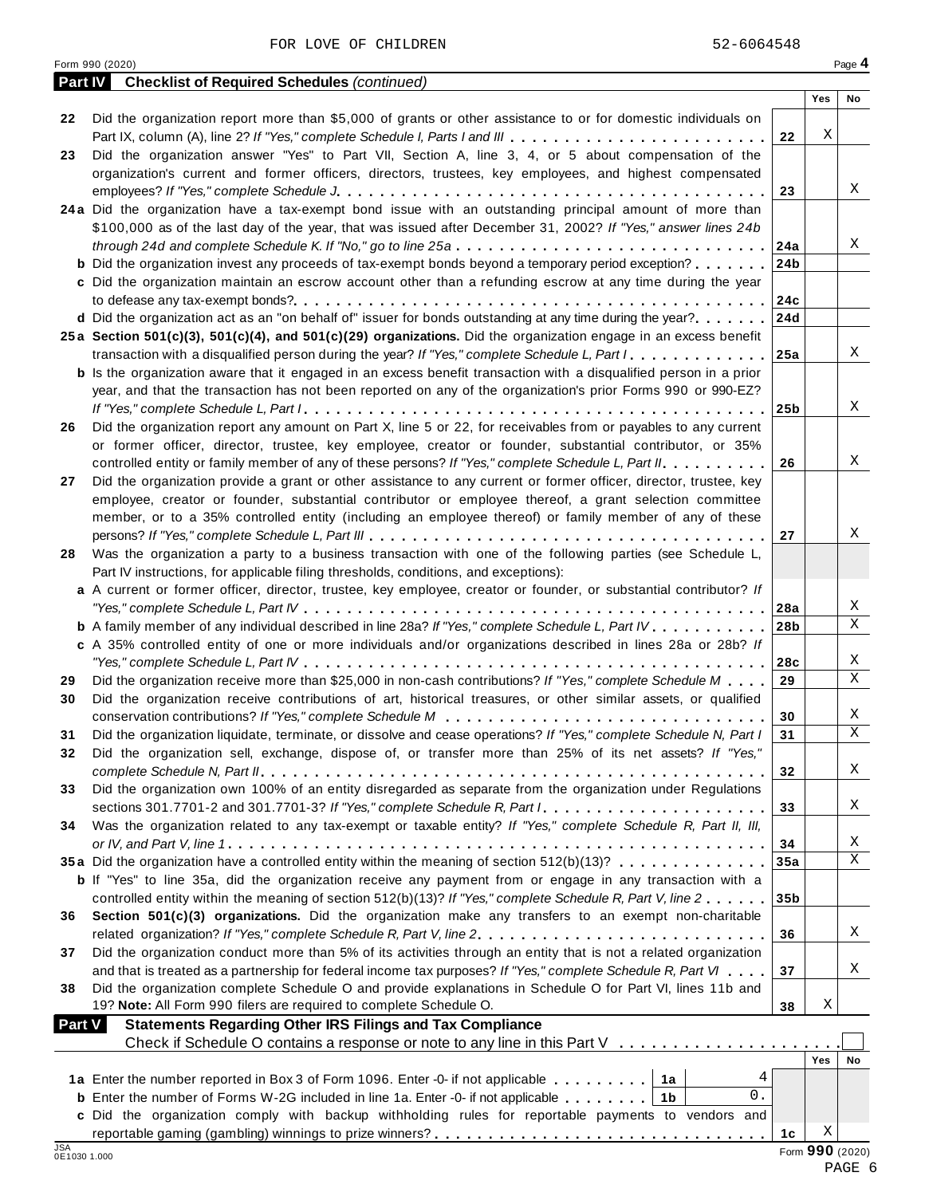|               | <b>Part IV</b> Checklist of Required Schedules (continued)                                                                                                                                                                    |                 |                 |             |
|---------------|-------------------------------------------------------------------------------------------------------------------------------------------------------------------------------------------------------------------------------|-----------------|-----------------|-------------|
|               |                                                                                                                                                                                                                               |                 | Yes             | No          |
| 22            | Did the organization report more than \$5,000 of grants or other assistance to or for domestic individuals on                                                                                                                 |                 |                 |             |
|               | Part IX, column (A), line 2? If "Yes," complete Schedule I, Parts I and III                                                                                                                                                   | 22              | Χ               |             |
| 23            | Did the organization answer "Yes" to Part VII, Section A, line 3, 4, or 5 about compensation of the                                                                                                                           |                 |                 |             |
|               | organization's current and former officers, directors, trustees, key employees, and highest compensated                                                                                                                       |                 |                 |             |
|               |                                                                                                                                                                                                                               | 23              |                 | Χ           |
|               | 24a Did the organization have a tax-exempt bond issue with an outstanding principal amount of more than                                                                                                                       |                 |                 |             |
|               | \$100,000 as of the last day of the year, that was issued after December 31, 2002? If "Yes," answer lines 24b                                                                                                                 |                 |                 | Χ           |
|               |                                                                                                                                                                                                                               |                 |                 |             |
|               | <b>b</b> Did the organization invest any proceeds of tax-exempt bonds beyond a temporary period exception? 24b<br>c Did the organization maintain an escrow account other than a refunding escrow at any time during the year |                 |                 |             |
|               |                                                                                                                                                                                                                               |                 |                 |             |
|               | <b>d</b> Did the organization act as an "on behalf of" issuer for bonds outstanding at any time during the year? 24d                                                                                                          |                 |                 |             |
|               | 25a Section 501(c)(3), 501(c)(4), and 501(c)(29) organizations. Did the organization engage in an excess benefit                                                                                                              |                 |                 |             |
|               | transaction with a disqualified person during the year? If "Yes," complete Schedule L, Part $1, \ldots, \ldots, 125$ a                                                                                                        |                 |                 | X           |
|               | <b>b</b> Is the organization aware that it engaged in an excess benefit transaction with a disqualified person in a prior                                                                                                     |                 |                 |             |
|               | year, and that the transaction has not been reported on any of the organization's prior Forms 990 or 990-EZ?                                                                                                                  |                 |                 |             |
|               |                                                                                                                                                                                                                               |                 |                 | Χ           |
| 26            | Did the organization report any amount on Part X, line 5 or 22, for receivables from or payables to any current                                                                                                               |                 |                 |             |
|               | or former officer, director, trustee, key employee, creator or founder, substantial contributor, or 35%                                                                                                                       |                 |                 |             |
|               | controlled entity or family member of any of these persons? If "Yes," complete Schedule L, Part II.                                                                                                                           | 26              |                 | X           |
| 27            | Did the organization provide a grant or other assistance to any current or former officer, director, trustee, key                                                                                                             |                 |                 |             |
|               | employee, creator or founder, substantial contributor or employee thereof, a grant selection committee                                                                                                                        |                 |                 |             |
|               | member, or to a 35% controlled entity (including an employee thereof) or family member of any of these                                                                                                                        |                 |                 |             |
|               |                                                                                                                                                                                                                               | 27              |                 | X           |
| 28            | Was the organization a party to a business transaction with one of the following parties (see Schedule L,                                                                                                                     |                 |                 |             |
|               | Part IV instructions, for applicable filing thresholds, conditions, and exceptions):                                                                                                                                          |                 |                 |             |
|               | a A current or former officer, director, trustee, key employee, creator or founder, or substantial contributor? If                                                                                                            |                 |                 |             |
|               |                                                                                                                                                                                                                               |                 |                 | Χ           |
|               | <b>b</b> A family member of any individual described in line 28a? If "Yes," complete Schedule L, Part IV.                                                                                                                     | 28 <sub>b</sub> |                 | $\mathbf X$ |
|               | c A 35% controlled entity of one or more individuals and/or organizations described in lines 28a or 28b? If                                                                                                                   |                 |                 |             |
|               |                                                                                                                                                                                                                               | 28c             |                 | X           |
| 29            | Did the organization receive more than \$25,000 in non-cash contributions? If "Yes," complete Schedule M                                                                                                                      | 29              |                 | $\mathbf X$ |
| 30            | Did the organization receive contributions of art, historical treasures, or other similar assets, or qualified                                                                                                                |                 |                 |             |
|               |                                                                                                                                                                                                                               | 30              |                 | X           |
| 31            | Did the organization liquidate, terminate, or dissolve and cease operations? If "Yes," complete Schedule N, Part I                                                                                                            | 31              |                 | $\mathbf X$ |
| 32            | Did the organization sell, exchange, dispose of, or transfer more than 25% of its net assets? If "Yes,"                                                                                                                       |                 |                 |             |
|               |                                                                                                                                                                                                                               | 32              |                 | X           |
| 33            | Did the organization own 100% of an entity disregarded as separate from the organization under Regulations                                                                                                                    |                 |                 |             |
|               |                                                                                                                                                                                                                               | 33              |                 | Χ           |
| 34            | Was the organization related to any tax-exempt or taxable entity? If "Yes," complete Schedule R, Part II, III,                                                                                                                |                 |                 |             |
|               |                                                                                                                                                                                                                               | 34              |                 | Χ           |
|               | 35a Did the organization have a controlled entity within the meaning of section 512(b)(13)?                                                                                                                                   | 35a             |                 | $\mathbf X$ |
|               | <b>b</b> If "Yes" to line 35a, did the organization receive any payment from or engage in any transaction with a                                                                                                              |                 |                 |             |
|               | controlled entity within the meaning of section 512(b)(13)? If "Yes," complete Schedule R, Part V, line 2                                                                                                                     | 35 <sub>b</sub> |                 |             |
| 36            | Section 501(c)(3) organizations. Did the organization make any transfers to an exempt non-charitable                                                                                                                          |                 |                 |             |
|               |                                                                                                                                                                                                                               | 36              |                 | X           |
| 37            | Did the organization conduct more than 5% of its activities through an entity that is not a related organization                                                                                                              |                 |                 |             |
|               | and that is treated as a partnership for federal income tax purposes? If "Yes," complete Schedule R, Part VI                                                                                                                  | 37              |                 | Χ           |
| 38            | Did the organization complete Schedule O and provide explanations in Schedule O for Part VI, lines 11b and                                                                                                                    |                 |                 |             |
|               | 19? Note: All Form 990 filers are required to complete Schedule O.                                                                                                                                                            | 38              | Χ               |             |
| <b>Part V</b> | <b>Statements Regarding Other IRS Filings and Tax Compliance</b>                                                                                                                                                              |                 |                 |             |
|               | Check if Schedule O contains a response or note to any line in this Part V                                                                                                                                                    |                 |                 |             |
|               |                                                                                                                                                                                                                               |                 | Yes             | No          |
|               | 4<br>1a Enter the number reported in Box 3 of Form 1096. Enter -0- if not applicable   1a                                                                                                                                     |                 |                 |             |
|               | 0.<br><b>b</b> Enter the number of Forms W-2G included in line 1a. Enter -0- if not applicable   1b                                                                                                                           |                 |                 |             |
|               | c Did the organization comply with backup withholding rules for reportable payments to vendors and                                                                                                                            |                 |                 |             |
| <b>JSA</b>    |                                                                                                                                                                                                                               | 1c              | Χ               |             |
| 0E1030 1.000  |                                                                                                                                                                                                                               |                 | Form 990 (2020) |             |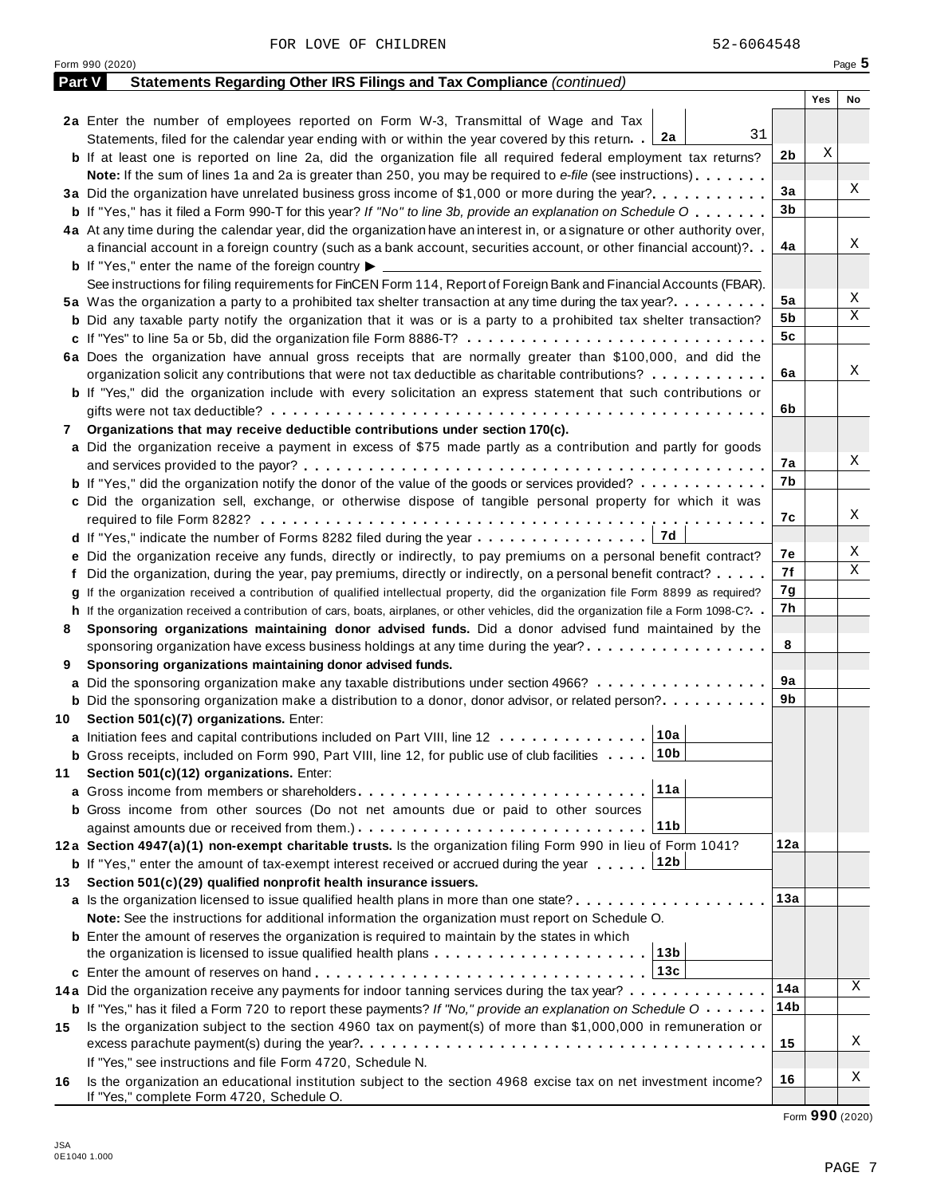| <b>Part V</b> | Statements Regarding Other IRS Filings and Tax Compliance (continued)                                                                                        |                |     |    |
|---------------|--------------------------------------------------------------------------------------------------------------------------------------------------------------|----------------|-----|----|
|               |                                                                                                                                                              |                | Yes | No |
|               | 2a Enter the number of employees reported on Form W-3, Transmittal of Wage and Tax                                                                           |                |     |    |
|               | 31<br>2a<br>Statements, filed for the calendar year ending with or within the year covered by this return.                                                   |                |     |    |
|               | <b>b</b> If at least one is reported on line 2a, did the organization file all required federal employment tax returns?                                      | 2b             | Χ   |    |
|               | Note: If the sum of lines 1a and 2a is greater than 250, you may be required to e-file (see instructions)                                                    |                |     |    |
|               | 3a Did the organization have unrelated business gross income of \$1,000 or more during the year?                                                             | 3a             |     | Χ  |
|               | <b>b</b> If "Yes," has it filed a Form 990-T for this year? If "No" to line 3b, provide an explanation on Schedule O                                         | 3 <sub>b</sub> |     |    |
|               | 4a At any time during the calendar year, did the organization have an interest in, or a signature or other authority over,                                   |                |     |    |
|               | a financial account in a foreign country (such as a bank account, securities account, or other financial account)?                                           | 4a             |     | Χ  |
|               | <b>b</b> If "Yes," enter the name of the foreign country $\blacktriangleright$ $\equiv$                                                                      |                |     |    |
|               | See instructions for filing requirements for FinCEN Form 114, Report of Foreign Bank and Financial Accounts (FBAR).                                          |                |     |    |
|               | 5a Was the organization a party to a prohibited tax shelter transaction at any time during the tax year?                                                     | 5a             |     | Χ  |
|               | <b>b</b> Did any taxable party notify the organization that it was or is a party to a prohibited tax shelter transaction?                                    | 5b             |     | Χ  |
|               | c If "Yes" to line 5a or 5b, did the organization file Form 8886-T?                                                                                          | 5 <sub>c</sub> |     |    |
|               | 6a Does the organization have annual gross receipts that are normally greater than \$100,000, and did the                                                    |                |     |    |
|               | organization solicit any contributions that were not tax deductible as charitable contributions?                                                             | 6a             |     | Χ  |
|               | <b>b</b> If "Yes," did the organization include with every solicitation an express statement that such contributions or                                      |                |     |    |
|               |                                                                                                                                                              | 6b             |     |    |
| 7             | Organizations that may receive deductible contributions under section 170(c).                                                                                |                |     |    |
|               | a Did the organization receive a payment in excess of \$75 made partly as a contribution and partly for goods                                                |                |     |    |
|               |                                                                                                                                                              | 7а             |     | Χ  |
|               | <b>b</b> If "Yes," did the organization notify the donor of the value of the goods or services provided?                                                     | 7b             |     |    |
|               | c Did the organization sell, exchange, or otherwise dispose of tangible personal property for which it was                                                   |                |     |    |
|               |                                                                                                                                                              | 7c             |     | Χ  |
|               | 7d<br>d If "Yes," indicate the number of Forms 8282 filed during the year                                                                                    |                |     |    |
|               | e Did the organization receive any funds, directly or indirectly, to pay premiums on a personal benefit contract?                                            | 7е             |     | Χ  |
|               | f Did the organization, during the year, pay premiums, directly or indirectly, on a personal benefit contract?                                               | 7f             |     | Χ  |
|               | g If the organization received a contribution of qualified intellectual property, did the organization file Form 8899 as required?                           | 7g             |     |    |
|               | h If the organization received a contribution of cars, boats, airplanes, or other vehicles, did the organization file a Form 1098-C?. .                      | 7h             |     |    |
| 8             | Sponsoring organizations maintaining donor advised funds. Did a donor advised fund maintained by the                                                         |                |     |    |
|               | sponsoring organization have excess business holdings at any time during the year?                                                                           | 8              |     |    |
| 9             | Sponsoring organizations maintaining donor advised funds.                                                                                                    |                |     |    |
|               | a Did the sponsoring organization make any taxable distributions under section 4966?                                                                         | 9а             |     |    |
|               | <b>b</b> Did the sponsoring organization make a distribution to a donor, donor advisor, or related person?                                                   | 9b             |     |    |
| 10            | Section 501(c)(7) organizations. Enter:                                                                                                                      |                |     |    |
|               | 10a<br>a Initiation fees and capital contributions included on Part VIII, line 12                                                                            |                |     |    |
|               | <b>b</b> Gross receipts, included on Form 990, Part VIII, line 12, for public use of club facilities 10b                                                     |                |     |    |
| 11            | Section 501(c)(12) organizations. Enter:                                                                                                                     |                |     |    |
|               | 11a<br><b>a</b> Gross income from members or shareholders                                                                                                    |                |     |    |
|               | <b>b</b> Gross income from other sources (Do not net amounts due or paid to other sources                                                                    |                |     |    |
|               | 11b                                                                                                                                                          |                |     |    |
|               | 12a Section 4947(a)(1) non-exempt charitable trusts. Is the organization filing Form 990 in lieu of Form 1041?                                               | 12a            |     |    |
|               | <b>b</b> If "Yes," enter the amount of tax-exempt interest received or accrued during the year 12b                                                           |                |     |    |
| 13            | Section 501(c)(29) qualified nonprofit health insurance issuers.                                                                                             |                |     |    |
|               | a Is the organization licensed to issue qualified health plans in more than one state?                                                                       | 13а            |     |    |
|               | Note: See the instructions for additional information the organization must report on Schedule O.                                                            |                |     |    |
|               | <b>b</b> Enter the amount of reserves the organization is required to maintain by the states in which                                                        |                |     |    |
|               | 13 <sub>b</sub><br>the organization is licensed to issue qualified health plans                                                                              |                |     |    |
|               | 13c                                                                                                                                                          |                |     |    |
|               | 14a Did the organization receive any payments for indoor tanning services during the tax year?                                                               | 14a            |     | X  |
|               | <b>b</b> If "Yes," has it filed a Form 720 to report these payments? If "No," provide an explanation on Schedule $0 \cdot \cdot \cdot \cdot$                 | 14b            |     |    |
| 15            | Is the organization subject to the section 4960 tax on payment(s) of more than \$1,000,000 in remuneration or                                                |                |     |    |
|               |                                                                                                                                                              | 15             |     | Χ  |
|               | If "Yes," see instructions and file Form 4720, Schedule N.                                                                                                   |                |     |    |
| 16            | Is the organization an educational institution subject to the section 4968 excise tax on net investment income?<br>If "Yes," complete Form 4720, Schedule O. | 16             |     | X  |

Form <sup>990</sup> (2020) Page **5**

Form **990** (2020)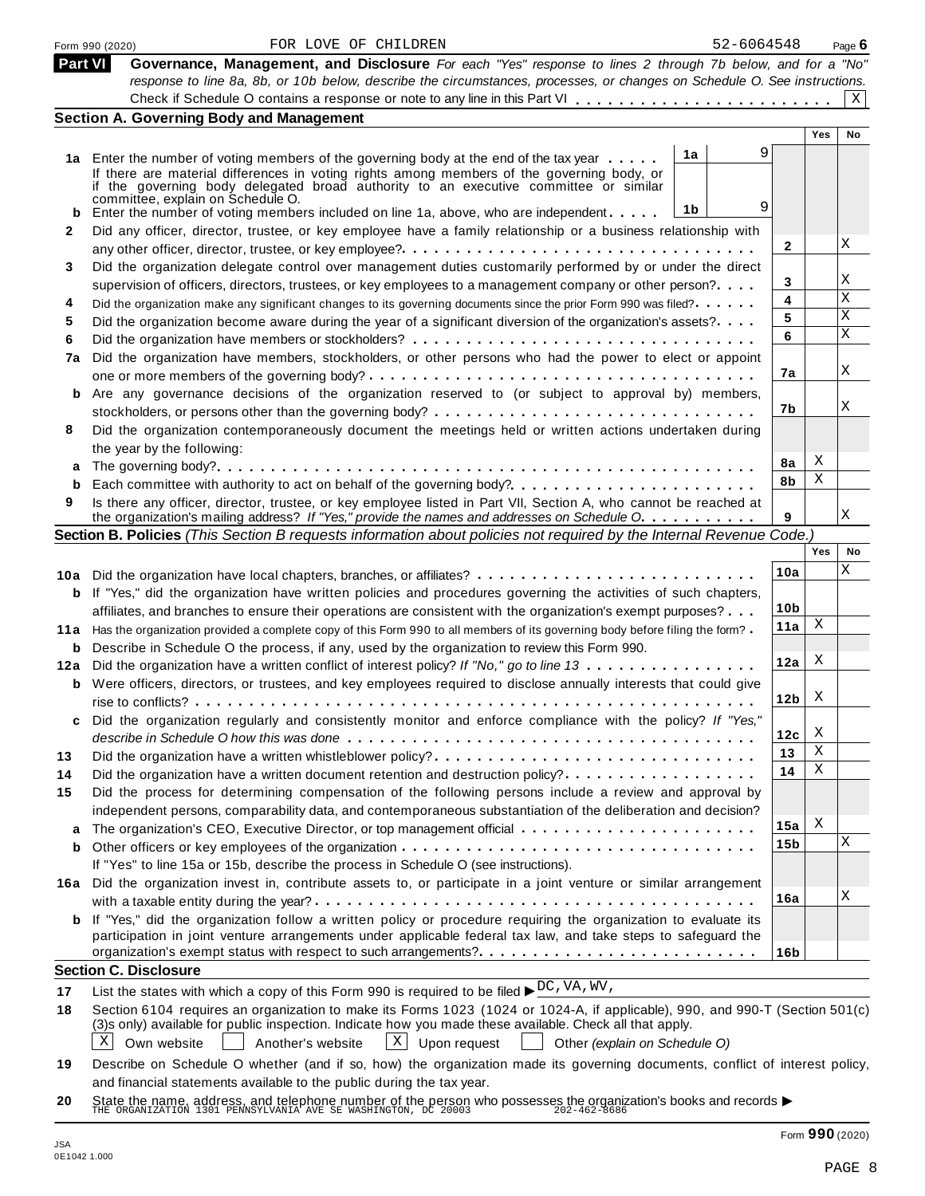|                | 52-6064548<br>FOR LOVE OF CHILDREN<br>Form 990 (2020)                                                                                                                              |                 |            | Page $6$ |
|----------------|------------------------------------------------------------------------------------------------------------------------------------------------------------------------------------|-----------------|------------|----------|
| <b>Part VI</b> | Governance, Management, and Disclosure For each "Yes" response to lines 2 through 7b below, and for a "No"                                                                         |                 |            |          |
|                | response to line 8a, 8b, or 10b below, describe the circumstances, processes, or changes on Schedule O. See instructions.                                                          |                 |            |          |
|                |                                                                                                                                                                                    |                 |            | X        |
|                | <b>Section A. Governing Body and Management</b>                                                                                                                                    |                 |            |          |
|                |                                                                                                                                                                                    |                 | <b>Yes</b> | No       |
|                | 9<br>1a<br>1a Enter the number of voting members of the governing body at the end of the tax year                                                                                  |                 |            |          |
|                | If there are material differences in voting rights among members of the governing body, or<br>if the governing body delegated broad authority to an executive committee or similar |                 |            |          |
|                | committee, explain on Schedule O.                                                                                                                                                  |                 |            |          |
|                | 9<br>1 <sub>b</sub><br>Enter the number of voting members included on line 1a, above, who are independent                                                                          |                 |            |          |
| 2              | Did any officer, director, trustee, or key employee have a family relationship or a business relationship with                                                                     |                 |            |          |
|                |                                                                                                                                                                                    | $\mathbf{2}$    |            | Χ        |
| 3              | Did the organization delegate control over management duties customarily performed by or under the direct                                                                          |                 |            |          |
|                | supervision of officers, directors, trustees, or key employees to a management company or other person?                                                                            | 3               |            | Χ        |
| 4              | Did the organization make any significant changes to its governing documents since the prior Form 990 was filed?                                                                   | 4               |            | Χ        |
| 5              | Did the organization become aware during the year of a significant diversion of the organization's assets?                                                                         | 5               |            | Χ        |
| 6              |                                                                                                                                                                                    | 6               |            | X        |
| 7a             | Did the organization have members, stockholders, or other persons who had the power to elect or appoint                                                                            |                 |            |          |
|                |                                                                                                                                                                                    | 7a              |            | Χ        |
| b              | Are any governance decisions of the organization reserved to (or subject to approval by) members,                                                                                  |                 |            |          |
|                |                                                                                                                                                                                    | 7b              |            | Χ        |
| 8              | Did the organization contemporaneously document the meetings held or written actions undertaken during                                                                             |                 |            |          |
|                | the year by the following:                                                                                                                                                         |                 |            |          |
|                |                                                                                                                                                                                    | 8a              | Χ          |          |
|                |                                                                                                                                                                                    | 8b              | Χ          |          |
| 9              | Is there any officer, director, trustee, or key employee listed in Part VII, Section A, who cannot be reached at                                                                   |                 |            |          |
|                | the organization's mailing address? If "Yes," provide the names and addresses on Schedule O.                                                                                       | 9               |            | Χ        |
|                | Section B. Policies (This Section B requests information about policies not required by the Internal Revenue Code.)                                                                |                 |            |          |
|                |                                                                                                                                                                                    |                 | Yes        | No       |
|                | 10a Did the organization have local chapters, branches, or affiliates?                                                                                                             | 10a             |            | Χ        |
|                | <b>b</b> If "Yes," did the organization have written policies and procedures governing the activities of such chapters,                                                            |                 |            |          |
|                | affiliates, and branches to ensure their operations are consistent with the organization's exempt purposes?                                                                        | 10 <sub>b</sub> |            |          |
| 11a            | Has the organization provided a complete copy of this Form 990 to all members of its governing body before filing the form?                                                        | 11a             | X          |          |
| b              | Describe in Schedule O the process, if any, used by the organization to review this Form 990.                                                                                      |                 |            |          |
| 12a            | Did the organization have a written conflict of interest policy? If "No," go to line 13                                                                                            | 12a             | X          |          |
|                | <b>b</b> Were officers, directors, or trustees, and key employees required to disclose annually interests that could give                                                          |                 |            |          |
|                |                                                                                                                                                                                    | 12 <sub>b</sub> | X          |          |
|                | Did the organization regularly and consistently monitor and enforce compliance with the policy? If "Yes,"                                                                          |                 |            |          |
|                |                                                                                                                                                                                    | 12c             | X          |          |
| 13             | Did the organization have a written whistleblower policy?                                                                                                                          | 13              | Χ          |          |
| 14             | Did the organization have a written document retention and destruction policy?                                                                                                     | 14              | Χ          |          |
| 15             | Did the process for determining compensation of the following persons include a review and approval by                                                                             |                 |            |          |
|                | independent persons, comparability data, and contemporaneous substantiation of the deliberation and decision?                                                                      |                 |            |          |
| a              |                                                                                                                                                                                    | 15a             | X          |          |
| b              |                                                                                                                                                                                    | 15b             |            | Χ        |
|                | If "Yes" to line 15a or 15b, describe the process in Schedule O (see instructions).                                                                                                |                 |            |          |
| 16a            | Did the organization invest in, contribute assets to, or participate in a joint venture or similar arrangement                                                                     |                 |            |          |
|                |                                                                                                                                                                                    | 16a             |            | Χ        |
|                | <b>b</b> If "Yes," did the organization follow a written policy or procedure requiring the organization to evaluate its                                                            |                 |            |          |
|                | participation in joint venture arrangements under applicable federal tax law, and take steps to safeguard the                                                                      |                 |            |          |
|                | organization's exempt status with respect to such arrangements?                                                                                                                    | 16 <sub>b</sub> |            |          |
|                | <b>Section C. Disclosure</b>                                                                                                                                                       |                 |            |          |
| 17             | List the states with which a copy of this Form 990 is required to be filed $\triangleright_{C}^{DC}$ , VA, WV,                                                                     |                 |            |          |
| 18             | Section 6104 requires an organization to make its Forms 1023 (1024 or 1024-A, if applicable), 990, and 990-T (Section 501(c)                                                       |                 |            |          |
|                | (3)s only) available for public inspection. Indicate how you made these available. Check all that apply.                                                                           |                 |            |          |
|                | X<br>$\mathbf{X}$<br>Upon request<br>Own website<br>Another's website<br>Other (explain on Schedule O)                                                                             |                 |            |          |
| 19             | Describe on Schedule O whether (and if so, how) the organization made its governing documents, conflict of interest policy,                                                        |                 |            |          |
|                | and financial statements available to the public during the tax year.                                                                                                              |                 |            |          |

**20** and infancial statements available to the public during the tax year.<br>State the name, address, and telephone number of the person who possesses the organization's books and records <br>THE ORGANIZATION 1301 PENNSYLVANIA AVE S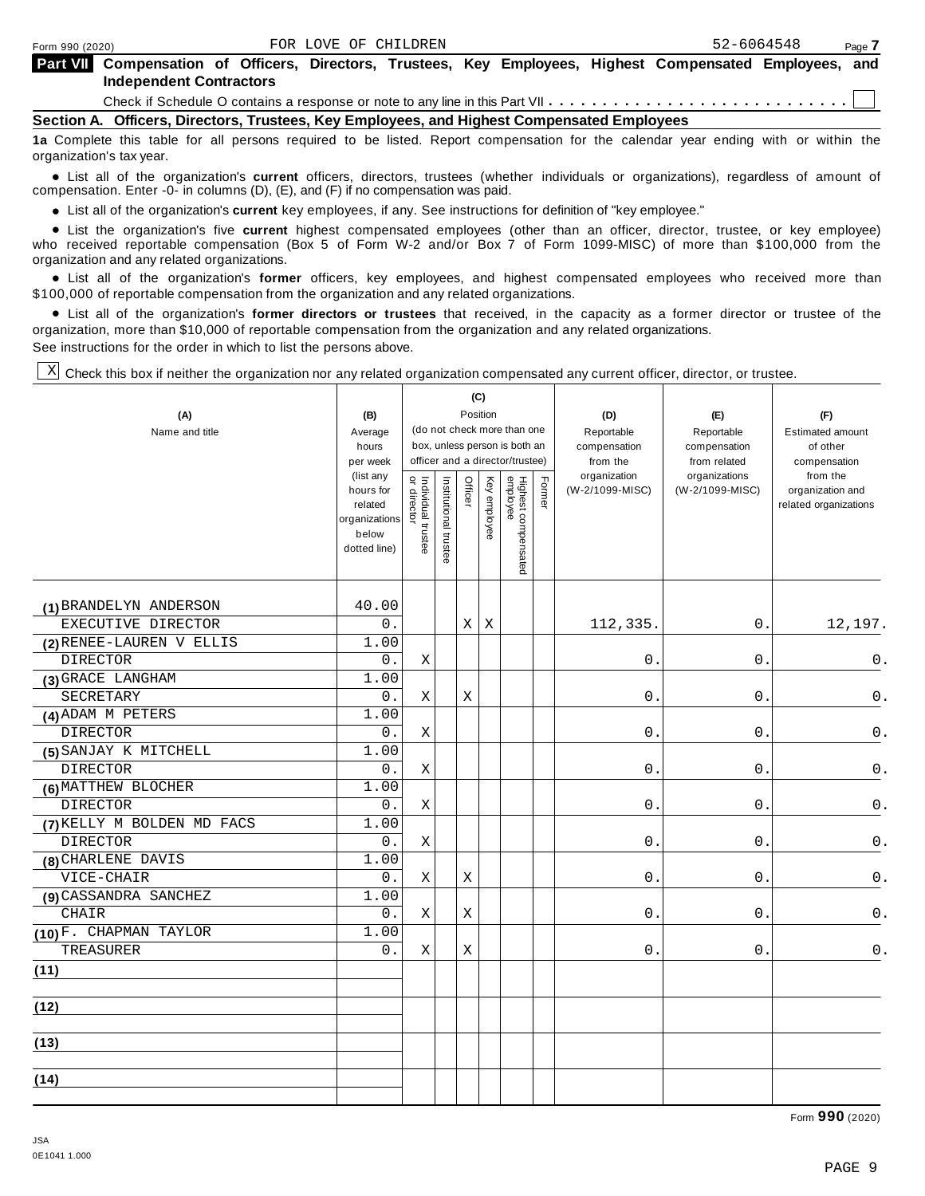| Part VII Compensation of Officers, Directors, Trustees, Key Employees, Highest Compensated Employees, and |  |  |  |  |  |
|-----------------------------------------------------------------------------------------------------------|--|--|--|--|--|
| <b>Independent Contractors</b>                                                                            |  |  |  |  |  |

Check if Schedule O contains a response or note to any line in this Part VII  $\cdots \cdots \cdots \cdots \cdots \cdots \cdots \cdots \cdots$ 

**Section A. Officers, Directors, Trustees, Key Employees, and Highest Compensated Employees**

**1a** Complete this table for all persons required to be listed. Report compensation for the calendar year ending with or within the organization's tax year.

anization's lax year.<br>● List all of the organization's **current** officers, directors, trustees (whether individuals or organizations), regardless of amount of<br>nnensation Enter -0- in columns (D) (E) and (E) if no compensa compensation. Enter -0- in columns (D), (E), and (F) if no compensation was paid.

• List all of the organization's current key employees, if any. See instructions for definition of "key employee."

■ List all of the organization's current key employees, if any. See instructions for definition of "key employee."<br>■ List the organization's five current highest compensated employees (other than an officer, director, tru who received reportable compensation (Box 5 of Form W-2 and/or Box 7 of Form 1099-MISC) of more than \$100,000 from the

organization and any related organizations.<br>• List all of the organization's **former** officers, key employees, and highest compensated employees who received more than<br>\$1.00.000 of reportable componention from the erganiza \$100,000 of reportable compensation from the organization and any related organizations.

% List all of the organization's **former directors or trustees** that received, in the capacity as a former director or trustee of the organization, more than \$10,000 of reportable compensation from the organization and any related organizations. See instructions for the order in which to list the persons above.

 $\mathbb{X}$  Check this box if neither the organization nor any related organization compensated any current officer, director, or trustee.

| (A)<br>Name and title      | (B)<br>Average<br>hours<br>per week<br>(list any<br>hours for<br>related<br>organizations<br>below<br>dotted line) | Individual trustee<br>  or director | Institutional trustee | Officer | (C)<br>Position<br>Key employee | (do not check more than one<br>box, unless person is both an<br>officer and a director/trustee)<br>Highest compensated<br>employee | Former | (D)<br>Reportable<br>compensation<br>from the<br>organization<br>(W-2/1099-MISC) | (E)<br>Reportable<br>compensation<br>from related<br>organizations<br>(W-2/1099-MISC) | (F)<br>Estimated amount<br>of other<br>compensation<br>from the<br>organization and<br>related organizations |
|----------------------------|--------------------------------------------------------------------------------------------------------------------|-------------------------------------|-----------------------|---------|---------------------------------|------------------------------------------------------------------------------------------------------------------------------------|--------|----------------------------------------------------------------------------------|---------------------------------------------------------------------------------------|--------------------------------------------------------------------------------------------------------------|
| (1) BRANDELYN ANDERSON     | 40.00                                                                                                              |                                     |                       |         |                                 |                                                                                                                                    |        |                                                                                  |                                                                                       |                                                                                                              |
| EXECUTIVE DIRECTOR         | 0.                                                                                                                 |                                     |                       | X       | X                               |                                                                                                                                    |        | 112,335                                                                          | 0.                                                                                    | 12,197.                                                                                                      |
| (2) RENEE-LAUREN V ELLIS   | 1.00                                                                                                               |                                     |                       |         |                                 |                                                                                                                                    |        |                                                                                  |                                                                                       |                                                                                                              |
| <b>DIRECTOR</b>            | 0.                                                                                                                 | X                                   |                       |         |                                 |                                                                                                                                    |        | $\mathbf 0$                                                                      | 0.                                                                                    | 0.                                                                                                           |
| (3) GRACE LANGHAM          | 1.00                                                                                                               |                                     |                       |         |                                 |                                                                                                                                    |        |                                                                                  |                                                                                       |                                                                                                              |
| <b>SECRETARY</b>           | 0.                                                                                                                 | X                                   |                       | X       |                                 |                                                                                                                                    |        | $\mathbf 0$                                                                      | $0$ .                                                                                 | $0$ .                                                                                                        |
| (4) ADAM M PETERS          | 1.00                                                                                                               |                                     |                       |         |                                 |                                                                                                                                    |        |                                                                                  |                                                                                       |                                                                                                              |
| <b>DIRECTOR</b>            | 0.                                                                                                                 | Χ                                   |                       |         |                                 |                                                                                                                                    |        | 0                                                                                | 0                                                                                     | 0.                                                                                                           |
| (5) SANJAY K MITCHELL      | 1.00                                                                                                               |                                     |                       |         |                                 |                                                                                                                                    |        |                                                                                  |                                                                                       |                                                                                                              |
| <b>DIRECTOR</b>            | 0.                                                                                                                 | Χ                                   |                       |         |                                 |                                                                                                                                    |        | 0                                                                                | 0                                                                                     | $\mathsf 0$ .                                                                                                |
| (6) MATTHEW BLOCHER        | 1.00                                                                                                               |                                     |                       |         |                                 |                                                                                                                                    |        |                                                                                  |                                                                                       |                                                                                                              |
| <b>DIRECTOR</b>            | 0.                                                                                                                 | $\rm X$                             |                       |         |                                 |                                                                                                                                    |        | $\mathsf 0$                                                                      | 0                                                                                     | $0$ .                                                                                                        |
| (7) KELLY M BOLDEN MD FACS | 1.00                                                                                                               |                                     |                       |         |                                 |                                                                                                                                    |        |                                                                                  |                                                                                       |                                                                                                              |
| <b>DIRECTOR</b>            | 0.                                                                                                                 | $\mathbf X$                         |                       |         |                                 |                                                                                                                                    |        | $0$ .                                                                            | $0$ .                                                                                 | $\mathsf 0$ .                                                                                                |
| (8) CHARLENE DAVIS         | 1.00                                                                                                               |                                     |                       |         |                                 |                                                                                                                                    |        |                                                                                  |                                                                                       |                                                                                                              |
| VICE-CHAIR                 | 0.                                                                                                                 | X                                   |                       | Χ       |                                 |                                                                                                                                    |        | 0                                                                                | 0.                                                                                    | 0.                                                                                                           |
| (9) CASSANDRA SANCHEZ      | 1.00                                                                                                               |                                     |                       |         |                                 |                                                                                                                                    |        |                                                                                  |                                                                                       |                                                                                                              |
| CHAIR                      | 0.                                                                                                                 | X                                   |                       | X       |                                 |                                                                                                                                    |        | 0                                                                                | $\mathbf{0}$ .                                                                        | 0.                                                                                                           |
| (10) F. CHAPMAN TAYLOR     | 1.00                                                                                                               |                                     |                       |         |                                 |                                                                                                                                    |        |                                                                                  |                                                                                       |                                                                                                              |
| TREASURER                  | $0$ .                                                                                                              | X                                   |                       | X       |                                 |                                                                                                                                    |        | 0                                                                                | 0                                                                                     | $0$ .                                                                                                        |
| (11)                       |                                                                                                                    |                                     |                       |         |                                 |                                                                                                                                    |        |                                                                                  |                                                                                       |                                                                                                              |
| (12)                       |                                                                                                                    |                                     |                       |         |                                 |                                                                                                                                    |        |                                                                                  |                                                                                       |                                                                                                              |
| (13)                       |                                                                                                                    |                                     |                       |         |                                 |                                                                                                                                    |        |                                                                                  |                                                                                       |                                                                                                              |
| (14)                       |                                                                                                                    |                                     |                       |         |                                 |                                                                                                                                    |        |                                                                                  |                                                                                       |                                                                                                              |

Form **990** (2020)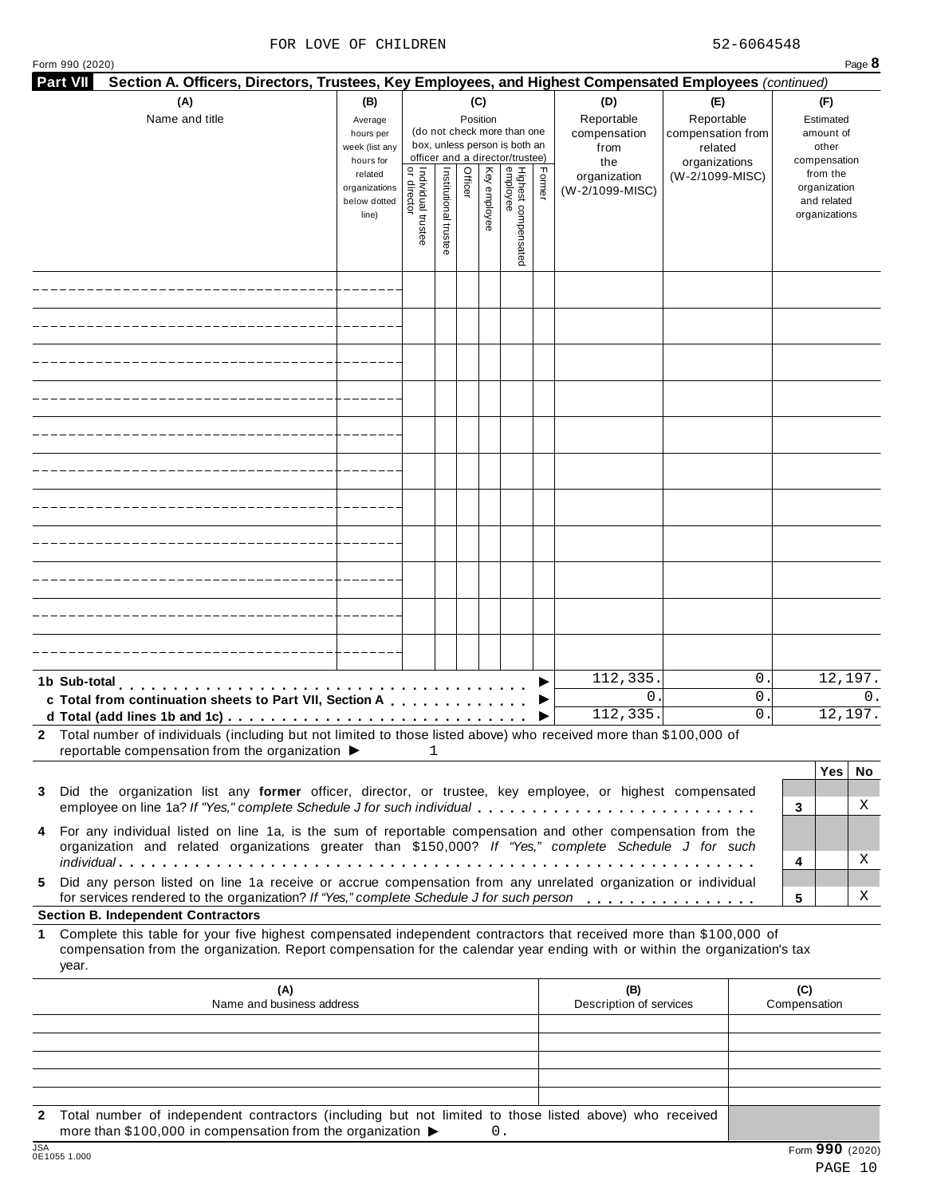### FOR LOVE OF CHILDREN 52-6064548

| Form 990 (2020)<br><b>Part VII</b> | Section A. Officers, Directors, Trustees, Key Employees, and Highest Compensated Employees (continued)                                                                                                                                           |                                                                                                                 |                                   |                       |                            |              |                                                                                                                                    |        |                                                                                     |                                                                                       |                                                                                                                    | Page 8                |
|------------------------------------|--------------------------------------------------------------------------------------------------------------------------------------------------------------------------------------------------------------------------------------------------|-----------------------------------------------------------------------------------------------------------------|-----------------------------------|-----------------------|----------------------------|--------------|------------------------------------------------------------------------------------------------------------------------------------|--------|-------------------------------------------------------------------------------------|---------------------------------------------------------------------------------------|--------------------------------------------------------------------------------------------------------------------|-----------------------|
|                                    | (A)<br>Name and title                                                                                                                                                                                                                            | (B)<br>Average<br>hours per<br>week (list any<br>hours for<br>related<br>organizations<br>below dotted<br>line) | Individual trustee<br>or director | Institutional trustee | (C)<br>Position<br>Officer | Key employee | (do not check more than one<br>box, unless person is both an<br>officer and a director/trustee)<br>Highest compensated<br>employee | Former | (D)<br>Reportable<br>compensation<br>from<br>the<br>organization<br>(W-2/1099-MISC) | (E)<br>Reportable<br>compensation from<br>related<br>organizations<br>(W-2/1099-MISC) | (F)<br>Estimated<br>amount of<br>other<br>compensation<br>from the<br>organization<br>and related<br>organizations |                       |
|                                    |                                                                                                                                                                                                                                                  |                                                                                                                 |                                   |                       |                            |              |                                                                                                                                    |        |                                                                                     |                                                                                       |                                                                                                                    |                       |
|                                    |                                                                                                                                                                                                                                                  |                                                                                                                 |                                   |                       |                            |              |                                                                                                                                    |        |                                                                                     |                                                                                       |                                                                                                                    |                       |
|                                    |                                                                                                                                                                                                                                                  |                                                                                                                 |                                   |                       |                            |              |                                                                                                                                    |        |                                                                                     |                                                                                       |                                                                                                                    |                       |
|                                    |                                                                                                                                                                                                                                                  |                                                                                                                 |                                   |                       |                            |              |                                                                                                                                    |        |                                                                                     |                                                                                       |                                                                                                                    |                       |
|                                    |                                                                                                                                                                                                                                                  |                                                                                                                 |                                   |                       |                            |              |                                                                                                                                    |        |                                                                                     |                                                                                       |                                                                                                                    |                       |
|                                    |                                                                                                                                                                                                                                                  |                                                                                                                 |                                   |                       |                            |              |                                                                                                                                    |        |                                                                                     |                                                                                       |                                                                                                                    |                       |
|                                    |                                                                                                                                                                                                                                                  |                                                                                                                 |                                   |                       |                            |              |                                                                                                                                    |        |                                                                                     |                                                                                       |                                                                                                                    |                       |
|                                    |                                                                                                                                                                                                                                                  |                                                                                                                 |                                   |                       |                            |              |                                                                                                                                    |        |                                                                                     |                                                                                       |                                                                                                                    |                       |
|                                    |                                                                                                                                                                                                                                                  |                                                                                                                 |                                   |                       |                            |              |                                                                                                                                    |        |                                                                                     |                                                                                       |                                                                                                                    |                       |
|                                    |                                                                                                                                                                                                                                                  |                                                                                                                 |                                   |                       |                            |              |                                                                                                                                    |        |                                                                                     |                                                                                       |                                                                                                                    |                       |
|                                    |                                                                                                                                                                                                                                                  |                                                                                                                 |                                   |                       |                            |              |                                                                                                                                    |        |                                                                                     |                                                                                       |                                                                                                                    |                       |
|                                    |                                                                                                                                                                                                                                                  |                                                                                                                 |                                   |                       |                            |              |                                                                                                                                    |        |                                                                                     |                                                                                       |                                                                                                                    |                       |
|                                    | 1b Sub-total                                                                                                                                                                                                                                     |                                                                                                                 |                                   |                       |                            |              |                                                                                                                                    |        | 112,335.                                                                            |                                                                                       | 0.                                                                                                                 | 12,197.               |
|                                    | c Total from continuation sheets to Part VII, Section A                                                                                                                                                                                          |                                                                                                                 |                                   |                       |                            |              |                                                                                                                                    |        | $0$ .<br>112, 335.                                                                  |                                                                                       | $0$ .<br>0                                                                                                         | $\Omega$ .<br>12,197. |
|                                    | 2 Total number of individuals (including but not limited to those listed above) who received more than \$100,000 of                                                                                                                              |                                                                                                                 |                                   |                       |                            |              |                                                                                                                                    |        |                                                                                     |                                                                                       |                                                                                                                    |                       |
|                                    | reportable compensation from the organization ▶<br>3 Did the organization list any former officer, director, or trustee, key employee, or highest compensated<br>employee on line 1a? If "Yes," complete Schedule J for such individual          |                                                                                                                 |                                   | 1                     |                            |              |                                                                                                                                    |        |                                                                                     |                                                                                       | 3                                                                                                                  | Yes  <br>No<br>Χ      |
|                                    | 4 For any individual listed on line 1a, is the sum of reportable compensation and other compensation from the<br>organization and related organizations greater than \$150,000? If "Yes," complete Schedule J for such                           |                                                                                                                 |                                   |                       |                            |              |                                                                                                                                    |        |                                                                                     |                                                                                       | 4                                                                                                                  | Χ                     |
| 5.                                 | Did any person listed on line 1a receive or accrue compensation from any unrelated organization or individual<br>for services rendered to the organization? If "Yes," complete Schedule J for such person                                        |                                                                                                                 |                                   |                       |                            |              |                                                                                                                                    |        |                                                                                     |                                                                                       | 5                                                                                                                  | X                     |
|                                    | <b>Section B. Independent Contractors</b>                                                                                                                                                                                                        |                                                                                                                 |                                   |                       |                            |              |                                                                                                                                    |        |                                                                                     |                                                                                       |                                                                                                                    |                       |
| $\mathbf 1$<br>year.               | Complete this table for your five highest compensated independent contractors that received more than \$100,000 of<br>compensation from the organization. Report compensation for the calendar year ending with or within the organization's tax |                                                                                                                 |                                   |                       |                            |              |                                                                                                                                    |        |                                                                                     |                                                                                       |                                                                                                                    |                       |
|                                    | (A)<br>Name and business address                                                                                                                                                                                                                 |                                                                                                                 |                                   |                       |                            |              |                                                                                                                                    |        | (B)<br>Description of services                                                      |                                                                                       | (C)<br>Compensation                                                                                                |                       |
|                                    |                                                                                                                                                                                                                                                  |                                                                                                                 |                                   |                       |                            |              |                                                                                                                                    |        |                                                                                     |                                                                                       |                                                                                                                    |                       |
|                                    |                                                                                                                                                                                                                                                  |                                                                                                                 |                                   |                       |                            |              |                                                                                                                                    |        |                                                                                     |                                                                                       |                                                                                                                    |                       |
|                                    |                                                                                                                                                                                                                                                  |                                                                                                                 |                                   |                       |                            |              |                                                                                                                                    |        |                                                                                     |                                                                                       |                                                                                                                    |                       |
|                                    |                                                                                                                                                                                                                                                  |                                                                                                                 |                                   |                       |                            |              |                                                                                                                                    |        |                                                                                     |                                                                                       |                                                                                                                    |                       |

**2** Total number of independent contractors (including but not limited to those listed above) who received more than \$100,000 in compensation from the organization  $\triangleright$  0.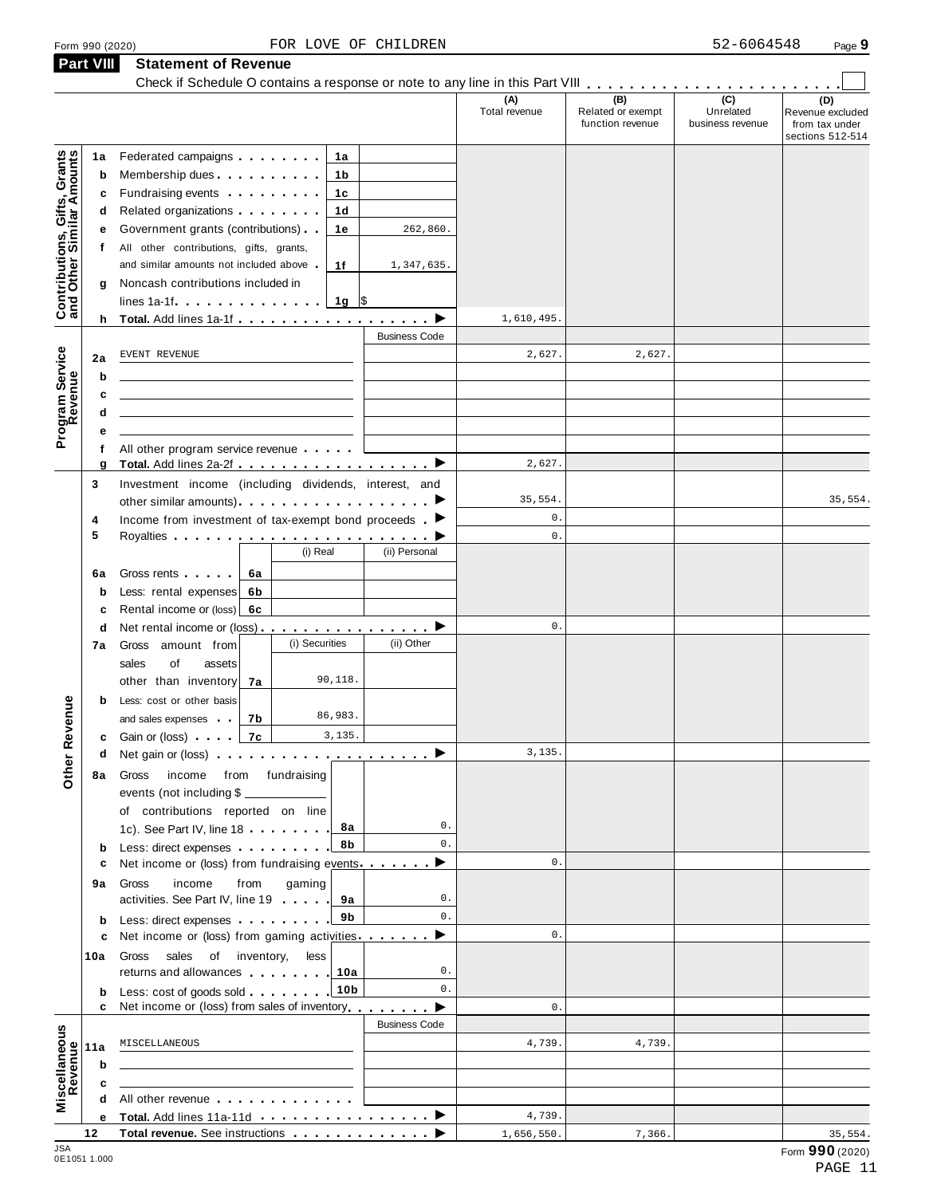|  | Form 990 (2020) |  |
|--|-----------------|--|

**Part VIII Statement of Revenue**

### Statement of Revenue<br>Check if Schedule O contains a response or note to any line in this Part VIII **manual Check if Schedule O contains (D)** Revenue excluded from tax under sections 512-514 **(A)** Total revenue **(B)** Related or exempt function revenue **(C)** Unrelated business revenue **1a** Federated campaigns **manual**<br> **b** Membership dues **manual b** Membership dues<br> **c** Fundraising events . . . . . . . .<br> **d** Related organizations . . . . . . . . Federated campaigns **manual** Fundraising events . . . . . . .<br>Related organizations . . . . . . . **1b 1c 1d 1e 1f f d** Related organizations<br>**e** Government grants (contributions) **g** Noncash contributions included in All other contributions, gifts, grants, and similar amounts not included above  $\blacksquare$ lines 1a-1f m m m m m m m m m m m m m m **1g** \$ **<sup>h</sup> Total.** Add lines 1a-1f m m m m m m m m m m m m m m m m m m I **Contributions, Gifts, Grants and Other Similar A mounts**  $h$ Business Code **2ab cd** f All other program service revenue . . . . . . **e 6a** Gross rents<br> **b** Less: rental expenses **6b c** Rental income or (loss) **6c** | **b** Less: cost or other basis<br>and sales expenses and sales expenses<br> **c**Gain or (loss) All other program service revenue <sup>m</sup> <sup>m</sup> <sup>m</sup> <sup>m</sup> <sup>m</sup> **<sup>g</sup> Total.** Add lines 2a-2f <sup>m</sup> <sup>m</sup> <sup>m</sup> <sup>m</sup> <sup>m</sup> <sup>m</sup> <sup>m</sup> <sup>m</sup> <sup>m</sup> <sup>m</sup> <sup>m</sup> <sup>m</sup> <sup>m</sup> <sup>m</sup> <sup>m</sup> <sup>m</sup> <sup>m</sup> <sup>m</sup> <sup>I</sup> Program<br>Reve<br>. . . . . **Service<br>Revenue<br>a**<br>a<br>a **3** Investment income (including dividends, interest, and Investment income (including dividends, interest, and<br>other similar amounts)  $\blacksquare$  $\frac{1}{\epsilon}$  $\begin{array}{|c|c|c|}\n\hline\n\hline\n\end{array}$  $\overline{\phantom{0}}$  $\overline{\phantom{0}}$  $\overrightarrow{ }$  $\overrightarrow{ }$  $\overrightarrow{ }$ **4 5** Income from investment of tax-exempt bond proceeds m Royalties om investment of tax-exempt bond proceeds . (i) Real | (ii) Personal Gross rents m m m m m **6a 7a** other than inventory **7b 7c <sup>d</sup>** Net rental income or (loss) m m m m m m m m m m m m m m m m **7a** Gross amount from sales of assets and sales expenses **<sup>d</sup>** Net gain or (loss) m m m m m m m m m m m m m m m m m m m m **8a** Gross income from fundraising **b** Less: direct expenses **9a** activities. See Part IV, line 19<br>**b** Less: direct expenses **manual 10a b** Less: cost of goods sold **........** 10b **11ab c** events (not including \$ of contributions reported on line **8a 8b 9a 9b 10a** of contributions reported on line<br>1c). See Part IV, line 18 c Net income or (loss) from fundraising events **manual** income from gaming activities. See Part IV, line 19 **c** Net income or (loss) from gaming activities manners  $\blacktriangleright$ Gross sales of inventory, less returns and allowances Less: cost of goods sold <sup>m</sup> <sup>m</sup> <sup>m</sup> <sup>m</sup> <sup>m</sup> <sup>m</sup> <sup>m</sup> <sup>m</sup> **<sup>c</sup>** Net income or (loss) from sales of inventory<sup>m</sup> <sup>m</sup> <sup>m</sup> <sup>m</sup> <sup>m</sup> <sup>m</sup> <sup>m</sup> <sup>m</sup> **Other Revenue** Business Code **c**  $\frac{1}{\text{All other revenue}}$  **a d** All other revenue<br>
<u>e Total. Add lines 11a-11d</u><br>
<u>——————————————————</u> **Miscellaneous**<br>
Revenue<br> **a** a a b a<br> **a** a c a b a **<sup>12</sup> Total revenue.** See instructions m m m m m m m m m m m m m I JSA Form **990** (2020) **Form 990** (2020) 262,860. 1,347,635. 1,610,495. EVENT REVENUE  $2,627$ .  $2,627$ 2,627. 35,554. 35,554. 0.  $\mathbf{0}$ .  $\mathbf{0}$ . 90,118. 86,983. 3,135. 3,135. 0. 0. 0. 0.  $\mathbf{0}$ .  $\mathbf{0}$ . 0. 0.  $\mathbf{0}$ . MISCELLANEOUS 4,739. 4,739. 4,739. 1,656,550. 7,366.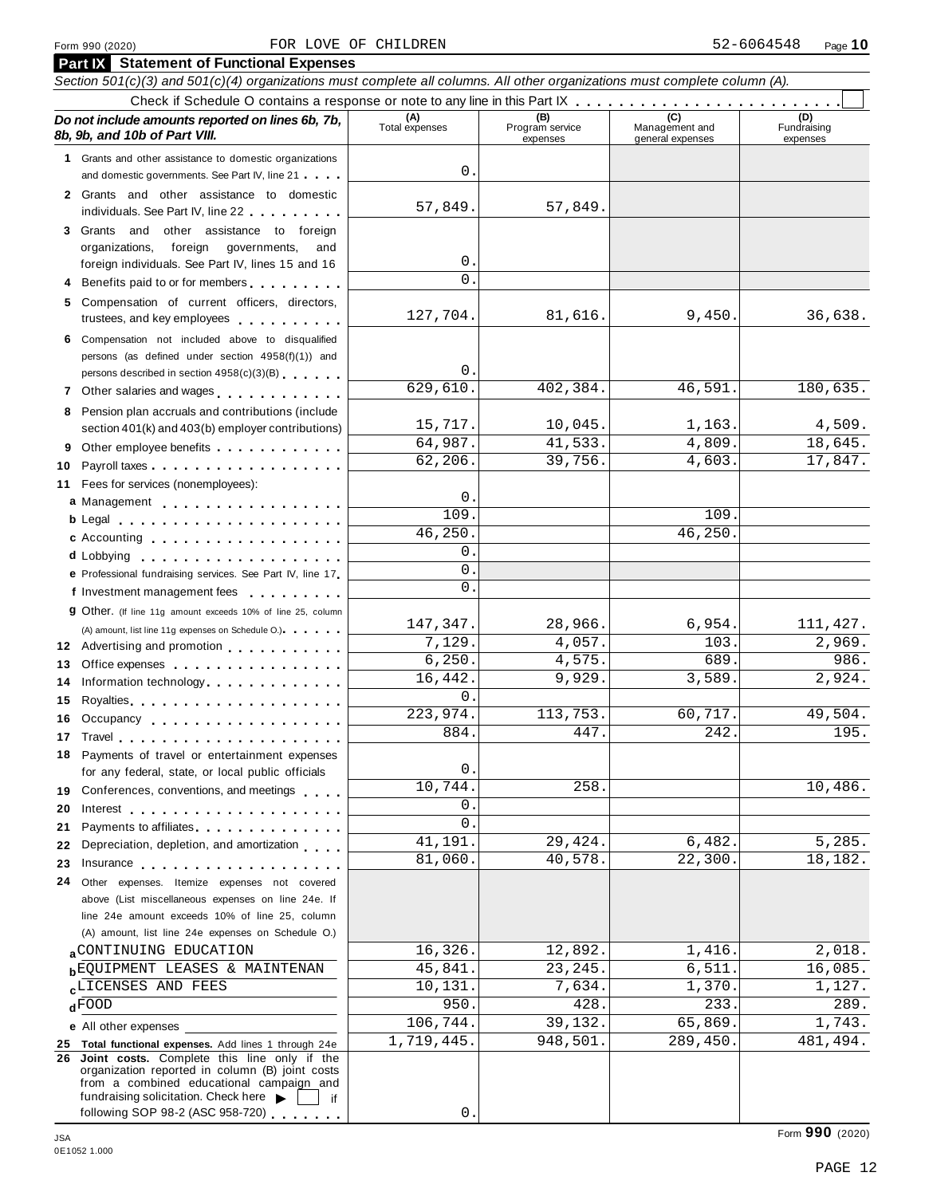### Form <sup>990</sup> (2020) Page **10** FOR LOVE OF CHILDREN 52-6064548

|          | Form 990 (2020)                                                                                                                                                                                                                                                            | FOR LOVE OF CHILDREN  |                                    |                                    | 52-6064548<br>Page 10          |
|----------|----------------------------------------------------------------------------------------------------------------------------------------------------------------------------------------------------------------------------------------------------------------------------|-----------------------|------------------------------------|------------------------------------|--------------------------------|
|          | <b>Part IX</b> Statement of Functional Expenses                                                                                                                                                                                                                            |                       |                                    |                                    |                                |
|          | Section 501(c)(3) and 501(c)(4) organizations must complete all columns. All other organizations must complete column (A).                                                                                                                                                 |                       |                                    |                                    |                                |
|          |                                                                                                                                                                                                                                                                            |                       |                                    |                                    |                                |
|          | Do not include amounts reported on lines 6b, 7b,<br>8b, 9b, and 10b of Part VIII.                                                                                                                                                                                          | (A)<br>Total expenses | (B)<br>Program service<br>expenses | Management and<br>general expenses | (D)<br>Fundraising<br>expenses |
|          | 1 Grants and other assistance to domestic organizations                                                                                                                                                                                                                    |                       |                                    |                                    |                                |
|          | and domestic governments. See Part IV, line 21                                                                                                                                                                                                                             | 0.                    |                                    |                                    |                                |
|          | 2 Grants and other assistance to domestic                                                                                                                                                                                                                                  |                       |                                    |                                    |                                |
|          | individuals. See Part IV, line 22                                                                                                                                                                                                                                          | 57,849.               | 57,849.                            |                                    |                                |
|          | 3 Grants and other assistance to foreign                                                                                                                                                                                                                                   |                       |                                    |                                    |                                |
|          | foreign governments,<br>organizations,<br>and                                                                                                                                                                                                                              |                       |                                    |                                    |                                |
|          | foreign individuals. See Part IV, lines 15 and 16                                                                                                                                                                                                                          | 0.                    |                                    |                                    |                                |
|          | Benefits paid to or for members                                                                                                                                                                                                                                            | $\Omega$ .            |                                    |                                    |                                |
| 5        | Compensation of current officers, directors,                                                                                                                                                                                                                               |                       |                                    |                                    |                                |
|          | trustees, and key employees                                                                                                                                                                                                                                                | 127,704.              | 81,616.                            | 9,450.                             | 36,638.                        |
| 6        | Compensation not included above to disqualified                                                                                                                                                                                                                            |                       |                                    |                                    |                                |
|          | persons (as defined under section 4958(f)(1)) and                                                                                                                                                                                                                          |                       |                                    |                                    |                                |
|          | persons described in section 4958(c)(3)(B)                                                                                                                                                                                                                                 | 0.                    |                                    |                                    |                                |
|          | 7 Other salaries and wages                                                                                                                                                                                                                                                 | 629,610.              | 402,384.                           | 46,591.                            | 180,635.                       |
| 8        | Pension plan accruals and contributions (include                                                                                                                                                                                                                           |                       |                                    |                                    |                                |
|          | section 401(k) and 403(b) employer contributions)                                                                                                                                                                                                                          | 15,717.               | 10,045.                            | 1,163.                             | 4,509.                         |
| 9        | Other employee benefits                                                                                                                                                                                                                                                    | 64,987.               | 41,533.                            | 4,809.                             | 18,645.                        |
| 10       |                                                                                                                                                                                                                                                                            | 62,206.               | 39,756.                            | 4,603.                             | 17,847.                        |
| 11       | Fees for services (nonemployees):                                                                                                                                                                                                                                          |                       |                                    |                                    |                                |
|          | a Management                                                                                                                                                                                                                                                               | 0.                    |                                    |                                    |                                |
|          | b Legal entering the service of the service of the service of the service of the service of the service of the                                                                                                                                                             | 109.                  |                                    | 109                                |                                |
|          | c Accounting experience and a series are a series of the series of the series of the series of the series of the series of the series of the series of the series of the series of the series of the series of the series of t                                             | 46,250.               |                                    | 46,250                             |                                |
|          | d Lobbying                                                                                                                                                                                                                                                                 | 0.                    |                                    |                                    |                                |
|          | e Professional fundraising services. See Part IV, line 17                                                                                                                                                                                                                  | $\mathbf{0}$ .        |                                    |                                    |                                |
|          | f Investment management fees                                                                                                                                                                                                                                               | $0$ .                 |                                    |                                    |                                |
|          | <b>g</b> Other. (If line 11g amount exceeds 10% of line 25, column                                                                                                                                                                                                         |                       |                                    |                                    |                                |
|          | (A) amount, list line 11g expenses on Schedule O.) expenses                                                                                                                                                                                                                | 147,347.              | 28,966.                            | 6,954.                             | 111, 427.                      |
|          | 12 Advertising and promotion                                                                                                                                                                                                                                               | 7,129.                | 4,057.                             | 103.                               | 2,969.                         |
| 13       | Office expenses                                                                                                                                                                                                                                                            | 6, 250.               | 4,575.                             | 689                                | 986.                           |
| 14       |                                                                                                                                                                                                                                                                            | 16,442.               | 9,929.                             | 3,589.                             | 2,924.                         |
| 15       |                                                                                                                                                                                                                                                                            | 0.<br>223,974.        | 113,753.                           | 60,717.                            | 49,504.                        |
|          | 16 Occupancy <b>contains the contract of the contract of the contract of the contract of the contract of the contract of the contract of the contract of the contract of the contract of the contract of the contract of the con</b>                                       | 884.                  | 447.                               | 242                                | 195.                           |
|          | 17 Travel                                                                                                                                                                                                                                                                  |                       |                                    |                                    |                                |
| 18       | Payments of travel or entertainment expenses                                                                                                                                                                                                                               | 0.                    |                                    |                                    |                                |
|          | for any federal, state, or local public officials                                                                                                                                                                                                                          | 10,744.               | 258.                               |                                    | 10,486.                        |
|          | 19 Conferences, conventions, and meetings                                                                                                                                                                                                                                  | 0.                    |                                    |                                    |                                |
| 20       |                                                                                                                                                                                                                                                                            | 0.                    |                                    |                                    |                                |
| 21       | Payments to affiliates experience and the set of the set of the set of the set of the set of the set of the set of the set of the set of the set of the set of the set of the set of the set of the set of the set of the set<br>Depreciation, depletion, and amortization | 41,191.               | 29,424.                            | 6,482.                             | 5,285.                         |
| 22<br>23 | Insurance <b>All According to the Contract of the Contract of the Contract of the Contract of the Contract of the Contract of the Contract of the Contract of the Contract of the Contract of the Contract of the Contract of th</b>                                       | 81,060.               | 40,578.                            | 22,300.                            | 18,182.                        |
| 24       | Other expenses. Itemize expenses not covered                                                                                                                                                                                                                               |                       |                                    |                                    |                                |
|          | above (List miscellaneous expenses on line 24e. If                                                                                                                                                                                                                         |                       |                                    |                                    |                                |
|          | line 24e amount exceeds 10% of line 25, column                                                                                                                                                                                                                             |                       |                                    |                                    |                                |
|          | (A) amount, list line 24e expenses on Schedule O.)                                                                                                                                                                                                                         |                       |                                    |                                    |                                |
|          | a CONTINUING EDUCATION                                                                                                                                                                                                                                                     | 16,326.               | 12,892.                            | 1,416.                             | 2,018.                         |
|          | <b>b</b> EQUIPMENT LEASES & MAINTENAN                                                                                                                                                                                                                                      | 45,841.               | 23, 245.                           | 6,511                              | 16,085.                        |
|          | LICENSES AND FEES                                                                                                                                                                                                                                                          | 10,131.               | 7,634.                             | 1,370                              | 1,127.                         |
|          | $d$ FOOD                                                                                                                                                                                                                                                                   | 950.                  | 428.                               | 233                                | 289.                           |
|          | e All other expenses                                                                                                                                                                                                                                                       | 106,744.              | 39,132.                            | 65,869.                            | 1,743.                         |
|          | 25 Total functional expenses. Add lines 1 through 24e                                                                                                                                                                                                                      | 1,719,445.            | 948,501.                           | 289,450                            | 481,494.                       |
|          | 26 Joint costs. Complete this line only if the                                                                                                                                                                                                                             |                       |                                    |                                    |                                |
|          | organization reported in column (B) joint costs<br>from a combined educational campaign and                                                                                                                                                                                |                       |                                    |                                    |                                |
|          | fundraising solicitation. Check here $\blacktriangleright$<br>if                                                                                                                                                                                                           |                       |                                    |                                    |                                |

 $\overline{0}$  .

following SOP 98-2 (ASC 958-720)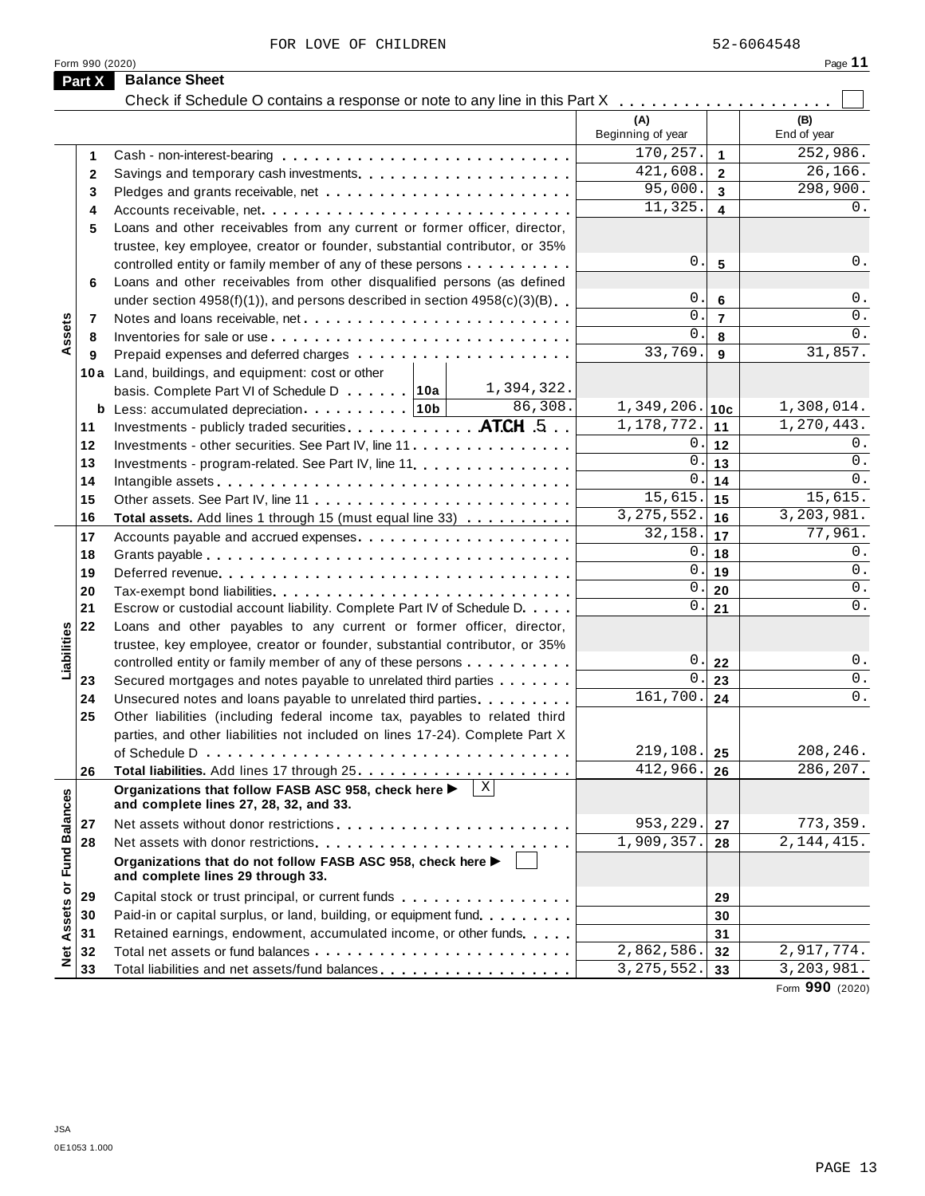FOR LOVE OF CHILDREN 52-6064548

|                             | Form 990 (2020) |                                                                                                                |                          |                 | Page 11            |
|-----------------------------|-----------------|----------------------------------------------------------------------------------------------------------------|--------------------------|-----------------|--------------------|
|                             | Part X          | <b>Balance Sheet</b>                                                                                           |                          |                 |                    |
|                             |                 | Check if Schedule O contains a response or note to any line in this Part X                                     |                          |                 |                    |
|                             |                 |                                                                                                                | (A)<br>Beginning of year |                 | (B)<br>End of year |
|                             | 1               |                                                                                                                | 170,257.                 | $\mathbf{1}$    | 252,986.           |
|                             | $\mathbf{2}$    |                                                                                                                | 421,608.                 | $\overline{2}$  | 26,166.            |
|                             | 3               |                                                                                                                | 95,000.                  | 3               | 298,900.           |
|                             | 4               |                                                                                                                | 11,325.                  | 4               | 0.                 |
|                             | 5               | Loans and other receivables from any current or former officer, director,                                      |                          |                 |                    |
|                             |                 | trustee, key employee, creator or founder, substantial contributor, or 35%                                     |                          |                 |                    |
|                             |                 | controlled entity or family member of any of these persons                                                     | $0\,$ .                  | 5               | 0.                 |
|                             | 6               | Loans and other receivables from other disqualified persons (as defined                                        |                          |                 |                    |
|                             |                 | under section $4958(f)(1)$ , and persons described in section $4958(c)(3)(B)$                                  | 0                        | 6               | $0$ .              |
|                             | 7               |                                                                                                                | 0                        | $\overline{7}$  | $0$ .              |
| Assets                      | 8               |                                                                                                                | 0                        | 8               | 0.                 |
|                             | 9               |                                                                                                                | 33,769.                  | 9               | 31,857.            |
|                             |                 | 10a Land, buildings, and equipment: cost or other                                                              |                          |                 |                    |
|                             |                 | 1,394,322.<br>basis. Complete Part VI of Schedule D 10a                                                        |                          |                 |                    |
|                             |                 | 86,308.                                                                                                        | 1,349,206.               | 10 <sub>c</sub> | 1,308,014.         |
|                             | 11              | Investments - publicly traded securities ATCH 5                                                                | 1,178,772.               | 11              | 1,270,443.         |
|                             | 12              | Investments - other securities. See Part IV, line 11                                                           | 0                        | 12              | 0.<br>0.           |
|                             | 13              | Investments - program-related. See Part IV, line 11 <b>All and Street Barnetts</b> - program-                  | 0<br>0                   | 13              | 0.                 |
|                             | 14              |                                                                                                                | 15,615.                  | 14              | 15,615.            |
|                             | 15              |                                                                                                                | 3, 275, 552.             | 15              | 3,203,981.         |
|                             | 16              | Total assets. Add lines 1 through 15 (must equal line 33)                                                      | 32,158                   | 16<br>17        | 77,961.            |
|                             | 17              |                                                                                                                | 0                        | 18              | $\overline{0}$ .   |
|                             | 18<br>19        |                                                                                                                | 0                        | 19              | 0.                 |
|                             | 20              |                                                                                                                | 0                        | 20              | 0.                 |
|                             | 21              | Escrow or custodial account liability. Complete Part IV of Schedule D.                                         | 0                        | 21              | 0.                 |
|                             | 22              | Loans and other payables to any current or former officer, director,                                           |                          |                 |                    |
| Liabilities                 |                 | trustee, key employee, creator or founder, substantial contributor, or 35%                                     |                          |                 |                    |
|                             |                 | controlled entity or family member of any of these persons                                                     | 0                        | 22              | 0.                 |
|                             | 23              | Secured mortgages and notes payable to unrelated third parties                                                 | 0                        | 23              | $0$ .              |
|                             | 24              | Unsecured notes and loans payable to unrelated third parties                                                   | 161,700.                 | 24              | $\overline{0}$ .   |
|                             | 25              | Other liabilities (including federal income tax, payables to related third                                     |                          |                 |                    |
|                             |                 | parties, and other liabilities not included on lines 17-24). Complete Part X                                   |                          |                 |                    |
|                             |                 |                                                                                                                | 219,108.                 | 25              | 208,246.           |
|                             | 26              |                                                                                                                | 412,966.                 | 26              | 286,207.           |
|                             |                 | $\mathbf{X}$<br>Organizations that follow FASB ASC 958, check here ▶<br>and complete lines 27, 28, 32, and 33. |                          |                 |                    |
|                             | 27              |                                                                                                                | 953,229.                 | 27              | 773,359.           |
|                             | 28              |                                                                                                                | 1,909,357.               | 28              | 2, 144, 415.       |
| Net Assets or Fund Balances |                 | Organizations that do not follow FASB ASC 958, check here ▶<br>and complete lines 29 through 33.               |                          |                 |                    |
|                             | 29              | Capital stock or trust principal, or current funds                                                             |                          | 29              |                    |
|                             | 30              | Paid-in or capital surplus, or land, building, or equipment fund.                                              |                          | 30              |                    |
|                             | 31              | Retained earnings, endowment, accumulated income, or other funds                                               |                          | 31              |                    |
|                             | 32              |                                                                                                                | 2,862,586.               | 32              | 2,917,774.         |
|                             | 33              |                                                                                                                | 3, 275, 552.             | 33              | 3,203,981.         |

Form **990** (2020)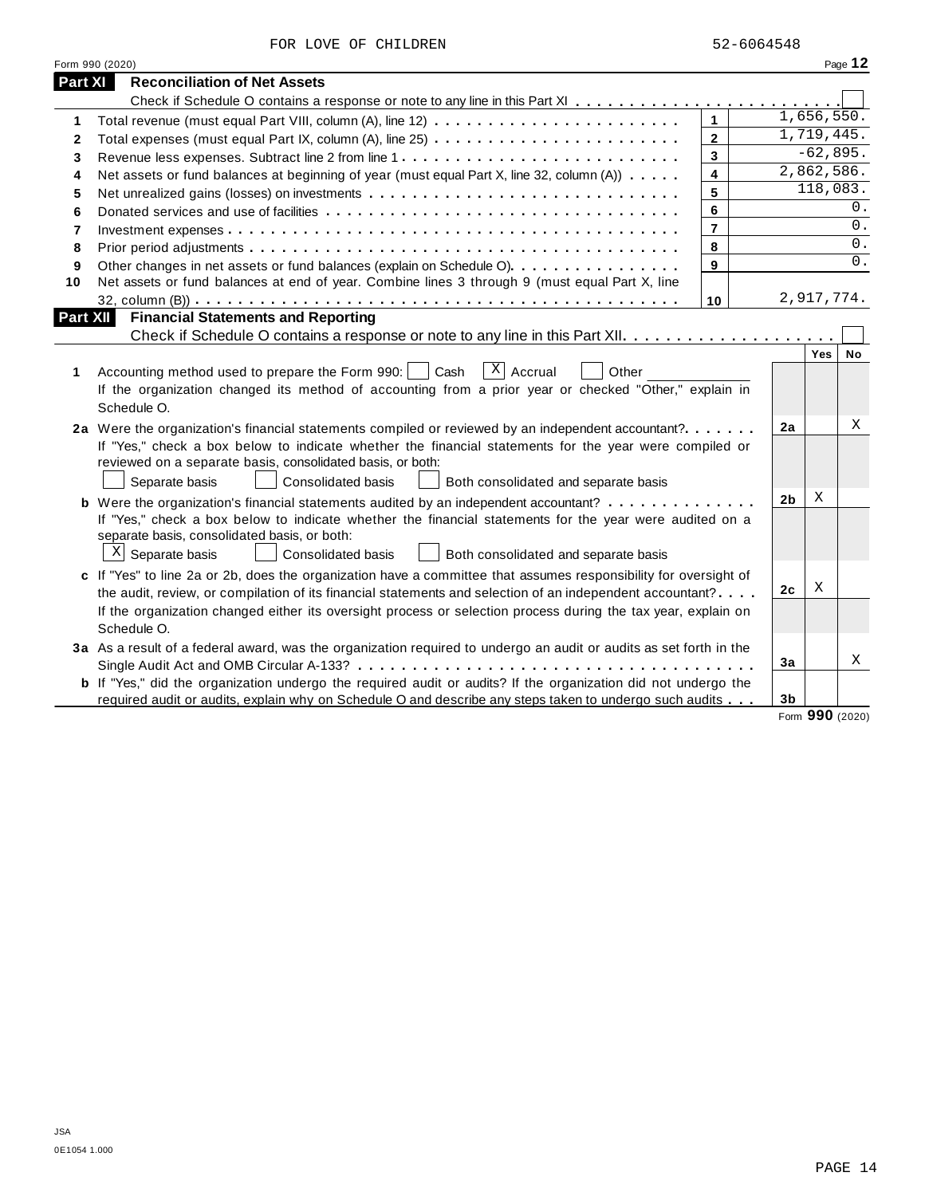|  |  |  | FOR LOVE OF CHILDREN |
|--|--|--|----------------------|
|--|--|--|----------------------|

|                 | Form 990 (2020)                                                                                                       |                |  |                |                          | Page 12 |  |  |  |
|-----------------|-----------------------------------------------------------------------------------------------------------------------|----------------|--|----------------|--------------------------|---------|--|--|--|
| Part XI         | <b>Reconciliation of Net Assets</b>                                                                                   |                |  |                |                          |         |  |  |  |
|                 |                                                                                                                       |                |  |                |                          |         |  |  |  |
| 1               |                                                                                                                       | $\mathbf{1}$   |  |                | 1,656,550.               |         |  |  |  |
| $\mathbf{2}$    |                                                                                                                       | $\overline{2}$ |  |                | 1,719,445.               |         |  |  |  |
| 3               |                                                                                                                       | $\overline{3}$ |  |                | $-62,895.$<br>2,862,586. |         |  |  |  |
| 4               | 4<br>Net assets or fund balances at beginning of year (must equal Part X, line 32, column (A))                        |                |  |                |                          |         |  |  |  |
| 5               |                                                                                                                       | 5              |  |                | 118,083.                 |         |  |  |  |
| 6               |                                                                                                                       | 6              |  |                |                          | 0.      |  |  |  |
| $\overline{7}$  |                                                                                                                       | $\overline{7}$ |  |                |                          | 0.      |  |  |  |
| 8               |                                                                                                                       | 8              |  |                |                          | 0.      |  |  |  |
| 9               | Other changes in net assets or fund balances (explain on Schedule O).                                                 | 9              |  |                |                          | 0.      |  |  |  |
| 10              | Net assets or fund balances at end of year. Combine lines 3 through 9 (must equal Part X, line                        |                |  |                |                          |         |  |  |  |
|                 |                                                                                                                       | 10             |  |                | 2,917,774.               |         |  |  |  |
| <b>Part XII</b> | <b>Financial Statements and Reporting</b>                                                                             |                |  |                |                          |         |  |  |  |
|                 |                                                                                                                       |                |  |                |                          |         |  |  |  |
|                 |                                                                                                                       |                |  |                | Yes                      | No      |  |  |  |
| 1               | $\overline{X}$ Accrual<br>Accounting method used to prepare the Form 990:     Cash<br>Other                           |                |  |                |                          |         |  |  |  |
|                 | If the organization changed its method of accounting from a prior year or checked "Other," explain in                 |                |  |                |                          |         |  |  |  |
|                 | Schedule O.                                                                                                           |                |  |                |                          |         |  |  |  |
|                 | 2a Were the organization's financial statements compiled or reviewed by an independent accountant?                    |                |  | 2a             |                          | Χ       |  |  |  |
|                 | If "Yes," check a box below to indicate whether the financial statements for the year were compiled or                |                |  |                |                          |         |  |  |  |
|                 | reviewed on a separate basis, consolidated basis, or both:                                                            |                |  |                |                          |         |  |  |  |
|                 | Separate basis<br><b>Consolidated basis</b><br>Both consolidated and separate basis                                   |                |  |                |                          |         |  |  |  |
|                 | <b>b</b> Were the organization's financial statements audited by an independent accountant?                           |                |  | 2b             | X                        |         |  |  |  |
|                 | If "Yes," check a box below to indicate whether the financial statements for the year were audited on a               |                |  |                |                          |         |  |  |  |
|                 | separate basis, consolidated basis, or both:                                                                          |                |  |                |                          |         |  |  |  |
|                 | $\mathbb{X}$ Separate basis<br>Consolidated basis<br>Both consolidated and separate basis                             |                |  |                |                          |         |  |  |  |
|                 | c If "Yes" to line 2a or 2b, does the organization have a committee that assumes responsibility for oversight of      |                |  |                |                          |         |  |  |  |
|                 | the audit, review, or compilation of its financial statements and selection of an independent accountant?             |                |  | 2c             | X                        |         |  |  |  |
|                 | If the organization changed either its oversight process or selection process during the tax year, explain on         |                |  |                |                          |         |  |  |  |
|                 | Schedule O.                                                                                                           |                |  |                |                          |         |  |  |  |
|                 | 3a As a result of a federal award, was the organization required to undergo an audit or audits as set forth in the    |                |  |                |                          |         |  |  |  |
|                 |                                                                                                                       |                |  | 3a             |                          | X       |  |  |  |
|                 | <b>b</b> If "Yes," did the organization undergo the required audit or audits? If the organization did not undergo the |                |  |                |                          |         |  |  |  |
|                 | required audit or audits, explain why on Schedule O and describe any steps taken to undergo such audits               |                |  | 3 <sub>b</sub> |                          |         |  |  |  |

Form **990** (2020)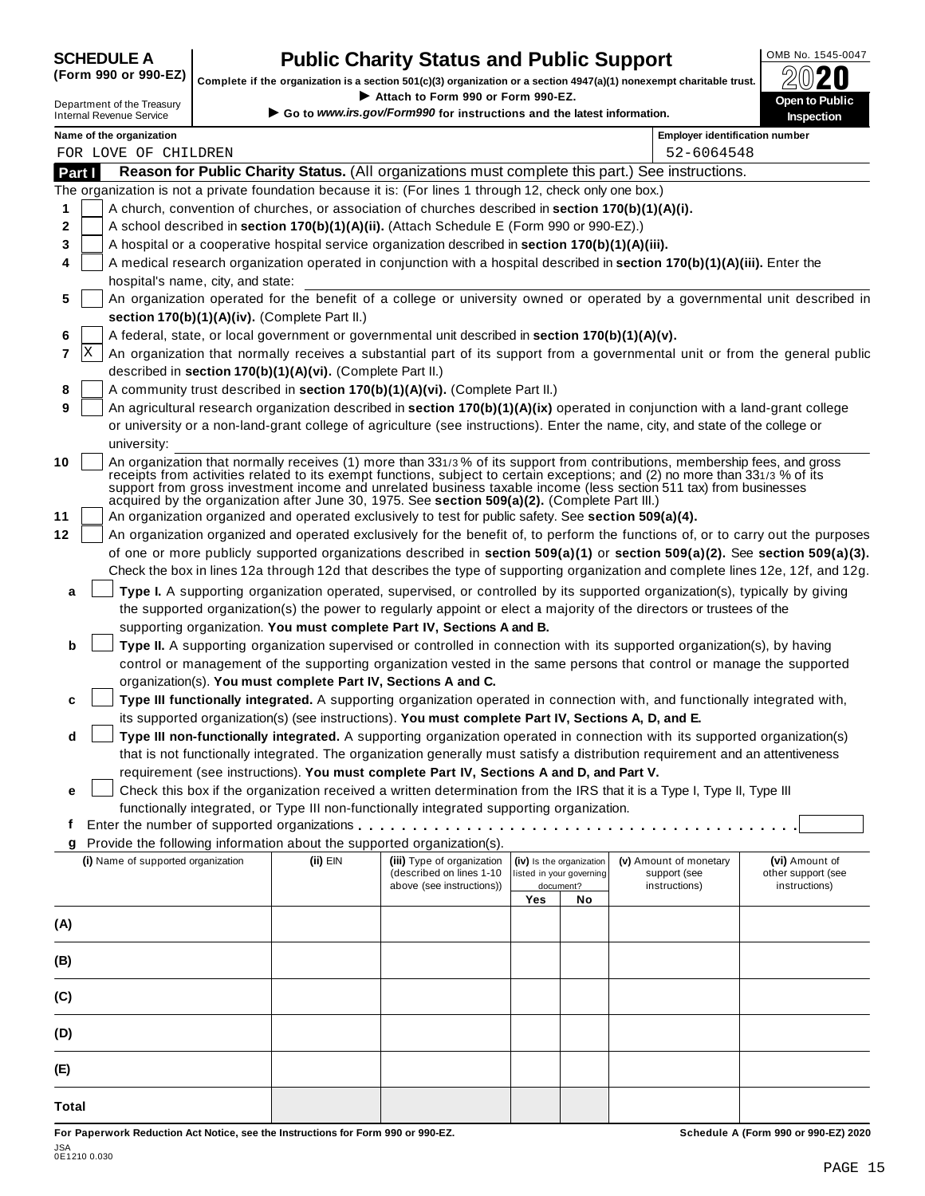# **CHEDULE A Public Charity Status and Public Support**  $\frac{100\text{dB No. }1545-0047}{000\text{dB No.}}$

(Form 990 or 990-EZ) complete if the organization is a section 501(c)(3) organization or a section 4947(a)(1) nonexempt charitable trust.  $2020$ 

|         |                                                               |                                                            | Complete if the organization is a section 501(c)(3) organization or a section 4947(a)(1) nonexempt charitable trust. |     |                          |                                                                                                                                                                                                                                                                                                                                                                                | ZWŁU               |
|---------|---------------------------------------------------------------|------------------------------------------------------------|----------------------------------------------------------------------------------------------------------------------|-----|--------------------------|--------------------------------------------------------------------------------------------------------------------------------------------------------------------------------------------------------------------------------------------------------------------------------------------------------------------------------------------------------------------------------|--------------------|
|         | Department of the Treasury<br><b>Internal Revenue Service</b> |                                                            | Attach to Form 990 or Form 990-EZ.<br>Go to www.irs.gov/Form990 for instructions and the latest information.         |     |                          |                                                                                                                                                                                                                                                                                                                                                                                | Open to Public     |
|         |                                                               |                                                            |                                                                                                                      |     |                          |                                                                                                                                                                                                                                                                                                                                                                                | Inspection         |
|         | Name of the organization<br>FOR LOVE OF CHILDREN              |                                                            |                                                                                                                      |     |                          | <b>Employer identification number</b><br>52-6064548                                                                                                                                                                                                                                                                                                                            |                    |
| Part I  |                                                               |                                                            |                                                                                                                      |     |                          | Reason for Public Charity Status. (All organizations must complete this part.) See instructions.                                                                                                                                                                                                                                                                               |                    |
|         |                                                               |                                                            | The organization is not a private foundation because it is: (For lines 1 through 12, check only one box.)            |     |                          |                                                                                                                                                                                                                                                                                                                                                                                |                    |
| 1       |                                                               |                                                            | A church, convention of churches, or association of churches described in section 170(b)(1)(A)(i).                   |     |                          |                                                                                                                                                                                                                                                                                                                                                                                |                    |
| 2       |                                                               |                                                            | A school described in section 170(b)(1)(A)(ii). (Attach Schedule E (Form 990 or 990-EZ).)                            |     |                          |                                                                                                                                                                                                                                                                                                                                                                                |                    |
| 3       |                                                               |                                                            | A hospital or a cooperative hospital service organization described in section 170(b)(1)(A)(iii).                    |     |                          |                                                                                                                                                                                                                                                                                                                                                                                |                    |
| 4       |                                                               |                                                            |                                                                                                                      |     |                          | A medical research organization operated in conjunction with a hospital described in section 170(b)(1)(A)(iii). Enter the                                                                                                                                                                                                                                                      |                    |
|         | hospital's name, city, and state:                             |                                                            |                                                                                                                      |     |                          |                                                                                                                                                                                                                                                                                                                                                                                |                    |
| 5       |                                                               |                                                            |                                                                                                                      |     |                          | An organization operated for the benefit of a college or university owned or operated by a governmental unit described in                                                                                                                                                                                                                                                      |                    |
|         |                                                               | section 170(b)(1)(A)(iv). (Complete Part II.)              |                                                                                                                      |     |                          |                                                                                                                                                                                                                                                                                                                                                                                |                    |
| 6       |                                                               |                                                            | A federal, state, or local government or governmental unit described in section 170(b)(1)(A)(v).                     |     |                          |                                                                                                                                                                                                                                                                                                                                                                                |                    |
| ΙX<br>7 |                                                               |                                                            |                                                                                                                      |     |                          | An organization that normally receives a substantial part of its support from a governmental unit or from the general public                                                                                                                                                                                                                                                   |                    |
|         |                                                               | described in section 170(b)(1)(A)(vi). (Complete Part II.) |                                                                                                                      |     |                          |                                                                                                                                                                                                                                                                                                                                                                                |                    |
| 8       |                                                               |                                                            | A community trust described in section 170(b)(1)(A)(vi). (Complete Part II.)                                         |     |                          |                                                                                                                                                                                                                                                                                                                                                                                |                    |
| 9       |                                                               |                                                            |                                                                                                                      |     |                          | An agricultural research organization described in section 170(b)(1)(A)(ix) operated in conjunction with a land-grant college                                                                                                                                                                                                                                                  |                    |
|         |                                                               |                                                            |                                                                                                                      |     |                          | or university or a non-land-grant college of agriculture (see instructions). Enter the name, city, and state of the college or                                                                                                                                                                                                                                                 |                    |
|         | university:                                                   |                                                            |                                                                                                                      |     |                          |                                                                                                                                                                                                                                                                                                                                                                                |                    |
| 10      |                                                               |                                                            | acquired by the organization after June 30, 1975. See section 509(a)(2). (Complete Part III.)                        |     |                          | An organization that normally receives (1) more than 331/3% of its support from contributions, membership fees, and gross<br>receipts from activities related to its exempt functions, subject to certain exceptions; and (2) no more than 331/3 % of its<br>support from gross investment income and unrelated business taxable income (less section 511 tax) from businesses |                    |
| 11      |                                                               |                                                            | An organization organized and operated exclusively to test for public safety. See section 509(a)(4).                 |     |                          |                                                                                                                                                                                                                                                                                                                                                                                |                    |
| 12      |                                                               |                                                            |                                                                                                                      |     |                          | An organization organized and operated exclusively for the benefit of, to perform the functions of, or to carry out the purposes                                                                                                                                                                                                                                               |                    |
|         |                                                               |                                                            |                                                                                                                      |     |                          | of one or more publicly supported organizations described in section 509(a)(1) or section 509(a)(2). See section 509(a)(3).                                                                                                                                                                                                                                                    |                    |
|         |                                                               |                                                            |                                                                                                                      |     |                          | Check the box in lines 12a through 12d that describes the type of supporting organization and complete lines 12e, 12f, and 12g.                                                                                                                                                                                                                                                |                    |
| a       |                                                               |                                                            |                                                                                                                      |     |                          | Type I. A supporting organization operated, supervised, or controlled by its supported organization(s), typically by giving                                                                                                                                                                                                                                                    |                    |
|         |                                                               |                                                            |                                                                                                                      |     |                          | the supported organization(s) the power to regularly appoint or elect a majority of the directors or trustees of the                                                                                                                                                                                                                                                           |                    |
|         |                                                               |                                                            | supporting organization. You must complete Part IV, Sections A and B.                                                |     |                          |                                                                                                                                                                                                                                                                                                                                                                                |                    |
| b       |                                                               |                                                            |                                                                                                                      |     |                          | Type II. A supporting organization supervised or controlled in connection with its supported organization(s), by having                                                                                                                                                                                                                                                        |                    |
|         |                                                               |                                                            |                                                                                                                      |     |                          | control or management of the supporting organization vested in the same persons that control or manage the supported                                                                                                                                                                                                                                                           |                    |
|         |                                                               |                                                            | organization(s). You must complete Part IV, Sections A and C.                                                        |     |                          |                                                                                                                                                                                                                                                                                                                                                                                |                    |
| c       |                                                               |                                                            |                                                                                                                      |     |                          | Type III functionally integrated. A supporting organization operated in connection with, and functionally integrated with,                                                                                                                                                                                                                                                     |                    |
|         |                                                               |                                                            | its supported organization(s) (see instructions). You must complete Part IV, Sections A, D, and E.                   |     |                          |                                                                                                                                                                                                                                                                                                                                                                                |                    |
| d       |                                                               |                                                            |                                                                                                                      |     |                          | Type III non-functionally integrated. A supporting organization operated in connection with its supported organization(s)                                                                                                                                                                                                                                                      |                    |
|         |                                                               |                                                            |                                                                                                                      |     |                          | that is not functionally integrated. The organization generally must satisfy a distribution requirement and an attentiveness                                                                                                                                                                                                                                                   |                    |
|         |                                                               |                                                            | requirement (see instructions). You must complete Part IV, Sections A and D, and Part V.                             |     |                          | Check this box if the organization received a written determination from the IRS that it is a Type I, Type II, Type III                                                                                                                                                                                                                                                        |                    |
| е       |                                                               |                                                            | functionally integrated, or Type III non-functionally integrated supporting organization.                            |     |                          |                                                                                                                                                                                                                                                                                                                                                                                |                    |
| t.      |                                                               |                                                            |                                                                                                                      |     |                          |                                                                                                                                                                                                                                                                                                                                                                                |                    |
|         |                                                               |                                                            | Provide the following information about the supported organization(s).                                               |     |                          |                                                                                                                                                                                                                                                                                                                                                                                |                    |
|         | (i) Name of supported organization                            | (ii) EIN                                                   | (iii) Type of organization                                                                                           |     | (iv) Is the organization | (v) Amount of monetary                                                                                                                                                                                                                                                                                                                                                         | (vi) Amount of     |
|         |                                                               |                                                            | (described on lines 1-10                                                                                             |     | listed in your governing | support (see                                                                                                                                                                                                                                                                                                                                                                   | other support (see |
|         |                                                               |                                                            | above (see instructions))                                                                                            | Yes | document?<br>No          | instructions)                                                                                                                                                                                                                                                                                                                                                                  | instructions)      |
|         |                                                               |                                                            |                                                                                                                      |     |                          |                                                                                                                                                                                                                                                                                                                                                                                |                    |
| (A)     |                                                               |                                                            |                                                                                                                      |     |                          |                                                                                                                                                                                                                                                                                                                                                                                |                    |
| (B)     |                                                               |                                                            |                                                                                                                      |     |                          |                                                                                                                                                                                                                                                                                                                                                                                |                    |
| (C)     |                                                               |                                                            |                                                                                                                      |     |                          |                                                                                                                                                                                                                                                                                                                                                                                |                    |
| (D)     |                                                               |                                                            |                                                                                                                      |     |                          |                                                                                                                                                                                                                                                                                                                                                                                |                    |
| (E)     |                                                               |                                                            |                                                                                                                      |     |                          |                                                                                                                                                                                                                                                                                                                                                                                |                    |
|         |                                                               |                                                            |                                                                                                                      |     |                          |                                                                                                                                                                                                                                                                                                                                                                                |                    |

For Paperwork Reduction Act Notice, see the Instructions for Form 990 or 990-EZ. Schedule A (Form 990 or 990-EZ) 2020

JSA 0E1210 0.030

**Total**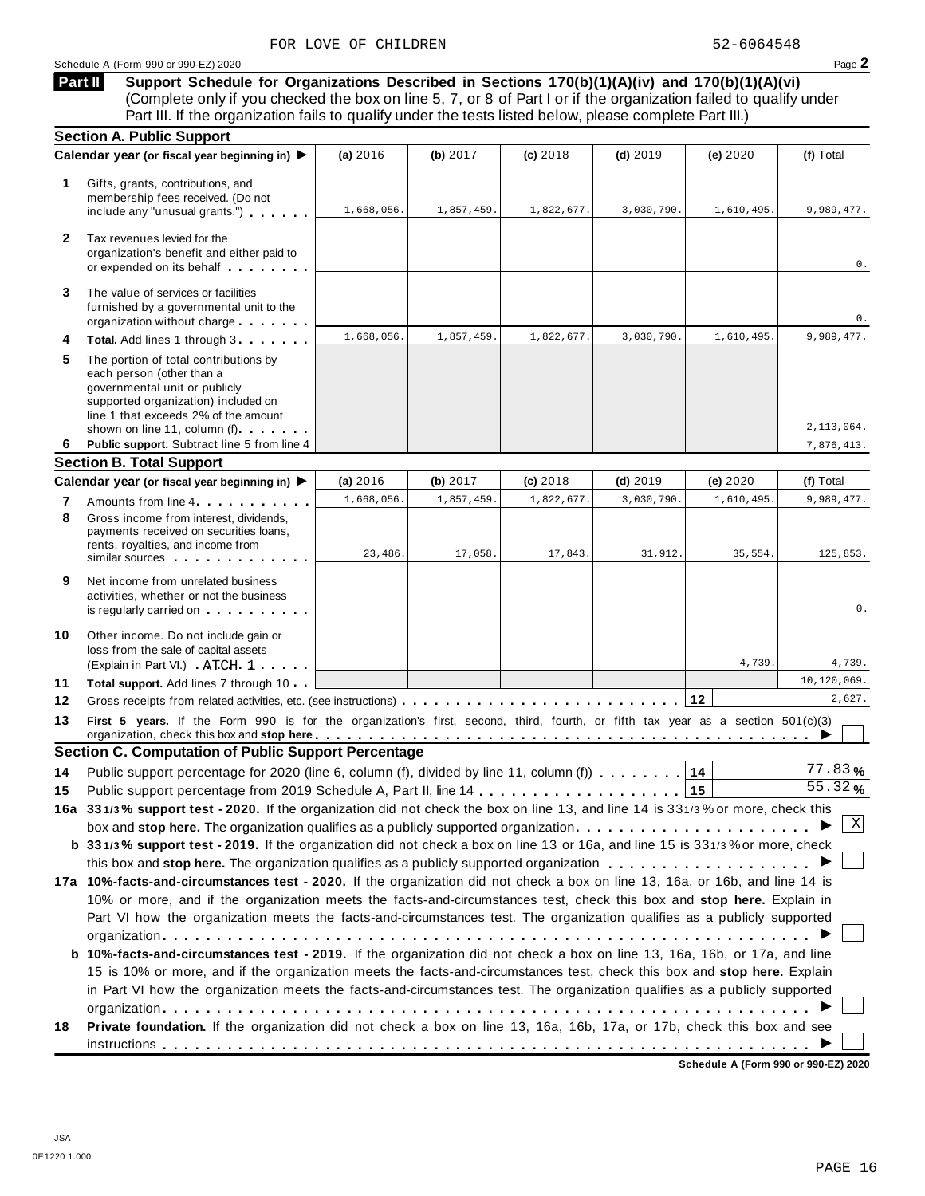Schedule <sup>A</sup> (Form <sup>990</sup> or 990-EZ) <sup>2020</sup> Page **2**

**Support Schedule for Organizations Described in Sections 170(b)(1)(A)(iv) and 170(b)(1)(A)(vi)** (Complete only if you checked the box on line 5, 7, or 8 of Part I or if the organization failed to qualify under Part III. If the organization fails to qualify under the tests listed below, please complete Part III.) **Part II**

|              | <b>Section A. Public Support</b>                                                                                                                                                                |                       |                       |                       |                       |                       |                        |
|--------------|-------------------------------------------------------------------------------------------------------------------------------------------------------------------------------------------------|-----------------------|-----------------------|-----------------------|-----------------------|-----------------------|------------------------|
|              | Calendar year (or fiscal year beginning in) ▶                                                                                                                                                   | (a) 2016              | (b) 2017              | $(c)$ 2018            | $(d)$ 2019            | (e) 2020              | (f) Total              |
| 1.           | Gifts, grants, contributions, and<br>membership fees received. (Do not<br>include any "unusual grants.")                                                                                        | 1,668,056.            | 1,857,459.            | 1,822,677.            | 3,030,790.            | 1,610,495.            | 9,989,477.             |
| $\mathbf{2}$ | Tax revenues levied for the<br>organization's benefit and either paid to<br>or expended on its behalf                                                                                           |                       |                       |                       |                       |                       | 0.                     |
| 3            | The value of services or facilities<br>furnished by a governmental unit to the<br>organization without charge                                                                                   |                       |                       |                       |                       |                       | 0.                     |
| 4            | Total. Add lines 1 through 3                                                                                                                                                                    | 1,668,056.            | 1,857,459.            | 1,822,677.            | 3,030,790.            | 1,610,495.            | 9,989,477.             |
| 5            | The portion of total contributions by<br>each person (other than a<br>governmental unit or publicly<br>supported organization) included on<br>line 1 that exceeds 2% of the amount              |                       |                       |                       |                       |                       |                        |
|              | shown on line 11, column (f)                                                                                                                                                                    |                       |                       |                       |                       |                       | 2,113,064.             |
| 6            | Public support. Subtract line 5 from line 4                                                                                                                                                     |                       |                       |                       |                       |                       | 7,876,413.             |
|              | <b>Section B. Total Support</b>                                                                                                                                                                 |                       |                       |                       |                       |                       |                        |
|              | Calendar year (or fiscal year beginning in) ▶                                                                                                                                                   | (a) 2016              | (b) 2017              | (c) 2018              | $(d)$ 2019            | (e) 2020              | (f) Total              |
| 7<br>8       | Amounts from line 4<br>Gross income from interest, dividends,<br>payments received on securities loans,<br>rents, royalties, and income from<br>similar sources experiences                     | 1,668,056.<br>23,486. | 1,857,459.<br>17,058. | 1,822,677.<br>17,843. | 3,030,790.<br>31,912. | 1,610,495.<br>35,554. | 9,989,477.<br>125,853. |
| 9            | Net income from unrelated business<br>activities, whether or not the business<br>is regularly carried on the control of the set of the set of the set of the set of the set of the set of the s |                       |                       |                       |                       |                       | 0.                     |
| 10           | Other income. Do not include gain or<br>loss from the sale of capital assets<br>(Explain in Part VI.) ATCH 1                                                                                    |                       |                       |                       |                       | 4,739.                | 4,739.                 |
| 11           | Total support. Add lines 7 through 10                                                                                                                                                           |                       |                       |                       |                       |                       | 10,120,069.            |
| 12           |                                                                                                                                                                                                 |                       |                       |                       |                       |                       | 2,627.                 |
| 13           | First 5 years. If the Form 990 is for the organization's first, second, third, fourth, or fifth tax year as a section 501(c)(3)                                                                 |                       |                       |                       |                       |                       |                        |
|              | <b>Section C. Computation of Public Support Percentage</b>                                                                                                                                      |                       |                       |                       |                       |                       |                        |
| 14           | Public support percentage for 2020 (line 6, column (f), divided by line 11, column (f)                                                                                                          |                       |                       |                       |                       | 14                    | 77.83%                 |
| 15           |                                                                                                                                                                                                 |                       |                       |                       |                       | 15                    | $\overline{55.32}$ %   |
|              | 16a 331/3% support test - 2020. If the organization did not check the box on line 13, and line 14 is 331/3% or more, check this                                                                 |                       |                       |                       |                       |                       |                        |
|              | box and stop here. The organization qualifies as a publicly supported organization $\ldots$ , , , , ,                                                                                           |                       |                       |                       |                       |                       | Χ                      |
|              | b 331/3% support test - 2019. If the organization did not check a box on line 13 or 16a, and line 15 is 331/3% or more, check                                                                   |                       |                       |                       |                       |                       |                        |
|              |                                                                                                                                                                                                 |                       |                       |                       |                       |                       |                        |
|              | 17a 10%-facts-and-circumstances test - 2020. If the organization did not check a box on line 13, 16a, or 16b, and line 14 is                                                                    |                       |                       |                       |                       |                       |                        |
|              | 10% or more, and if the organization meets the facts-and-circumstances test, check this box and stop here. Explain in                                                                           |                       |                       |                       |                       |                       |                        |
|              | Part VI how the organization meets the facts-and-circumstances test. The organization qualifies as a publicly supported                                                                         |                       |                       |                       |                       |                       |                        |
|              |                                                                                                                                                                                                 |                       |                       |                       |                       |                       |                        |
|              | b 10%-facts-and-circumstances test - 2019. If the organization did not check a box on line 13, 16a, 16b, or 17a, and line                                                                       |                       |                       |                       |                       |                       |                        |
|              | 15 is 10% or more, and if the organization meets the facts-and-circumstances test, check this box and stop here. Explain                                                                        |                       |                       |                       |                       |                       |                        |
|              | in Part VI how the organization meets the facts-and-circumstances test. The organization qualifies as a publicly supported                                                                      |                       |                       |                       |                       |                       |                        |
|              |                                                                                                                                                                                                 |                       |                       |                       |                       |                       |                        |
| 18           | Private foundation. If the organization did not check a box on line 13, 16a, 16b, 17a, or 17b, check this box and see                                                                           |                       |                       |                       |                       |                       |                        |
|              |                                                                                                                                                                                                 |                       |                       |                       |                       |                       |                        |

**Schedule A (Form 990 or 990-EZ) 2020**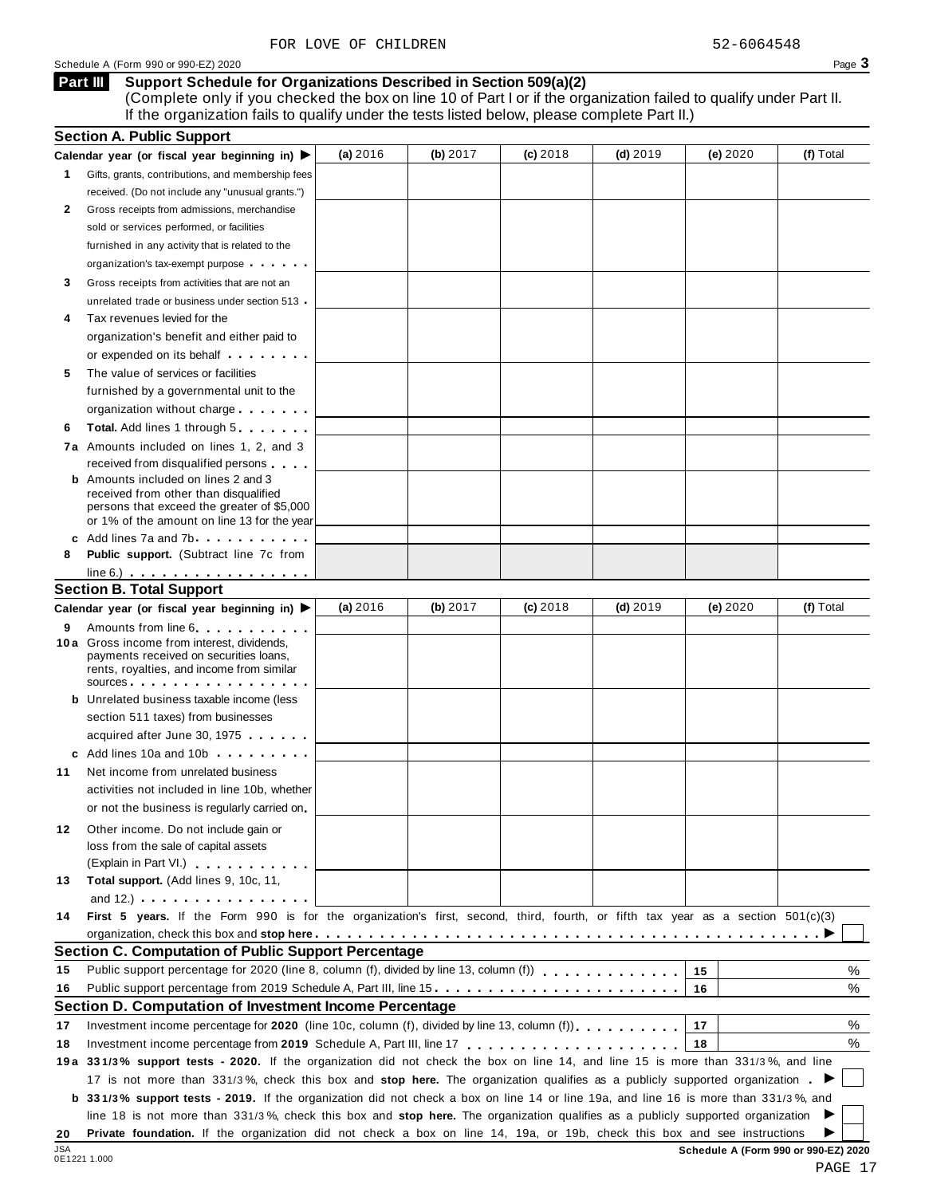Schedule A (Form 990 or 990-EZ) 2020 Page 3

### **Support Schedule for Organizations Described in Section 509(a)(2) Part III**

(Complete only if you checked the box on line 10 of Part I or if the organization failed to qualify under Part II. If the organization fails to qualify under the tests listed below, please complete Part II.)

|     | <b>Section A. Public Support</b>                                                                                                                                                                                                                                                                                                                                     |          |            |            |            |          |                                      |
|-----|----------------------------------------------------------------------------------------------------------------------------------------------------------------------------------------------------------------------------------------------------------------------------------------------------------------------------------------------------------------------|----------|------------|------------|------------|----------|--------------------------------------|
|     | Calendar year (or fiscal year beginning in) ▶                                                                                                                                                                                                                                                                                                                        | (a) 2016 | (b) $2017$ | $(c)$ 2018 | $(d)$ 2019 | (e) 2020 | (f) Total                            |
| 1.  | Gifts, grants, contributions, and membership fees                                                                                                                                                                                                                                                                                                                    |          |            |            |            |          |                                      |
|     | received. (Do not include any "unusual grants.")                                                                                                                                                                                                                                                                                                                     |          |            |            |            |          |                                      |
| 2   | Gross receipts from admissions, merchandise                                                                                                                                                                                                                                                                                                                          |          |            |            |            |          |                                      |
|     | sold or services performed, or facilities                                                                                                                                                                                                                                                                                                                            |          |            |            |            |          |                                      |
|     | furnished in any activity that is related to the                                                                                                                                                                                                                                                                                                                     |          |            |            |            |          |                                      |
|     | organization's tax-exempt purpose                                                                                                                                                                                                                                                                                                                                    |          |            |            |            |          |                                      |
| 3   | Gross receipts from activities that are not an                                                                                                                                                                                                                                                                                                                       |          |            |            |            |          |                                      |
|     | unrelated trade or business under section 513                                                                                                                                                                                                                                                                                                                        |          |            |            |            |          |                                      |
|     | Tax revenues levied for the                                                                                                                                                                                                                                                                                                                                          |          |            |            |            |          |                                      |
|     | organization's benefit and either paid to                                                                                                                                                                                                                                                                                                                            |          |            |            |            |          |                                      |
|     | or expended on its behalf <b>contained</b> and <b>contained</b> and <b>contained</b> and <b>contained</b> and <b>contained</b> and <b>contained</b> and <b>contained</b> and <b>contained</b> and <b>contained</b> and <b>contained</b> and <b>contained</b> and <b>contained</b> and <b>con</b>                                                                     |          |            |            |            |          |                                      |
| 5   | The value of services or facilities                                                                                                                                                                                                                                                                                                                                  |          |            |            |            |          |                                      |
|     | furnished by a governmental unit to the                                                                                                                                                                                                                                                                                                                              |          |            |            |            |          |                                      |
|     | organization without charge                                                                                                                                                                                                                                                                                                                                          |          |            |            |            |          |                                      |
| 6   | <b>Total.</b> Add lines 1 through 5                                                                                                                                                                                                                                                                                                                                  |          |            |            |            |          |                                      |
|     | <b>7a</b> Amounts included on lines 1, 2, and 3                                                                                                                                                                                                                                                                                                                      |          |            |            |            |          |                                      |
|     | received from disqualified persons                                                                                                                                                                                                                                                                                                                                   |          |            |            |            |          |                                      |
|     | <b>b</b> Amounts included on lines 2 and 3<br>received from other than disqualified<br>persons that exceed the greater of \$5,000<br>or 1% of the amount on line 13 for the year                                                                                                                                                                                     |          |            |            |            |          |                                      |
|     | c Add lines 7a and 7b                                                                                                                                                                                                                                                                                                                                                |          |            |            |            |          |                                      |
| 8   | Public support. (Subtract line 7c from                                                                                                                                                                                                                                                                                                                               |          |            |            |            |          |                                      |
|     | $line 6.)$                                                                                                                                                                                                                                                                                                                                                           |          |            |            |            |          |                                      |
|     | <b>Section B. Total Support</b>                                                                                                                                                                                                                                                                                                                                      |          |            |            |            |          |                                      |
|     | Calendar year (or fiscal year beginning in) ▶                                                                                                                                                                                                                                                                                                                        | (a) 2016 | (b) 2017   | $(c)$ 2018 | $(d)$ 2019 | (e) 2020 | (f) Total                            |
| 9   | Amounts from line 6.                                                                                                                                                                                                                                                                                                                                                 |          |            |            |            |          |                                      |
|     | 10 a Gross income from interest, dividends,<br>payments received on securities loans,<br>rents, royalties, and income from similar<br>sources and the set of the set of the set of the set of the set of the set of the set of the set of the set of the set of the set of the set of the set of the set of the set of the set of the set of the set of the set of t |          |            |            |            |          |                                      |
|     | <b>b</b> Unrelated business taxable income (less                                                                                                                                                                                                                                                                                                                     |          |            |            |            |          |                                      |
|     | section 511 taxes) from businesses                                                                                                                                                                                                                                                                                                                                   |          |            |            |            |          |                                      |
|     | acquired after June 30, 1975                                                                                                                                                                                                                                                                                                                                         |          |            |            |            |          |                                      |
|     | c Add lines 10a and 10b                                                                                                                                                                                                                                                                                                                                              |          |            |            |            |          |                                      |
| 11  | Net income from unrelated business                                                                                                                                                                                                                                                                                                                                   |          |            |            |            |          |                                      |
|     | activities not included in line 10b, whether                                                                                                                                                                                                                                                                                                                         |          |            |            |            |          |                                      |
|     | or not the business is regularly carried on                                                                                                                                                                                                                                                                                                                          |          |            |            |            |          |                                      |
| 12  | Other income. Do not include gain or                                                                                                                                                                                                                                                                                                                                 |          |            |            |            |          |                                      |
|     | loss from the sale of capital assets                                                                                                                                                                                                                                                                                                                                 |          |            |            |            |          |                                      |
|     | (Explain in Part VI.) <b>All and Strategies</b>                                                                                                                                                                                                                                                                                                                      |          |            |            |            |          |                                      |
| 13  | Total support. (Add lines 9, 10c, 11,                                                                                                                                                                                                                                                                                                                                |          |            |            |            |          |                                      |
|     | and 12.) $\ldots$ $\ldots$ $\ldots$ $\ldots$ $\ldots$                                                                                                                                                                                                                                                                                                                |          |            |            |            |          |                                      |
| 14  | First 5 years. If the Form 990 is for the organization's first, second, third, fourth, or fifth tax year as a section $501(c)(3)$                                                                                                                                                                                                                                    |          |            |            |            |          |                                      |
|     |                                                                                                                                                                                                                                                                                                                                                                      |          |            |            |            |          |                                      |
|     | Section C. Computation of Public Support Percentage                                                                                                                                                                                                                                                                                                                  |          |            |            |            |          |                                      |
| 15  |                                                                                                                                                                                                                                                                                                                                                                      |          |            |            |            | 15       | %                                    |
| 16  | Public support percentage from 2019 Schedule A, Part III, line 15.                                                                                                                                                                                                                                                                                                   |          |            |            |            | 16       | %                                    |
|     | Section D. Computation of Investment Income Percentage                                                                                                                                                                                                                                                                                                               |          |            |            |            |          |                                      |
| 17  | Investment income percentage for 2020 (line 10c, column (f), divided by line 13, column (f)).                                                                                                                                                                                                                                                                        |          |            |            |            | 17       | %                                    |
| 18  |                                                                                                                                                                                                                                                                                                                                                                      |          |            |            |            | 18       | %                                    |
|     | 19a 331/3% support tests - 2020. If the organization did not check the box on line 14, and line 15 is more than 331/3%, and line                                                                                                                                                                                                                                     |          |            |            |            |          |                                      |
|     | 17 is not more than 331/3%, check this box and stop here. The organization qualifies as a publicly supported organization                                                                                                                                                                                                                                            |          |            |            |            |          |                                      |
|     | b 331/3% support tests - 2019. If the organization did not check a box on line 14 or line 19a, and line 16 is more than 331/3%, and                                                                                                                                                                                                                                  |          |            |            |            |          |                                      |
|     | line 18 is not more than 331/3%, check this box and stop here. The organization qualifies as a publicly supported organization                                                                                                                                                                                                                                       |          |            |            |            |          |                                      |
| 20  | Private foundation. If the organization did not check a box on line 14, 19a, or 19b, check this box and see instructions                                                                                                                                                                                                                                             |          |            |            |            |          |                                      |
| JSA | 0E1221 1.000                                                                                                                                                                                                                                                                                                                                                         |          |            |            |            |          | Schedule A (Form 990 or 990-EZ) 2020 |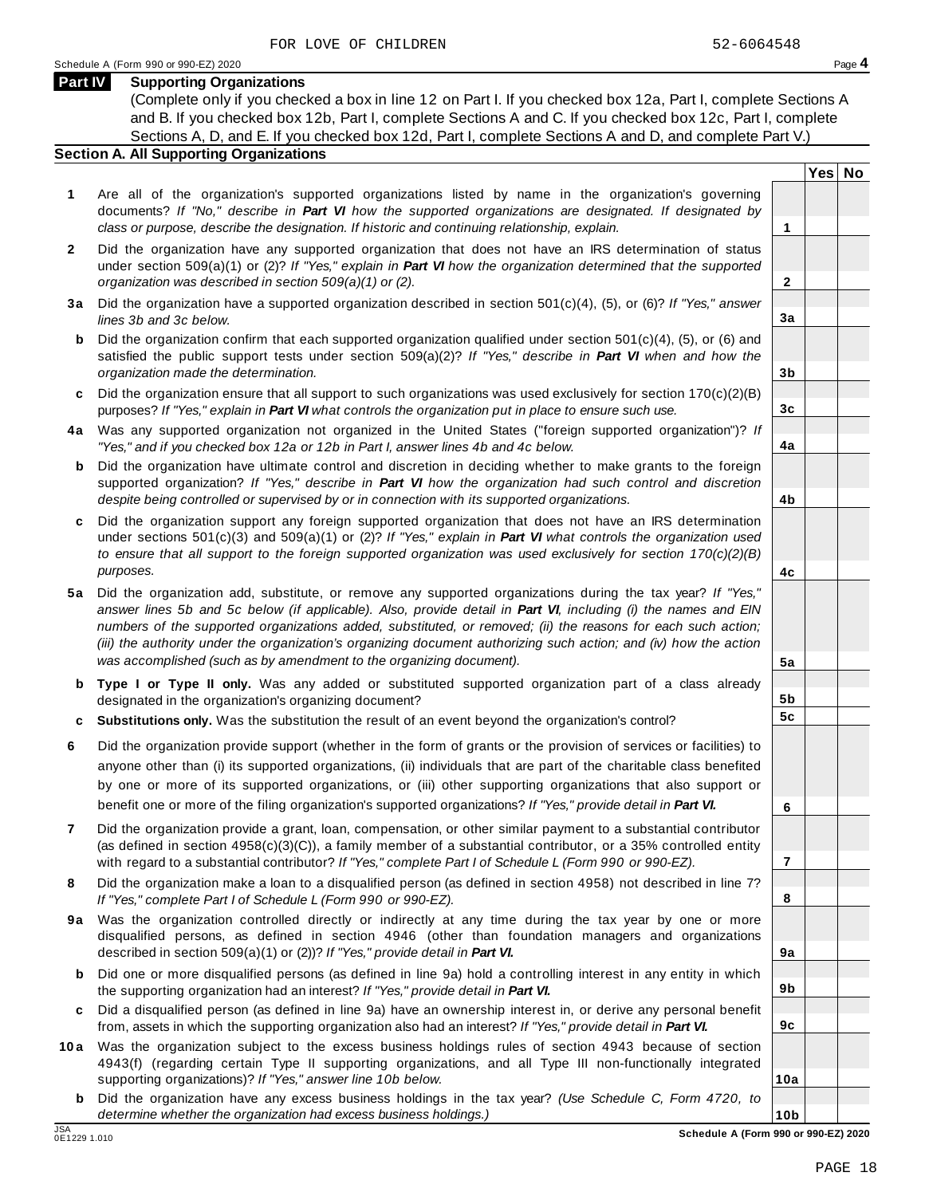### **Part IV Supporting Organizations**

(Complete only if you checked a box in line 12 on Part I. If you checked box 12a, Part I, complete Sections A and B. If you checked box 12b, Part I, complete Sections A and C. If you checked box 12c, Part I, complete Sections A, D, and E. If you checked box 12d, Part I, complete Sections A and D, and complete Part V.)

### **Section A. All Supporting Organizations**

- **1** Are all of the organization's supported organizations listed by name in the organization's governing documents? *If "No," describe in Part VI how the supported organizations are designated. If designated by class or purpose, describe the designation. If historic and continuing relationship, explain.* **1**
- **2** Did the organization have any supported organization that does not have an IRS determination of status under section 509(a)(1) or (2)? *If"Yes," explain in Part VI how the organization determined that the supported organization was described in section 509(a)(1) or (2).*
- **3 a** Did the organization have a supported organization described in section 501(c)(4), (5), or (6)? *If "Yes," answer lines 3b and 3c below.*
- **b** Did the organization confirm that each supported organization qualified under section 501(c)(4), (5), or (6) and | satisfied the public support tests under section 509(a)(2)? *If "Yes," describe in Part VI when and how the organization made the determination.*
- **c** Did the organization ensure that all support to such organizations was used exclusively for section 170(c)(2)(B) purposes? *If"Yes," explain in Part VI what controls the organization put in place to ensure such use.*
- **4 a** Was any supported organization not organized in the United States ("foreign supported organization")? *If "Yes," and if you checked box 12a or 12b in Part I, answer lines 4b and 4c below.*
- **b** Did the organization have ultimate control and discretion in deciding whether to make grants to the foreign | supported organization? *If "Yes," describe in Part VI how the organization had such control and discretion despite being controlled or supervised by or in connection with its supported organizations.*
- **c** Did the organization support any foreign supported organization that does not have an IRS determination | under sections 501(c)(3) and 509(a)(1) or (2)? *If "Yes," explain in Part VI what controls the organization used to ensure that all support to the foreign supported organization was used exclusively for section 170(c)(2)(B) purposes.*
- **5 a** Did the organization add, substitute, or remove any supported organizations during the tax year? *If "Yes,"* answer lines 5b and 5c below (if applicable). Also, provide detail in Part VI, including (i) the names and EIN *numbers of the supported organizations added, substituted, or removed; (ii) the reasons for each such action;* (iii) the authority under the organization's organizing document authorizing such action; and (iv) how the action *was accomplished (such as by amendment to the organizing document).*
- **b Type I or Type II only.** Was any added or substituted supported organization part of a class already designated in the organization's organizing document?
- **c Substitutions only.** Was the substitution the result of an event beyond the organization's control?
- **6** Did the organization provide support (whether in the form of grants or the provision of services or facilities) to anyone other than (i) its supported organizations, (ii) individuals that are part of the charitable class benefited by one or more of its supported organizations, or (iii) other supporting organizations that also support or benefit one or more of the filing organization's supported organizations? *If"Yes," provide detail in Part VI.*
- **7** Did the organization provide a grant, loan, compensation, or other similar payment to a substantial contributor (as defined in section 4958(c)(3)(C)), a family member of a substantial contributor, or a 35% controlled entity with regard to a substantial contributor? *If"Yes," complete Part I of Schedule L (Form 990 or 990-EZ).*
- **8** Did the organization make a loan to a disqualified person (as defined in section 4958) not described in line 7? *If "Yes," complete Part I of Schedule L (Form 990 or 990-EZ).*
- **9a** Was the organization controlled directly or indirectly at any time during the tax year by one or more | disqualified persons, as defined in section 4946 (other than foundation managers and organizations described in section 509(a)(1) or (2))? *If"Yes," provide detail in Part VI.*
- **b** Did one or more disqualified persons (as defined in line 9a) hold a controlling interest in any entity in which | the supporting organization had an interest? *If"Yes," provide detail in Part VI.*
- **c** Did a disqualified person (as defined in line 9a) have an ownership interest in, or derive any personal benefit from, assets in which the supporting organization also had an interest? *If"Yes," provide detail in Part VI.*
- **10a** Was the organization subject to the excess business holdings rules of section 4943 because of section | 4943(f) (regarding certain Type II supporting organizations, and all Type III non-functionally integrated supporting organizations)? *If"Yes," answer line 10b below.*
	- **b** Did the organization have any excess business holdings in the tax year? *(Use Schedule C, Form 4720, to determine whether the organization had excess business holdings.)*

**10b** JSA **Schedule A (Form 990 or 990-EZ) 2020**

**Yes No**

**2**

**3a**

**3b**

**3c**

**4a**

**4b**

**4c**

**5a**

**5b 5c**

**6**

**7**

**8**

**9a**

**9b**

**9c**

**10a**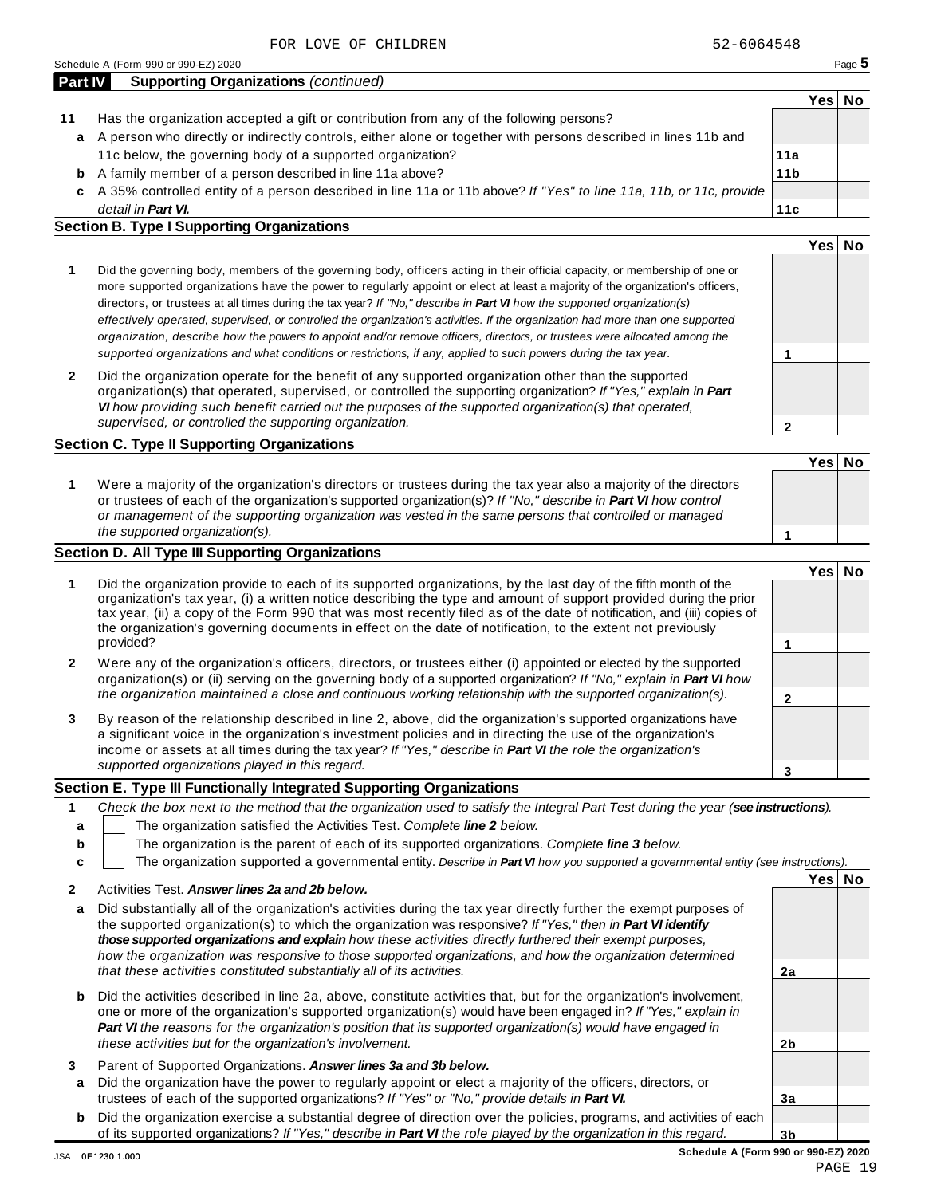|    |                                                                                                                    |                 | Yes⊺ | Nο |
|----|--------------------------------------------------------------------------------------------------------------------|-----------------|------|----|
| 11 | Has the organization accepted a gift or contribution from any of the following persons?                            |                 |      |    |
| a  | A person who directly or indirectly controls, either alone or together with persons described in lines 11b and     |                 |      |    |
|    | 11c below, the governing body of a supported organization?                                                         | 11a             |      |    |
| b  | A family member of a person described in line 11a above?                                                           | 11 <sub>b</sub> |      |    |
| c  | A 35% controlled entity of a person described in line 11a or 11b above? If "Yes" to line 11a, 11b, or 11c, provide |                 |      |    |
|    | detail in <b>Part VI.</b>                                                                                          | 11c             |      |    |
|    | <b>Section B. Type I Supporting Organizations</b>                                                                  |                 |      |    |
|    |                                                                                                                    |                 |      |    |

| more supported organizations have the power to regularly appoint or elect at least a majority of the organization's officers,<br>directors, or trustees at all times during the tax year? If "No," describe in Part VI how the supported organization(s)<br>effectively operated, supervised, or controlled the organization's activities. If the organization had more than one supported<br>organization, describe how the powers to appoint and/or remove officers, directors, or trustees were allocated among the<br>supported organizations and what conditions or restrictions, if any, applied to such powers during the tax year. |  |
|--------------------------------------------------------------------------------------------------------------------------------------------------------------------------------------------------------------------------------------------------------------------------------------------------------------------------------------------------------------------------------------------------------------------------------------------------------------------------------------------------------------------------------------------------------------------------------------------------------------------------------------------|--|
| Did the governing body, members of the governing body, officers acting in their official capacity, or membership of one or                                                                                                                                                                                                                                                                                                                                                                                                                                                                                                                 |  |

**2** Did the organization operate for the benefit of any supported organization other than the supported organization(s) that operated, supervised, or controlled the supporting organization? *If "Yes," explain in Part VI how providing such benefit carried out the purposes of the supported organization(s) that operated, supervised, or controlled the supporting organization.*

### **Section C. Type II Supporting Organizations**

**1 Yes No 1** Were a majority of the organization's directors or trustees during the tax year also a majority of the directors or trustees of each of the organization's supported organization(s)? *If"No," describe in Part VI how control or management of the supporting organization was vested in the same persons that controlled or managed the supported organization(s).*

### **Section D. All Type III Supporting Organizations**

|   |                                                                                                                                                                                                                                                                                                                                                                                                                                                                                          | Yes⊺ |  |
|---|------------------------------------------------------------------------------------------------------------------------------------------------------------------------------------------------------------------------------------------------------------------------------------------------------------------------------------------------------------------------------------------------------------------------------------------------------------------------------------------|------|--|
|   | Did the organization provide to each of its supported organizations, by the last day of the fifth month of the<br>organization's tax year, (i) a written notice describing the type and amount of support provided during the prior<br>tax year, (ii) a copy of the Form 990 that was most recently filed as of the date of notification, and (iii) copies of<br>the organization's governing documents in effect on the date of notification, to the extent not previously<br>provided? |      |  |
| 2 | Were any of the organization's officers, directors, or trustees either (i) appointed or elected by the supported<br>organization(s) or (ii) serving on the governing body of a supported organization? If "No," explain in Part VI how                                                                                                                                                                                                                                                   |      |  |
|   | the organization maintained a close and continuous working relationship with the supported organization(s).                                                                                                                                                                                                                                                                                                                                                                              |      |  |
| 3 | By reason of the relationship described in line 2, above, did the organization's supported organizations have<br>a significant voice in the organization's investment policies and in directing the use of the organization's<br>income or assets at all times during the tax year? If "Yes," describe in Part VI the role the organization's                                                                                                                                            |      |  |
|   | supported organizations played in this regard.                                                                                                                                                                                                                                                                                                                                                                                                                                           |      |  |

### **Section E. Type III Functionally Integrated Supporting Organizations**

|   | Check the box next to the method that the organization used to satisfy the Integral Part Test during the year (see instructions). |      |    |
|---|-----------------------------------------------------------------------------------------------------------------------------------|------|----|
|   | The organization satisfied the Activities Test. Complete line 2 below.                                                            |      |    |
| b | The organization is the parent of each of its supported organizations. Complete line 3 below.                                     |      |    |
|   | The organization supported a governmental entity. Describe in Part VI how you supported a governmental entity (see instructions). |      |    |
|   | Activities Test Answer lines 23 and 2h holew                                                                                      | Yesl | No |
|   |                                                                                                                                   |      |    |

|   | AUDULICS TESL. AUSWEI INGS ZO ONU ZU DEIUW.                                                                                                                                                                                                                                                                                                                                                                                                                      |    |  |
|---|------------------------------------------------------------------------------------------------------------------------------------------------------------------------------------------------------------------------------------------------------------------------------------------------------------------------------------------------------------------------------------------------------------------------------------------------------------------|----|--|
| a | Did substantially all of the organization's activities during the tax year directly further the exempt purposes of<br>the supported organization(s) to which the organization was responsive? If "Yes," then in <b>Part VI identify</b><br>those supported organizations and explain how these activities directly furthered their exempt purposes.<br>how the organization was responsive to those supported organizations, and how the organization determined |    |  |
|   | that these activities constituted substantially all of its activities.                                                                                                                                                                                                                                                                                                                                                                                           | 2a |  |
| b | Did the activities described in line 2a, above, constitute activities that, but for the organization's involvement,<br>one or more of the organization's supported organization(s) would have been engaged in? If "Yes," explain in<br><b>Part VI</b> the reasons for the organization's position that its supported organization(s) would have engaged in<br>these activities but for the organization's involvement.                                           | 2b |  |
|   |                                                                                                                                                                                                                                                                                                                                                                                                                                                                  |    |  |
| 3 | Parent of Supported Organizations. Answer lines 3a and 3b below.                                                                                                                                                                                                                                                                                                                                                                                                 |    |  |
| a | Did the organization have the power to regularly appoint or elect a majority of the officers, directors, or<br>trustees of each of the supported organizations? If "Yes" or "No," provide details in Part VI.                                                                                                                                                                                                                                                    | 3a |  |
|   |                                                                                                                                                                                                                                                                                                                                                                                                                                                                  |    |  |
| b | Did the organization exercise a substantial degree of direction over the policies, programs, and activities of each                                                                                                                                                                                                                                                                                                                                              |    |  |
|   | of its supported organizations? If "Yes," describe in <b>Part VI</b> the role played by the organization in this regard.                                                                                                                                                                                                                                                                                                                                         | 3b |  |

**2**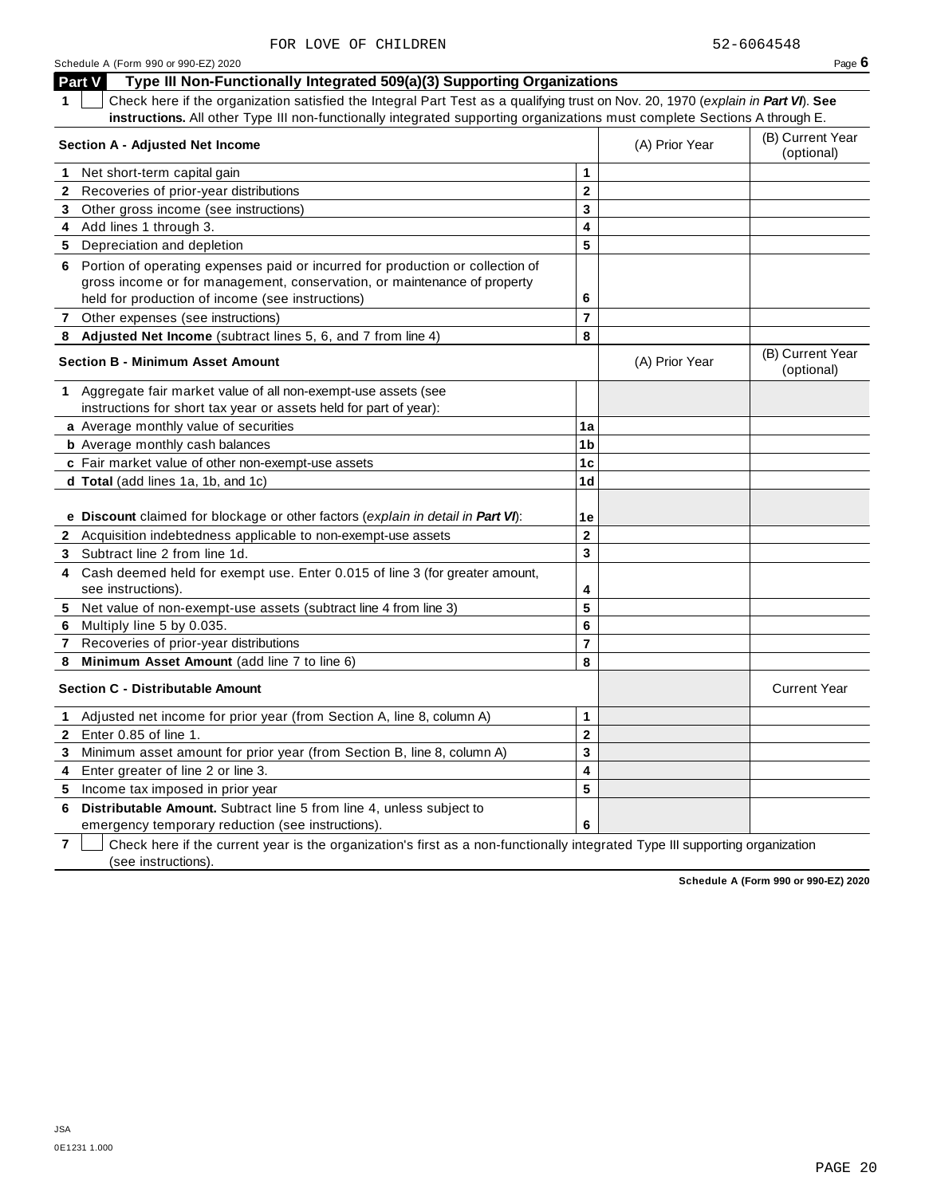|              | Type III Non-Functionally Integrated 509(a)(3) Supporting Organizations<br>Part V                                                                                                                              |                |                |                                |
|--------------|----------------------------------------------------------------------------------------------------------------------------------------------------------------------------------------------------------------|----------------|----------------|--------------------------------|
| 1            | Check here if the organization satisfied the Integral Part Test as a qualifying trust on Nov. 20, 1970 (explain in Part VI). See                                                                               |                |                |                                |
|              | instructions. All other Type III non-functionally integrated supporting organizations must complete Sections A through E.                                                                                      |                |                |                                |
|              | Section A - Adjusted Net Income                                                                                                                                                                                |                | (A) Prior Year | (B) Current Year<br>(optional) |
| 1.           | Net short-term capital gain                                                                                                                                                                                    | 1              |                |                                |
| 2            | Recoveries of prior-year distributions                                                                                                                                                                         | $\mathbf 2$    |                |                                |
| 3            | Other gross income (see instructions)                                                                                                                                                                          | 3              |                |                                |
|              | 4 Add lines 1 through 3.                                                                                                                                                                                       | 4              |                |                                |
| 5            | Depreciation and depletion                                                                                                                                                                                     | 5              |                |                                |
| 6            | Portion of operating expenses paid or incurred for production or collection of<br>gross income or for management, conservation, or maintenance of property<br>held for production of income (see instructions) | 6              |                |                                |
|              | 7 Other expenses (see instructions)                                                                                                                                                                            | $\overline{7}$ |                |                                |
| 8            | Adjusted Net Income (subtract lines 5, 6, and 7 from line 4)                                                                                                                                                   | 8              |                |                                |
|              | <b>Section B - Minimum Asset Amount</b>                                                                                                                                                                        |                | (A) Prior Year | (B) Current Year<br>(optional) |
|              | 1 Aggregate fair market value of all non-exempt-use assets (see<br>instructions for short tax year or assets held for part of year):                                                                           |                |                |                                |
|              | a Average monthly value of securities                                                                                                                                                                          | 1a             |                |                                |
|              | <b>b</b> Average monthly cash balances                                                                                                                                                                         | 1b             |                |                                |
|              | c Fair market value of other non-exempt-use assets                                                                                                                                                             | 1 <sub>c</sub> |                |                                |
|              | d Total (add lines 1a, 1b, and 1c)                                                                                                                                                                             | 1d             |                |                                |
|              |                                                                                                                                                                                                                |                |                |                                |
|              | e Discount claimed for blockage or other factors (explain in detail in Part VI):                                                                                                                               | 1е             |                |                                |
|              | 2 Acquisition indebtedness applicable to non-exempt-use assets                                                                                                                                                 | $\mathbf{2}$   |                |                                |
| 3            | Subtract line 2 from line 1d.                                                                                                                                                                                  | 3              |                |                                |
| 4            | Cash deemed held for exempt use. Enter 0.015 of line 3 (for greater amount,                                                                                                                                    |                |                |                                |
|              | see instructions).                                                                                                                                                                                             | 4              |                |                                |
|              | 5 Net value of non-exempt-use assets (subtract line 4 from line 3)                                                                                                                                             | 5              |                |                                |
| 6            | Multiply line 5 by 0.035.                                                                                                                                                                                      | 6              |                |                                |
|              | 7 Recoveries of prior-year distributions                                                                                                                                                                       | 7              |                |                                |
| 8            | Minimum Asset Amount (add line 7 to line 6)                                                                                                                                                                    | 8              |                |                                |
|              | <b>Section C - Distributable Amount</b>                                                                                                                                                                        |                |                | <b>Current Year</b>            |
| 1            | Adjusted net income for prior year (from Section A, line 8, column A)                                                                                                                                          | 1              |                |                                |
| $\mathbf{2}$ | Enter $0.85$ of line 1.                                                                                                                                                                                        | $\mathbf 2$    |                |                                |
| 3            | Minimum asset amount for prior year (from Section B, line 8, column A)                                                                                                                                         | 3              |                |                                |
| 4            | Enter greater of line 2 or line 3.                                                                                                                                                                             | 4              |                |                                |
| 5            | Income tax imposed in prior year                                                                                                                                                                               | 5              |                |                                |
| 6            | Distributable Amount. Subtract line 5 from line 4, unless subject to                                                                                                                                           |                |                |                                |
|              | emergency temporary reduction (see instructions).                                                                                                                                                              | 6              |                |                                |

**7** Check here if the current year is the organization's first as a non-functionally integrated Type III supporting organization (see instructions).

**Schedule A (Form 990 or 990-EZ) 2020**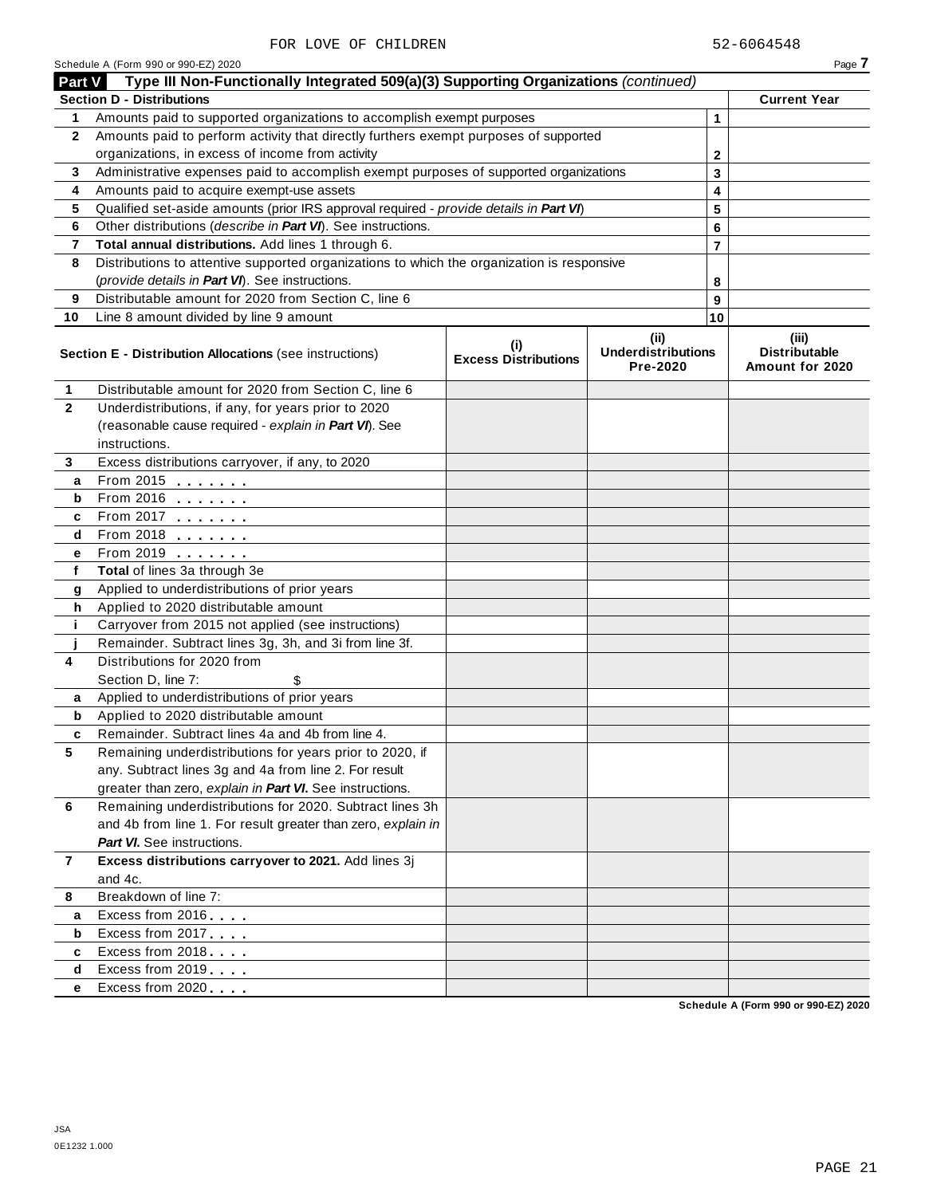| <b>Part V</b>  | Type III Non-Functionally Integrated 509(a)(3) Supporting Organizations (continued)        |                                    |                                               |                |                                                  |
|----------------|--------------------------------------------------------------------------------------------|------------------------------------|-----------------------------------------------|----------------|--------------------------------------------------|
|                | <b>Section D - Distributions</b>                                                           |                                    |                                               |                | <b>Current Year</b>                              |
| 1              | Amounts paid to supported organizations to accomplish exempt purposes                      |                                    |                                               | 1              |                                                  |
| $\mathbf{2}$   | Amounts paid to perform activity that directly furthers exempt purposes of supported       |                                    |                                               |                |                                                  |
|                | organizations, in excess of income from activity                                           |                                    |                                               | $\mathbf{2}$   |                                                  |
| 3              | Administrative expenses paid to accomplish exempt purposes of supported organizations      |                                    |                                               | 3              |                                                  |
| 4              | Amounts paid to acquire exempt-use assets                                                  |                                    |                                               | 4              |                                                  |
| 5              | Qualified set-aside amounts (prior IRS approval required - provide details in Part VI)     |                                    |                                               | 5              |                                                  |
| 6              | Other distributions (describe in Part VI). See instructions.                               |                                    |                                               | 6              |                                                  |
| 7              | Total annual distributions. Add lines 1 through 6.                                         |                                    |                                               | $\overline{7}$ |                                                  |
| 8              | Distributions to attentive supported organizations to which the organization is responsive |                                    |                                               |                |                                                  |
|                | (provide details in Part VI). See instructions.                                            |                                    |                                               | 8              |                                                  |
| 9              | Distributable amount for 2020 from Section C, line 6                                       |                                    |                                               | 9              |                                                  |
| 10             | Line 8 amount divided by line 9 amount                                                     |                                    |                                               | 10             |                                                  |
|                | Section E - Distribution Allocations (see instructions)                                    | (i)<br><b>Excess Distributions</b> | (ii)<br><b>Underdistributions</b><br>Pre-2020 |                | (iii)<br><b>Distributable</b><br>Amount for 2020 |
| 1              | Distributable amount for 2020 from Section C, line 6                                       |                                    |                                               |                |                                                  |
| $\mathbf{2}$   | Underdistributions, if any, for years prior to 2020                                        |                                    |                                               |                |                                                  |
|                | (reasonable cause required - explain in Part VI). See                                      |                                    |                                               |                |                                                  |
|                | instructions.                                                                              |                                    |                                               |                |                                                  |
| 3              | Excess distributions carryover, if any, to 2020                                            |                                    |                                               |                |                                                  |
| a              | From 2015 $\frac{1}{2}$                                                                    |                                    |                                               |                |                                                  |
| b              | From 2016 <b>Figure 1.1</b>                                                                |                                    |                                               |                |                                                  |
| c              | From 2017                                                                                  |                                    |                                               |                |                                                  |
| d              |                                                                                            |                                    |                                               |                |                                                  |
| е              | $From 2019$ $100$                                                                          |                                    |                                               |                |                                                  |
| f              | Total of lines 3a through 3e                                                               |                                    |                                               |                |                                                  |
| g              | Applied to underdistributions of prior years                                               |                                    |                                               |                |                                                  |
| h              | Applied to 2020 distributable amount                                                       |                                    |                                               |                |                                                  |
| j.             | Carryover from 2015 not applied (see instructions)                                         |                                    |                                               |                |                                                  |
|                | Remainder. Subtract lines 3g, 3h, and 3i from line 3f.                                     |                                    |                                               |                |                                                  |
| 4              | Distributions for 2020 from                                                                |                                    |                                               |                |                                                  |
|                | Section D, line 7:<br>\$                                                                   |                                    |                                               |                |                                                  |
| а              | Applied to underdistributions of prior years                                               |                                    |                                               |                |                                                  |
| b              | Applied to 2020 distributable amount                                                       |                                    |                                               |                |                                                  |
| c              | Remainder. Subtract lines 4a and 4b from line 4.                                           |                                    |                                               |                |                                                  |
|                | Remaining underdistributions for years prior to 2020, if                                   |                                    |                                               |                |                                                  |
|                | any. Subtract lines 3g and 4a from line 2. For result                                      |                                    |                                               |                |                                                  |
|                | greater than zero, explain in Part VI. See instructions.                                   |                                    |                                               |                |                                                  |
| 6              | Remaining underdistributions for 2020. Subtract lines 3h                                   |                                    |                                               |                |                                                  |
|                | and 4b from line 1. For result greater than zero, explain in                               |                                    |                                               |                |                                                  |
|                | Part VI. See instructions.                                                                 |                                    |                                               |                |                                                  |
| $\overline{7}$ | Excess distributions carryover to 2021. Add lines 3j                                       |                                    |                                               |                |                                                  |
|                | and 4c.                                                                                    |                                    |                                               |                |                                                  |
| 8              | Breakdown of line 7:                                                                       |                                    |                                               |                |                                                  |
| а              | Excess from 2016                                                                           |                                    |                                               |                |                                                  |
| b              | Excess from 2017                                                                           |                                    |                                               |                |                                                  |
| c              | Excess from 2018                                                                           |                                    |                                               |                |                                                  |
| d              | Excess from 2019                                                                           |                                    |                                               |                |                                                  |
| e              | Excess from 2020                                                                           |                                    |                                               |                |                                                  |

Schedule A (Form 990 or 990-EZ) 2020  $\blacksquare$ 

**Schedule A (Form 990 or 990-EZ) 2020**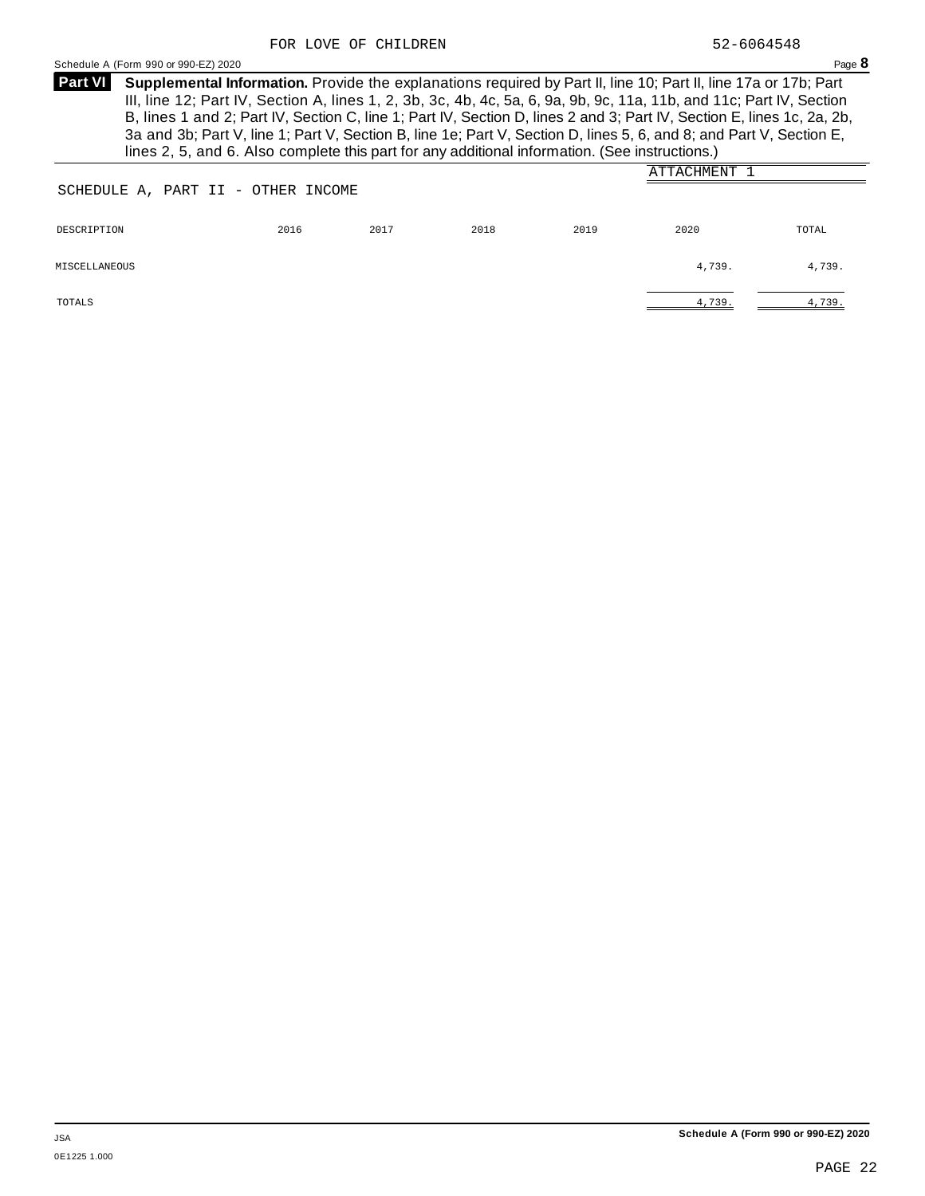<span id="page-23-0"></span>**Supplemental Information.** Provide the explanations required by Part II, line 10; Part II, line 17a or 17b; Part **Part VI** III, line 12; Part IV, Section A, lines 1, 2, 3b, 3c, 4b, 4c, 5a, 6, 9a, 9b, 9c, 11a, 11b, and 11c; Part IV, Section B, lines 1 and 2; Part IV, Section C, line 1; Part IV, Section D, lines 2 and 3; Part IV, Section E, lines 1c, 2a, 2b, 3a and 3b; Part V, line 1; Part V, Section B, line 1e; Part V, Section D, lines 5, 6, and 8; and Part V, Section E, lines 2, 5, and 6. Also complete this part for any additional information. (See instructions.)

|                                    |      |      |      |      | ATTACHMENT |        |
|------------------------------------|------|------|------|------|------------|--------|
| SCHEDULE A, PART II - OTHER INCOME |      |      |      |      |            |        |
|                                    |      |      |      |      |            |        |
| DESCRIPTION                        | 2016 | 2017 | 2018 | 2019 | 2020       | TOTAL  |
|                                    |      |      |      |      |            |        |
| MISCELLANEOUS                      |      |      |      |      | 4,739.     | 4,739. |
|                                    |      |      |      |      |            |        |
| TOTALS                             |      |      |      |      | 4,739.     | 4,739. |
|                                    |      |      |      |      |            |        |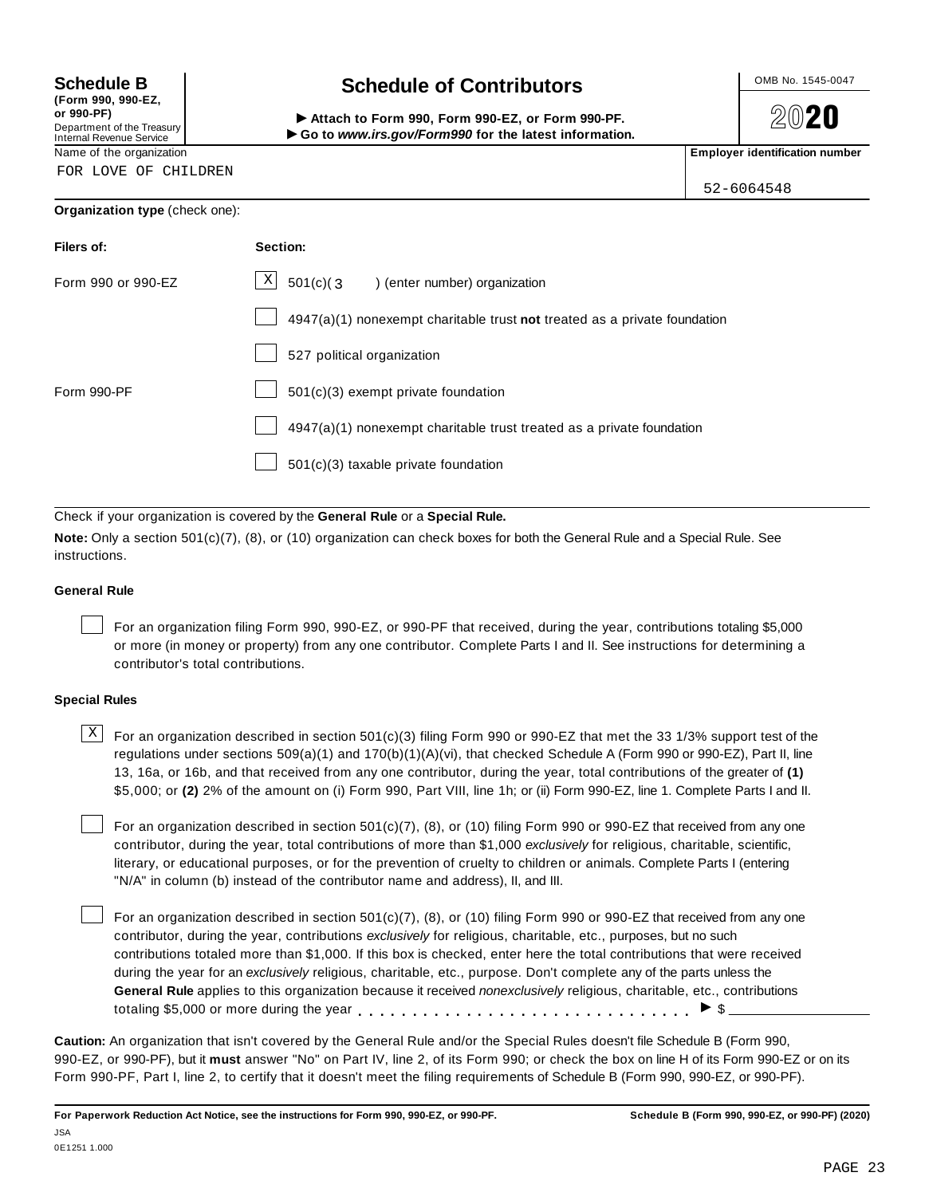**(Form 990, 990-EZ, or 990-PF)** Department of the Treasury<br>Internal Revenue Service

FOR LOVE OF CHILDREN

# **Schedule B chedule of Contributors**

(Form 990, 990-EZ,<br>
or 990-PF,<br>
Department of the Treasury **COLOCY**<br>
Internal Revenue Service **COLOCY**<br>
Name of the organization<br>
Name of the organization

**2020** 

52-6064548

### **Organization type** (check one):

| Filers of:         | Section:                                                                    |
|--------------------|-----------------------------------------------------------------------------|
| Form 990 or 990-EZ | $\vert X \vert$<br>$501(c)$ (3<br>enter number) organization                |
|                    | $4947(a)(1)$ nonexempt charitable trust not treated as a private foundation |
|                    | 527 political organization                                                  |
| Form 990-PF        | $501(c)(3)$ exempt private foundation                                       |
|                    | 4947(a)(1) nonexempt charitable trust treated as a private foundation       |
|                    | $501(c)(3)$ taxable private foundation                                      |

Check if your organization is covered by the **General Rule** or a **Special Rule.**

**Note:** Only a section 501(c)(7), (8), or (10) organization can check boxes for both the General Rule and a Special Rule. See instructions.

### **General Rule**

For an organization filing Form 990, 990-EZ, or 990-PF that received, during the year, contributions totaling \$5,000 or more (in money or property) from any one contributor. Complete Parts I and II. See instructions for determining a contributor's total contributions.

### **Special Rules**

 $\text{X}$  For an organization described in section 501(c)(3) filing Form 990 or 990-EZ that met the 33 1/3% support test of the regulations under sections 509(a)(1) and 170(b)(1)(A)(vi), that checked Schedule A (Form 990 or 990-EZ), Part II, line 13, 16a, or 16b, and that received from any one contributor, during the year, total contributions of the greater of **(1)** \$5,000; or **(2)** 2% of the amount on (i) Form 990, Part VIII, line 1h; or (ii) Form 990-EZ, line 1. Complete Parts I and II.

For an organization described in section 501(c)(7), (8), or (10) filing Form 990 or 990-EZ that received from any one contributor, during the year, total contributions of more than \$1,000 *exclusively* for religious, charitable, scientific, literary, or educational purposes, or for the prevention of cruelty to children or animals. Complete Parts I (entering "N/A" in column (b) instead of the contributor name and address), II, and III.

For an organization described in section 501(c)(7), (8), or (10) filing Form 990 or 990-EZ that received from any one contributor, during the year, contributions *exclusively* for religious, charitable, etc., purposes, but no such contributions totaled more than \$1,000. If this box is checked, enter here the total contributions that were received during the year for an *exclusively* religious, charitable, etc., purpose. Don't complete any of the parts unless the **General Rule** applies to this organization because it received *nonexclusively* religious, charitable, etc., contributions totaling \$5,000 or more during the year  $\ldots \ldots \ldots \ldots \ldots \ldots \ldots \ldots \ldots \vdots$ 

**Caution:** An organization that isn't covered by the General Rule and/or the Special Rules doesn't file Schedule B (Form 990, 990-EZ, or 990-PF), but it **must** answer "No" on Part IV, line 2, of its Form 990; or check the box on line H of its Form 990-EZ or on its Form 990-PF, Part I, line 2, to certify that it doesn't meet the filing requirements of Schedule B (Form 990, 990-EZ, or 990-PF).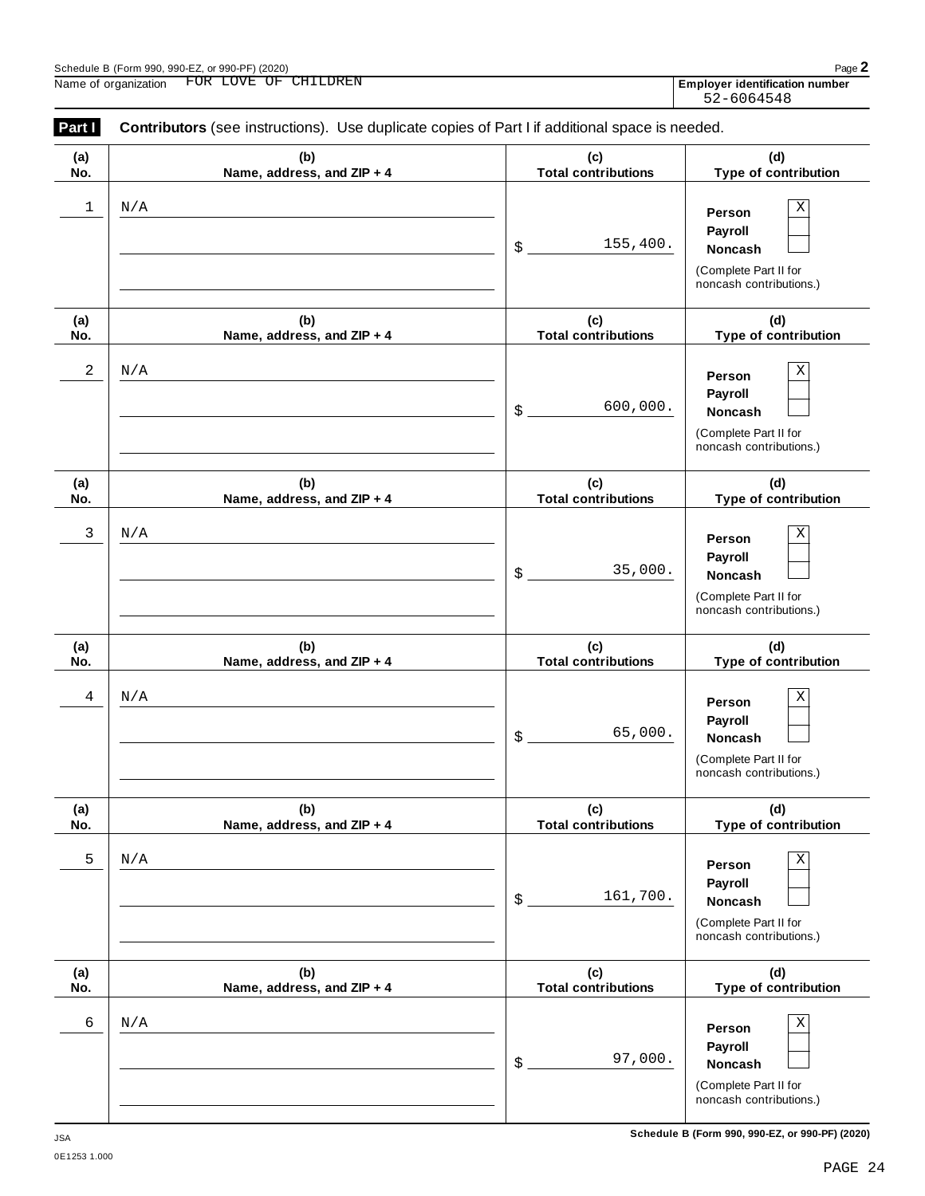Ī Ĭ.

| Part I<br>Contributors (see instructions). Use duplicate copies of Part I if additional space is needed.<br>(b)<br>(d)<br>(c)<br>(a)<br><b>Total contributions</b><br>Name, address, and ZIP + 4<br>No.<br>1<br>N/A<br>Person<br><b>Payroll</b><br>155,400.<br>$\frac{1}{2}$<br><b>Noncash</b><br>(b)<br>(c)<br>(d)<br>(a)<br><b>Total contributions</b><br>Name, address, and ZIP + 4<br>No.<br>2<br>N/A<br>Person<br><b>Payroll</b><br>600,000.<br>$\mathsf{\$}$ .<br><b>Noncash</b><br>(b)<br>(c)<br>(d)<br>(a)<br><b>Total contributions</b><br>Name, address, and ZIP + 4<br>No.<br>3<br>N/A<br>Person<br><b>Payroll</b><br>35,000.<br>\$<br><b>Noncash</b><br>(c)<br>(d)<br>(b)<br>(a)<br><b>Total contributions</b><br>Name, address, and ZIP + 4<br>No.<br>4<br>N/A<br>Person<br>Payroll<br>65,000.<br>$\$\,$<br>Noncash<br>(d)<br>(b)<br>(c)<br>(a)<br><b>Total contributions</b><br>Name, address, and ZIP + 4<br>No.<br>5<br>N/A<br>Person<br>Payroll<br>161,700.<br>$\$\,$<br><b>Noncash</b> | FOR LOVE OF CHILDREN<br>Name of organization | Employer identification number<br>52-6064548                                            |
|----------------------------------------------------------------------------------------------------------------------------------------------------------------------------------------------------------------------------------------------------------------------------------------------------------------------------------------------------------------------------------------------------------------------------------------------------------------------------------------------------------------------------------------------------------------------------------------------------------------------------------------------------------------------------------------------------------------------------------------------------------------------------------------------------------------------------------------------------------------------------------------------------------------------------------------------------------------------------------------------------------|----------------------------------------------|-----------------------------------------------------------------------------------------|
|                                                                                                                                                                                                                                                                                                                                                                                                                                                                                                                                                                                                                                                                                                                                                                                                                                                                                                                                                                                                          |                                              |                                                                                         |
|                                                                                                                                                                                                                                                                                                                                                                                                                                                                                                                                                                                                                                                                                                                                                                                                                                                                                                                                                                                                          |                                              | Type of contribution                                                                    |
|                                                                                                                                                                                                                                                                                                                                                                                                                                                                                                                                                                                                                                                                                                                                                                                                                                                                                                                                                                                                          |                                              | $\mathbf X$<br>(Complete Part II for<br>noncash contributions.)                         |
|                                                                                                                                                                                                                                                                                                                                                                                                                                                                                                                                                                                                                                                                                                                                                                                                                                                                                                                                                                                                          |                                              | Type of contribution                                                                    |
|                                                                                                                                                                                                                                                                                                                                                                                                                                                                                                                                                                                                                                                                                                                                                                                                                                                                                                                                                                                                          |                                              | Χ<br>(Complete Part II for<br>noncash contributions.)                                   |
|                                                                                                                                                                                                                                                                                                                                                                                                                                                                                                                                                                                                                                                                                                                                                                                                                                                                                                                                                                                                          |                                              | Type of contribution                                                                    |
|                                                                                                                                                                                                                                                                                                                                                                                                                                                                                                                                                                                                                                                                                                                                                                                                                                                                                                                                                                                                          |                                              | $\mathbf X$<br>(Complete Part II for<br>noncash contributions.)                         |
|                                                                                                                                                                                                                                                                                                                                                                                                                                                                                                                                                                                                                                                                                                                                                                                                                                                                                                                                                                                                          |                                              | Type of contribution                                                                    |
|                                                                                                                                                                                                                                                                                                                                                                                                                                                                                                                                                                                                                                                                                                                                                                                                                                                                                                                                                                                                          |                                              | $\mathbf X$<br>(Complete Part II for<br>noncash contributions.)                         |
|                                                                                                                                                                                                                                                                                                                                                                                                                                                                                                                                                                                                                                                                                                                                                                                                                                                                                                                                                                                                          |                                              | Type of contribution                                                                    |
| (b)<br>(c)<br>(d)<br>(a)<br><b>Total contributions</b>                                                                                                                                                                                                                                                                                                                                                                                                                                                                                                                                                                                                                                                                                                                                                                                                                                                                                                                                                   |                                              | $\mathbf X$<br>(Complete Part II for<br>noncash contributions.)<br>Type of contribution |

 $6 \mid N/A$  Person  $X$ 

**Person Payroll**

(Complete Part II for noncash contributions.)

\$ **Noncash**

97,000.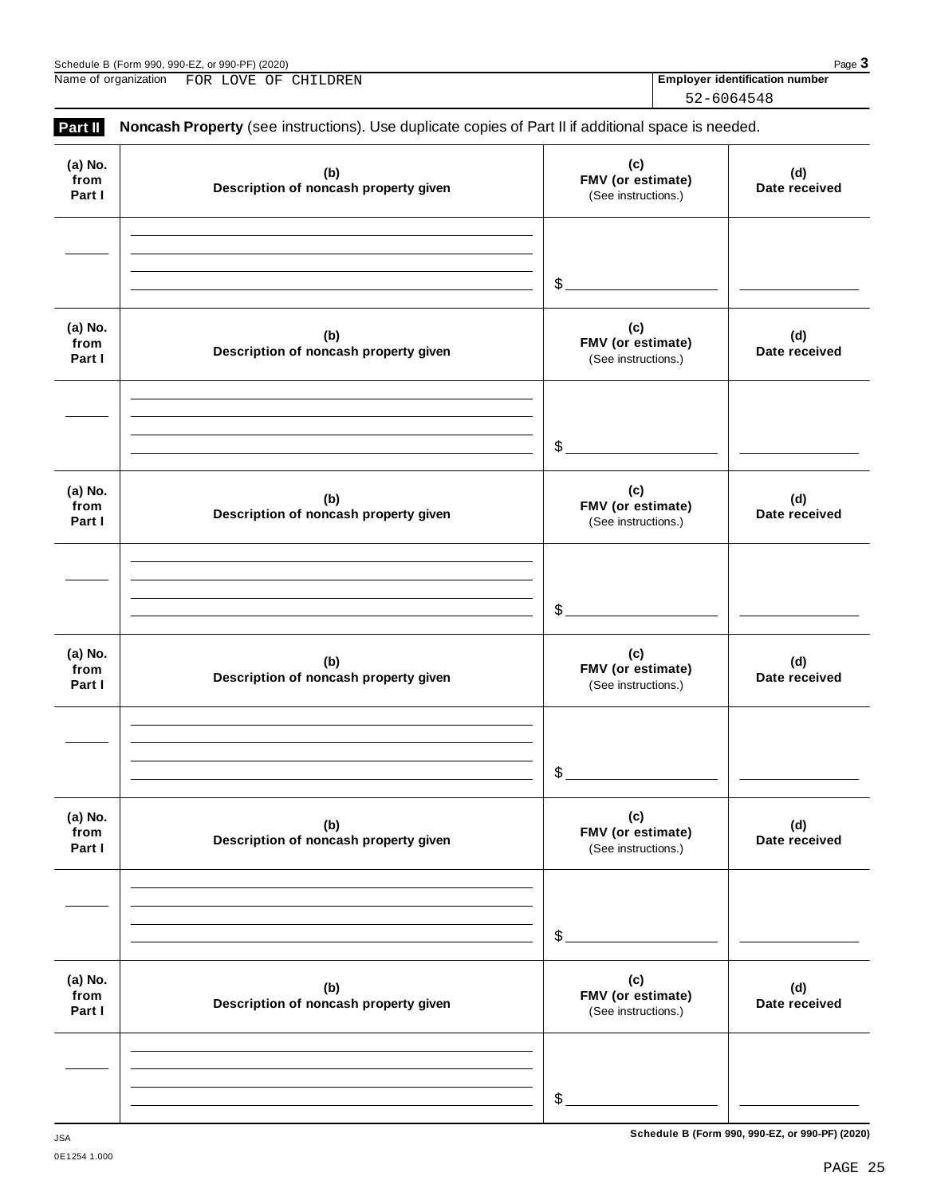| Part II                   | Noncash Property (see instructions). Use duplicate copies of Part II if additional space is needed. |                                                 |                      |
|---------------------------|-----------------------------------------------------------------------------------------------------|-------------------------------------------------|----------------------|
| (a) No.<br>from<br>Part I | (b)<br>Description of noncash property given                                                        | (c)<br>FMV (or estimate)<br>(See instructions.) | (d)<br>Date received |
|                           |                                                                                                     | $\mathcal{L}_{-}$                               |                      |
| (a) No.<br>from<br>Part I | (b)<br>Description of noncash property given                                                        | (c)<br>FMV (or estimate)<br>(See instructions.) | (d)<br>Date received |
|                           |                                                                                                     | $\mathcal{L}_{\mathcal{L}}$                     |                      |
| (a) No.<br>from<br>Part I | (b)<br>Description of noncash property given                                                        | (c)<br>FMV (or estimate)<br>(See instructions.) | (d)<br>Date received |
|                           |                                                                                                     | $\mathcal{L}_{\mathcal{L}}$                     |                      |
| (a) No.<br>from<br>Part I | (b)<br>Description of noncash property given                                                        | (c)<br>FMV (or estimate)<br>(See instructions.) | (d)<br>Date received |
|                           |                                                                                                     | \$                                              |                      |
| (a) No.<br>from<br>Part I | (b)<br>Description of noncash property given                                                        | (c)<br>FMV (or estimate)<br>(See instructions.) | (d)<br>Date received |
|                           |                                                                                                     | $\, \, \raisebox{12pt}{$\scriptstyle \$}$       |                      |
| (a) No.<br>from<br>Part I | (b)<br>Description of noncash property given                                                        | (c)<br>FMV (or estimate)<br>(See instructions.) | (d)<br>Date received |
|                           |                                                                                                     | \$                                              |                      |

| Name of organization | LOVE<br>CHILDREN<br><b>FOR</b><br>OF | <b>Emplover identification number</b> |
|----------------------|--------------------------------------|---------------------------------------|
|                      |                                      | 52-6064548                            |

52-6064548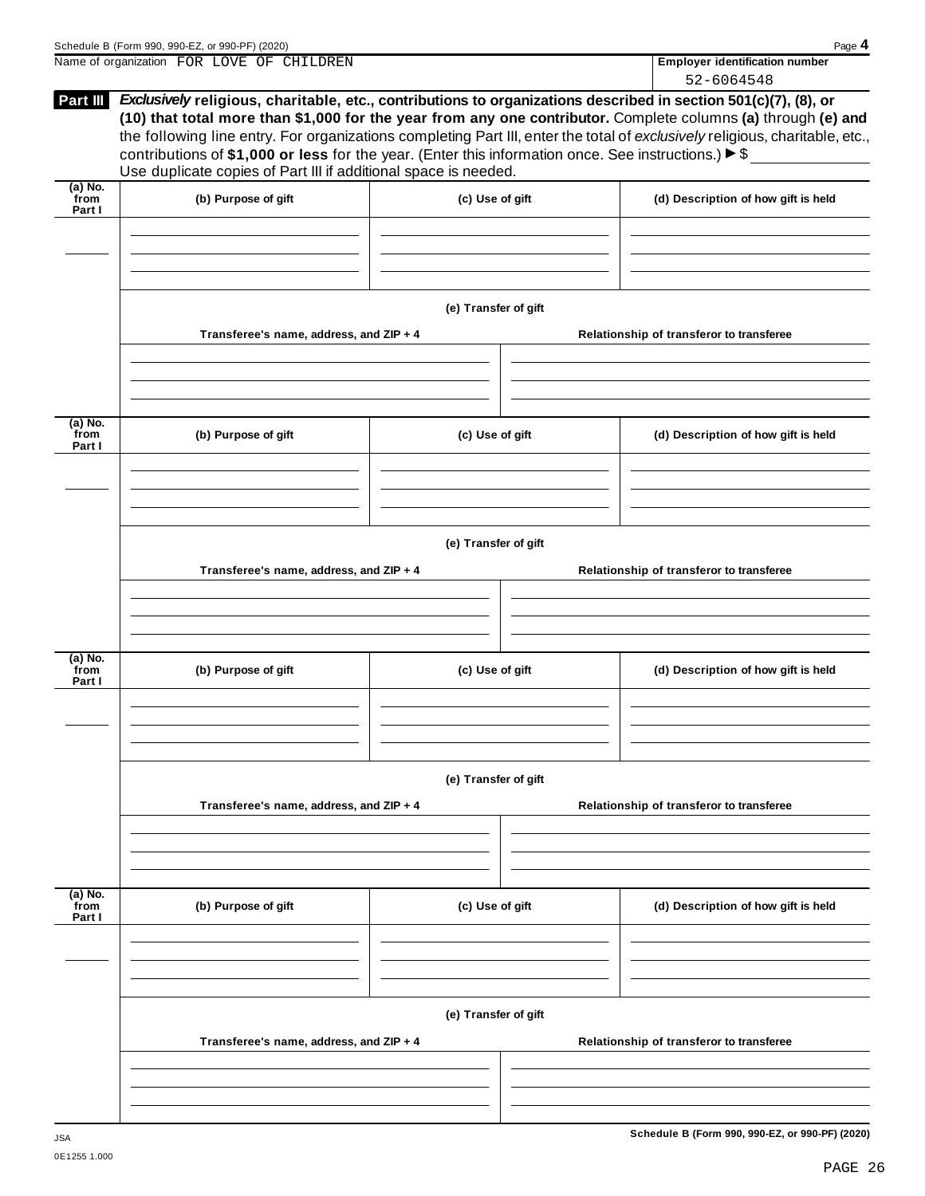| (b) Purpose of gift<br>Transferee's name, address, and ZIP + 4 | contributions of \$1,000 or less for the year. (Enter this information once. See instructions.) $\triangleright$ \$<br>Use duplicate copies of Part III if additional space is needed.<br>(c) Use of gift<br>(e) Transfer of gift |                                         | Exclusively religious, charitable, etc., contributions to organizations described in section 501(c)(7), (8), or<br>(10) that total more than \$1,000 for the year from any one contributor. Complete columns (a) through (e) and<br>the following line entry. For organizations completing Part III, enter the total of exclusively religious, charitable, etc.,<br>(d) Description of how gift is held<br>Relationship of transferor to transferee |
|----------------------------------------------------------------|-----------------------------------------------------------------------------------------------------------------------------------------------------------------------------------------------------------------------------------|-----------------------------------------|-----------------------------------------------------------------------------------------------------------------------------------------------------------------------------------------------------------------------------------------------------------------------------------------------------------------------------------------------------------------------------------------------------------------------------------------------------|
|                                                                |                                                                                                                                                                                                                                   |                                         |                                                                                                                                                                                                                                                                                                                                                                                                                                                     |
|                                                                |                                                                                                                                                                                                                                   |                                         |                                                                                                                                                                                                                                                                                                                                                                                                                                                     |
|                                                                |                                                                                                                                                                                                                                   |                                         |                                                                                                                                                                                                                                                                                                                                                                                                                                                     |
| (b) Purpose of gift                                            |                                                                                                                                                                                                                                   |                                         | (d) Description of how gift is held                                                                                                                                                                                                                                                                                                                                                                                                                 |
|                                                                |                                                                                                                                                                                                                                   |                                         |                                                                                                                                                                                                                                                                                                                                                                                                                                                     |
|                                                                |                                                                                                                                                                                                                                   |                                         | Relationship of transferor to transferee                                                                                                                                                                                                                                                                                                                                                                                                            |
|                                                                |                                                                                                                                                                                                                                   |                                         |                                                                                                                                                                                                                                                                                                                                                                                                                                                     |
|                                                                |                                                                                                                                                                                                                                   | Transferee's name, address, and ZIP + 4 | (c) Use of gift<br>(e) Transfer of gift                                                                                                                                                                                                                                                                                                                                                                                                             |

**Transferee's name, address, and ZIP + 4 Relationship of transferor to transferee (a) No. from Part I (b) Purpose of gift (c) Use of gift (d) Description of how gift is held (e) Transfer of gift Transferee's name, address, and ZIP + 4 Relationship of transferor to transferee**

**Schedule B (Form 990, 990-EZ, or 990-PF) (2020)** JSA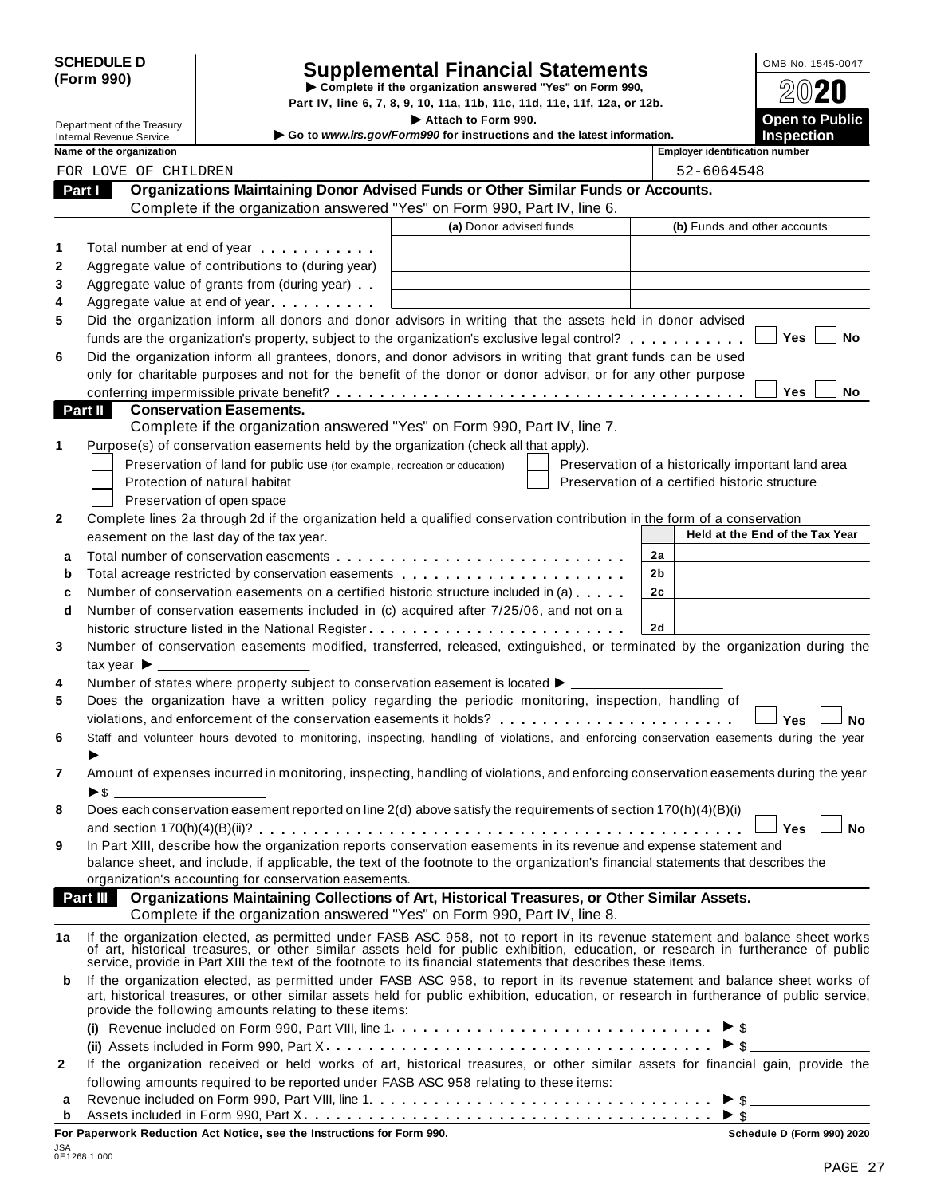| <b>SCHEDULE D</b> |  |
|-------------------|--|
| (Form 990)        |  |

# **Supplemental Financial Statements** 2008 No. 1545-0047

|              | (Form 990)                            |                                                                                                                                                                                                                                                                        | Complete if the organization answered "Yes" on Form 990,                 |                                                    |                |                                       |                                 |           |
|--------------|---------------------------------------|------------------------------------------------------------------------------------------------------------------------------------------------------------------------------------------------------------------------------------------------------------------------|--------------------------------------------------------------------------|----------------------------------------------------|----------------|---------------------------------------|---------------------------------|-----------|
|              |                                       |                                                                                                                                                                                                                                                                        | Part IV, line 6, 7, 8, 9, 10, 11a, 11b, 11c, 11d, 11e, 11f, 12a, or 12b. |                                                    |                |                                       |                                 |           |
|              | Department of the Treasury            |                                                                                                                                                                                                                                                                        | Attach to Form 990.                                                      |                                                    |                |                                       | Open to Public                  |           |
|              | <b>Internal Revenue Service</b>       |                                                                                                                                                                                                                                                                        | Go to www.irs.gov/Form990 for instructions and the latest information.   |                                                    |                |                                       | <b>Inspection</b>               |           |
|              | Name of the organization              |                                                                                                                                                                                                                                                                        |                                                                          |                                                    |                | <b>Employer identification number</b> |                                 |           |
|              | FOR LOVE OF CHILDREN                  |                                                                                                                                                                                                                                                                        |                                                                          |                                                    |                | 52-6064548                            |                                 |           |
|              | Part I                                | Organizations Maintaining Donor Advised Funds or Other Similar Funds or Accounts.                                                                                                                                                                                      |                                                                          |                                                    |                |                                       |                                 |           |
|              |                                       | Complete if the organization answered "Yes" on Form 990, Part IV, line 6.                                                                                                                                                                                              |                                                                          |                                                    |                |                                       |                                 |           |
|              |                                       |                                                                                                                                                                                                                                                                        | (a) Donor advised funds                                                  |                                                    |                |                                       | (b) Funds and other accounts    |           |
| 1            |                                       | Total number at end of year                                                                                                                                                                                                                                            |                                                                          |                                                    |                |                                       |                                 |           |
| 2            |                                       | Aggregate value of contributions to (during year)                                                                                                                                                                                                                      |                                                                          |                                                    |                |                                       |                                 |           |
| 3            |                                       | Aggregate value of grants from (during year)                                                                                                                                                                                                                           |                                                                          |                                                    |                |                                       |                                 |           |
| 4            |                                       | Aggregate value at end of year                                                                                                                                                                                                                                         |                                                                          |                                                    |                |                                       |                                 |           |
| 5            |                                       | Did the organization inform all donors and donor advisors in writing that the assets held in donor advised                                                                                                                                                             |                                                                          |                                                    |                |                                       |                                 | <b>No</b> |
|              |                                       | funds are the organization's property, subject to the organization's exclusive legal control?                                                                                                                                                                          |                                                                          |                                                    |                |                                       | <b>Yes</b>                      |           |
| 6            |                                       | Did the organization inform all grantees, donors, and donor advisors in writing that grant funds can be used                                                                                                                                                           |                                                                          |                                                    |                |                                       |                                 |           |
|              |                                       | only for charitable purposes and not for the benefit of the donor or donor advisor, or for any other purpose                                                                                                                                                           |                                                                          |                                                    |                |                                       | <b>Yes</b>                      | <b>No</b> |
|              | Part II                               | <b>Conservation Easements.</b>                                                                                                                                                                                                                                         |                                                                          |                                                    |                |                                       |                                 |           |
|              |                                       | Complete if the organization answered "Yes" on Form 990, Part IV, line 7.                                                                                                                                                                                              |                                                                          |                                                    |                |                                       |                                 |           |
| 1            |                                       | Purpose(s) of conservation easements held by the organization (check all that apply).                                                                                                                                                                                  |                                                                          |                                                    |                |                                       |                                 |           |
|              |                                       | Preservation of land for public use (for example, recreation or education)                                                                                                                                                                                             |                                                                          | Preservation of a historically important land area |                |                                       |                                 |           |
|              |                                       | Protection of natural habitat                                                                                                                                                                                                                                          |                                                                          | Preservation of a certified historic structure     |                |                                       |                                 |           |
|              |                                       | Preservation of open space                                                                                                                                                                                                                                             |                                                                          |                                                    |                |                                       |                                 |           |
| $\mathbf{2}$ |                                       | Complete lines 2a through 2d if the organization held a qualified conservation contribution in the form of a conservation                                                                                                                                              |                                                                          |                                                    |                |                                       |                                 |           |
|              |                                       | easement on the last day of the tax year.                                                                                                                                                                                                                              |                                                                          |                                                    |                |                                       | Held at the End of the Tax Year |           |
|              |                                       |                                                                                                                                                                                                                                                                        |                                                                          |                                                    | 2a             |                                       |                                 |           |
| a<br>b       |                                       |                                                                                                                                                                                                                                                                        |                                                                          |                                                    | 2 <sub>b</sub> |                                       |                                 |           |
|              |                                       | Number of conservation easements on a certified historic structure included in (a)                                                                                                                                                                                     |                                                                          |                                                    | 2c             |                                       |                                 |           |
| c<br>d       |                                       | Number of conservation easements included in (c) acquired after 7/25/06, and not on a                                                                                                                                                                                  |                                                                          |                                                    |                |                                       |                                 |           |
|              |                                       | historic structure listed in the National Register                                                                                                                                                                                                                     |                                                                          |                                                    | 2d             |                                       |                                 |           |
| 3            |                                       | Number of conservation easements modified, transferred, released, extinguished, or terminated by the organization during the                                                                                                                                           |                                                                          |                                                    |                |                                       |                                 |           |
|              | tax year $\blacktriangleright$ $\_\_$ |                                                                                                                                                                                                                                                                        |                                                                          |                                                    |                |                                       |                                 |           |
| 4            |                                       | Number of states where property subject to conservation easement is located $\blacktriangleright$ ____                                                                                                                                                                 |                                                                          |                                                    |                |                                       |                                 |           |
| 5            |                                       | Does the organization have a written policy regarding the periodic monitoring, inspection, handling of                                                                                                                                                                 |                                                                          |                                                    |                |                                       |                                 |           |
|              |                                       |                                                                                                                                                                                                                                                                        |                                                                          |                                                    |                |                                       | Yes                             | No        |
| 6            |                                       | Staff and volunteer hours devoted to monitoring, inspecting, handling of violations, and enforcing conservation easements during the year                                                                                                                              |                                                                          |                                                    |                |                                       |                                 |           |
|              |                                       |                                                                                                                                                                                                                                                                        |                                                                          |                                                    |                |                                       |                                 |           |
| 7            |                                       | Amount of expenses incurred in monitoring, inspecting, handling of violations, and enforcing conservation easements during the year                                                                                                                                    |                                                                          |                                                    |                |                                       |                                 |           |
|              |                                       |                                                                                                                                                                                                                                                                        |                                                                          |                                                    |                |                                       |                                 |           |
| 8            |                                       | Does each conservation easement reported on line 2(d) above satisfy the requirements of section 170(h)(4)(B)(i)                                                                                                                                                        |                                                                          |                                                    |                |                                       |                                 |           |
|              |                                       |                                                                                                                                                                                                                                                                        |                                                                          |                                                    |                |                                       | <b>Yes</b>                      | <b>No</b> |
| 9            |                                       | In Part XIII, describe how the organization reports conservation easements in its revenue and expense statement and                                                                                                                                                    |                                                                          |                                                    |                |                                       |                                 |           |
|              |                                       | balance sheet, and include, if applicable, the text of the footnote to the organization's financial statements that describes the                                                                                                                                      |                                                                          |                                                    |                |                                       |                                 |           |
|              |                                       | organization's accounting for conservation easements.                                                                                                                                                                                                                  |                                                                          |                                                    |                |                                       |                                 |           |
|              | <b>Part III</b>                       | Organizations Maintaining Collections of Art, Historical Treasures, or Other Similar Assets.                                                                                                                                                                           |                                                                          |                                                    |                |                                       |                                 |           |
|              |                                       | Complete if the organization answered "Yes" on Form 990, Part IV, line 8.                                                                                                                                                                                              |                                                                          |                                                    |                |                                       |                                 |           |
| 1a           |                                       | If the organization elected, as permitted under FASB ASC 958, not to report in its revenue statement and balance sheet works of art, historical treasures, or other similar assets held for public exhibition, education, or r                                         |                                                                          |                                                    |                |                                       |                                 |           |
| b            |                                       | If the organization elected, as permitted under FASB ASC 958, to report in its revenue statement and balance sheet works of<br>art, historical treasures, or other similar assets held for public exhibition, education, or research in furtherance of public service, |                                                                          |                                                    |                |                                       |                                 |           |
|              |                                       | provide the following amounts relating to these items:<br>(i) Revenue included on Form 990, Part VIII, line $1, \ldots, \ldots, \ldots, \ldots, \ldots, \ldots, \ldots, \ldots, \ldots$                                                                                |                                                                          |                                                    |                |                                       |                                 |           |
|              |                                       |                                                                                                                                                                                                                                                                        |                                                                          |                                                    |                |                                       | $\triangleright$ \$             |           |
|              |                                       | If the organization received or held works of art, historical treasures, or other similar assets for financial gain, provide the                                                                                                                                       |                                                                          |                                                    |                |                                       |                                 |           |
| 2            |                                       |                                                                                                                                                                                                                                                                        |                                                                          |                                                    |                |                                       |                                 |           |

| <b>b</b> Assets included in Form 990, Part $X_1, \ldots, X_n$ |  |  |  |  |
|---------------------------------------------------------------|--|--|--|--|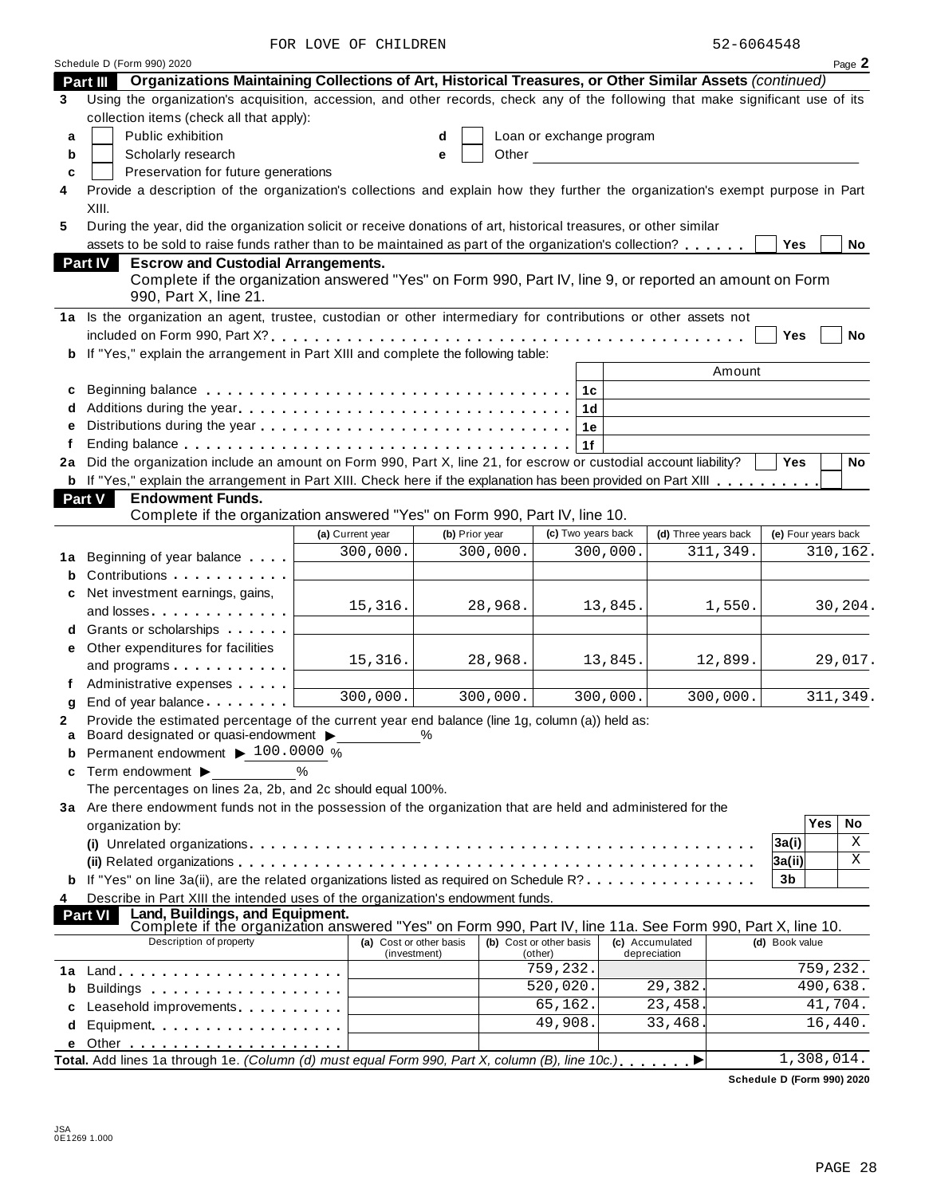FOR LOVE OF CHILDREN 52-6064548

| Organizations Maintaining Collections of Art, Historical Treasures, or Other Similar Assets (continued)<br>Part III<br>Using the organization's acquisition, accession, and other records, check any of the following that make significant use of its<br>3<br>collection items (check all that apply):<br>Public exhibition<br>Loan or exchange program<br>a<br>d<br>Scholarly research<br>Other<br>b<br>e<br>Preservation for future generations<br>c<br>Provide a description of the organization's collections and explain how they further the organization's exempt purpose in Part<br>4<br>XIII.<br>During the year, did the organization solicit or receive donations of art, historical treasures, or other similar<br>5<br>assets to be sold to raise funds rather than to be maintained as part of the organization's collection?<br>Yes<br>No<br><b>Part IV</b><br><b>Escrow and Custodial Arrangements.</b><br>Complete if the organization answered "Yes" on Form 990, Part IV, line 9, or reported an amount on Form<br>990, Part X, line 21.<br>1a Is the organization an agent, trustee, custodian or other intermediary for contributions or other assets not<br>Yes<br>No<br><b>b</b> If "Yes," explain the arrangement in Part XIII and complete the following table:<br>Amount<br>1c<br>c<br>1 <sub>d</sub><br>1e<br>1f<br>2a Did the organization include an amount on Form 990, Part X, line 21, for escrow or custodial account liability?<br><b>Yes</b><br>No<br><b>b</b> If "Yes," explain the arrangement in Part XIII. Check here if the explanation has been provided on Part XIII<br><b>Endowment Funds.</b><br><b>Part V</b><br>Complete if the organization answered "Yes" on Form 990, Part IV, line 10.<br>(c) Two years back<br>(d) Three years back<br>(e) Four years back<br>(a) Current year<br>(b) Prior year<br>300,000.<br>300,000.<br>300,000.<br>311,349.<br>310,162.<br>Beginning of year balance<br>1а<br>b<br>Net investment earnings, gains,<br>15,316.<br>28,968.<br>13,845.<br>1,550.<br>30,204.<br>and losses <b>and in the set of the set of the set of the set of the set of the set of the set of the set of the s</b><br>Grants or scholarships<br>Other expenditures for facilities<br>е<br>15,316.<br>28,968.<br>13,845.<br>12,899.<br>29,017.<br>and programs<br>Administrative expenses<br>300,000.<br>300,000.<br>300,000.<br>311,349.<br>300,000.<br>a<br>Provide the estimated percentage of the current year end balance (line 1g, column (a)) held as:<br>2<br>Board designated or quasi-endowment ><br>a<br>Permanent endowment ▶ 100.0000 %<br>b<br>Term endowment ▶<br>%<br>c<br>The percentages on lines 2a, 2b, and 2c should equal 100%.<br>3a Are there endowment funds not in the possession of the organization that are held and administered for the<br>Yes<br>No<br>organization by:<br>Χ<br>3a(i)<br>Χ<br>3a(ii)<br><b>b</b> If "Yes" on line 3a(ii), are the related organizations listed as required on Schedule R?<br>3b<br>Describe in Part XIII the intended uses of the organization's endowment funds.<br>4<br>Land, Buildings, and Equipment.<br><b>Part VI</b><br>Complete if the organization answered "Yes" on Form 990, Part IV, line 11a. See Form 990, Part X, line 10.<br>Description of property<br>(a) Cost or other basis<br>(b) Cost or other basis<br>(c) Accumulated<br>(d) Book value<br>(investment)<br>depreciation<br>(other)<br>759,232.<br>759,232.<br>1a<br>520,020.<br>29,382.<br>490,638.<br>Buildings <b>Example 20</b> Suite 1 and 1 and 1 and 1 and 1 and 1 and 1 and 1 and 1 and 1 and 1 and 1 and 1 and 1 and 1 and 1 and 1 and 1 and 1 and 1 and 1 and 1 and 1 and 1 and 1 and 1 and 1 and 1 and 1 and 1 and 1 and 1 and 1<br>b<br>65,162.<br>41,704.<br>23,458.<br>Leasehold improvements experiences<br>c<br>49,908.<br>33,468<br>16,440.<br>Equipment<br>d<br>е<br>Total. Add lines 1a through 1e. (Column (d) must equal Form 990, Part X, column (B), line 10c.).<br>1,308,014. | Schedule D (Form 990) 2020 |  |  |  | Page 2 |
|------------------------------------------------------------------------------------------------------------------------------------------------------------------------------------------------------------------------------------------------------------------------------------------------------------------------------------------------------------------------------------------------------------------------------------------------------------------------------------------------------------------------------------------------------------------------------------------------------------------------------------------------------------------------------------------------------------------------------------------------------------------------------------------------------------------------------------------------------------------------------------------------------------------------------------------------------------------------------------------------------------------------------------------------------------------------------------------------------------------------------------------------------------------------------------------------------------------------------------------------------------------------------------------------------------------------------------------------------------------------------------------------------------------------------------------------------------------------------------------------------------------------------------------------------------------------------------------------------------------------------------------------------------------------------------------------------------------------------------------------------------------------------------------------------------------------------------------------------------------------------------------------------------------------------------------------------------------------------------------------------------------------------------------------------------------------------------------------------------------------------------------------------------------------------------------------------------------------------------------------------------------------------------------------------------------------------------------------------------------------------------------------------------------------------------------------------------------------------------------------------------------------------------------------------------------------------------------------------------------------------------------------------------------------------------------------------------------------------------------------------------------------------------------------------------------------------------------------------------------------------------------------------------------------------------------------------------------------------------------------------------------------------------------------------------------------------------------------------------------------------------------------------------------------------------------------------------------------------------------------------------------------------------------------------------------------------------------------------------------------------------------------------------------------------------------------------------------------------------------------------------------------------------------------------------------------------------------------------------------------------------------------------------------------------------------------------------------------------------------------------------------------------------------------------------------------------------------------------------------------------------------------------------------------------------------------------------------------------------------------------|----------------------------|--|--|--|--------|
|                                                                                                                                                                                                                                                                                                                                                                                                                                                                                                                                                                                                                                                                                                                                                                                                                                                                                                                                                                                                                                                                                                                                                                                                                                                                                                                                                                                                                                                                                                                                                                                                                                                                                                                                                                                                                                                                                                                                                                                                                                                                                                                                                                                                                                                                                                                                                                                                                                                                                                                                                                                                                                                                                                                                                                                                                                                                                                                                                                                                                                                                                                                                                                                                                                                                                                                                                                                                                                                                                                                                                                                                                                                                                                                                                                                                                                                                                                                                                                                                      |                            |  |  |  |        |
|                                                                                                                                                                                                                                                                                                                                                                                                                                                                                                                                                                                                                                                                                                                                                                                                                                                                                                                                                                                                                                                                                                                                                                                                                                                                                                                                                                                                                                                                                                                                                                                                                                                                                                                                                                                                                                                                                                                                                                                                                                                                                                                                                                                                                                                                                                                                                                                                                                                                                                                                                                                                                                                                                                                                                                                                                                                                                                                                                                                                                                                                                                                                                                                                                                                                                                                                                                                                                                                                                                                                                                                                                                                                                                                                                                                                                                                                                                                                                                                                      |                            |  |  |  |        |
|                                                                                                                                                                                                                                                                                                                                                                                                                                                                                                                                                                                                                                                                                                                                                                                                                                                                                                                                                                                                                                                                                                                                                                                                                                                                                                                                                                                                                                                                                                                                                                                                                                                                                                                                                                                                                                                                                                                                                                                                                                                                                                                                                                                                                                                                                                                                                                                                                                                                                                                                                                                                                                                                                                                                                                                                                                                                                                                                                                                                                                                                                                                                                                                                                                                                                                                                                                                                                                                                                                                                                                                                                                                                                                                                                                                                                                                                                                                                                                                                      |                            |  |  |  |        |
|                                                                                                                                                                                                                                                                                                                                                                                                                                                                                                                                                                                                                                                                                                                                                                                                                                                                                                                                                                                                                                                                                                                                                                                                                                                                                                                                                                                                                                                                                                                                                                                                                                                                                                                                                                                                                                                                                                                                                                                                                                                                                                                                                                                                                                                                                                                                                                                                                                                                                                                                                                                                                                                                                                                                                                                                                                                                                                                                                                                                                                                                                                                                                                                                                                                                                                                                                                                                                                                                                                                                                                                                                                                                                                                                                                                                                                                                                                                                                                                                      |                            |  |  |  |        |
|                                                                                                                                                                                                                                                                                                                                                                                                                                                                                                                                                                                                                                                                                                                                                                                                                                                                                                                                                                                                                                                                                                                                                                                                                                                                                                                                                                                                                                                                                                                                                                                                                                                                                                                                                                                                                                                                                                                                                                                                                                                                                                                                                                                                                                                                                                                                                                                                                                                                                                                                                                                                                                                                                                                                                                                                                                                                                                                                                                                                                                                                                                                                                                                                                                                                                                                                                                                                                                                                                                                                                                                                                                                                                                                                                                                                                                                                                                                                                                                                      |                            |  |  |  |        |
|                                                                                                                                                                                                                                                                                                                                                                                                                                                                                                                                                                                                                                                                                                                                                                                                                                                                                                                                                                                                                                                                                                                                                                                                                                                                                                                                                                                                                                                                                                                                                                                                                                                                                                                                                                                                                                                                                                                                                                                                                                                                                                                                                                                                                                                                                                                                                                                                                                                                                                                                                                                                                                                                                                                                                                                                                                                                                                                                                                                                                                                                                                                                                                                                                                                                                                                                                                                                                                                                                                                                                                                                                                                                                                                                                                                                                                                                                                                                                                                                      |                            |  |  |  |        |
|                                                                                                                                                                                                                                                                                                                                                                                                                                                                                                                                                                                                                                                                                                                                                                                                                                                                                                                                                                                                                                                                                                                                                                                                                                                                                                                                                                                                                                                                                                                                                                                                                                                                                                                                                                                                                                                                                                                                                                                                                                                                                                                                                                                                                                                                                                                                                                                                                                                                                                                                                                                                                                                                                                                                                                                                                                                                                                                                                                                                                                                                                                                                                                                                                                                                                                                                                                                                                                                                                                                                                                                                                                                                                                                                                                                                                                                                                                                                                                                                      |                            |  |  |  |        |
|                                                                                                                                                                                                                                                                                                                                                                                                                                                                                                                                                                                                                                                                                                                                                                                                                                                                                                                                                                                                                                                                                                                                                                                                                                                                                                                                                                                                                                                                                                                                                                                                                                                                                                                                                                                                                                                                                                                                                                                                                                                                                                                                                                                                                                                                                                                                                                                                                                                                                                                                                                                                                                                                                                                                                                                                                                                                                                                                                                                                                                                                                                                                                                                                                                                                                                                                                                                                                                                                                                                                                                                                                                                                                                                                                                                                                                                                                                                                                                                                      |                            |  |  |  |        |
|                                                                                                                                                                                                                                                                                                                                                                                                                                                                                                                                                                                                                                                                                                                                                                                                                                                                                                                                                                                                                                                                                                                                                                                                                                                                                                                                                                                                                                                                                                                                                                                                                                                                                                                                                                                                                                                                                                                                                                                                                                                                                                                                                                                                                                                                                                                                                                                                                                                                                                                                                                                                                                                                                                                                                                                                                                                                                                                                                                                                                                                                                                                                                                                                                                                                                                                                                                                                                                                                                                                                                                                                                                                                                                                                                                                                                                                                                                                                                                                                      |                            |  |  |  |        |
|                                                                                                                                                                                                                                                                                                                                                                                                                                                                                                                                                                                                                                                                                                                                                                                                                                                                                                                                                                                                                                                                                                                                                                                                                                                                                                                                                                                                                                                                                                                                                                                                                                                                                                                                                                                                                                                                                                                                                                                                                                                                                                                                                                                                                                                                                                                                                                                                                                                                                                                                                                                                                                                                                                                                                                                                                                                                                                                                                                                                                                                                                                                                                                                                                                                                                                                                                                                                                                                                                                                                                                                                                                                                                                                                                                                                                                                                                                                                                                                                      |                            |  |  |  |        |
|                                                                                                                                                                                                                                                                                                                                                                                                                                                                                                                                                                                                                                                                                                                                                                                                                                                                                                                                                                                                                                                                                                                                                                                                                                                                                                                                                                                                                                                                                                                                                                                                                                                                                                                                                                                                                                                                                                                                                                                                                                                                                                                                                                                                                                                                                                                                                                                                                                                                                                                                                                                                                                                                                                                                                                                                                                                                                                                                                                                                                                                                                                                                                                                                                                                                                                                                                                                                                                                                                                                                                                                                                                                                                                                                                                                                                                                                                                                                                                                                      |                            |  |  |  |        |
|                                                                                                                                                                                                                                                                                                                                                                                                                                                                                                                                                                                                                                                                                                                                                                                                                                                                                                                                                                                                                                                                                                                                                                                                                                                                                                                                                                                                                                                                                                                                                                                                                                                                                                                                                                                                                                                                                                                                                                                                                                                                                                                                                                                                                                                                                                                                                                                                                                                                                                                                                                                                                                                                                                                                                                                                                                                                                                                                                                                                                                                                                                                                                                                                                                                                                                                                                                                                                                                                                                                                                                                                                                                                                                                                                                                                                                                                                                                                                                                                      |                            |  |  |  |        |
|                                                                                                                                                                                                                                                                                                                                                                                                                                                                                                                                                                                                                                                                                                                                                                                                                                                                                                                                                                                                                                                                                                                                                                                                                                                                                                                                                                                                                                                                                                                                                                                                                                                                                                                                                                                                                                                                                                                                                                                                                                                                                                                                                                                                                                                                                                                                                                                                                                                                                                                                                                                                                                                                                                                                                                                                                                                                                                                                                                                                                                                                                                                                                                                                                                                                                                                                                                                                                                                                                                                                                                                                                                                                                                                                                                                                                                                                                                                                                                                                      |                            |  |  |  |        |
|                                                                                                                                                                                                                                                                                                                                                                                                                                                                                                                                                                                                                                                                                                                                                                                                                                                                                                                                                                                                                                                                                                                                                                                                                                                                                                                                                                                                                                                                                                                                                                                                                                                                                                                                                                                                                                                                                                                                                                                                                                                                                                                                                                                                                                                                                                                                                                                                                                                                                                                                                                                                                                                                                                                                                                                                                                                                                                                                                                                                                                                                                                                                                                                                                                                                                                                                                                                                                                                                                                                                                                                                                                                                                                                                                                                                                                                                                                                                                                                                      |                            |  |  |  |        |
|                                                                                                                                                                                                                                                                                                                                                                                                                                                                                                                                                                                                                                                                                                                                                                                                                                                                                                                                                                                                                                                                                                                                                                                                                                                                                                                                                                                                                                                                                                                                                                                                                                                                                                                                                                                                                                                                                                                                                                                                                                                                                                                                                                                                                                                                                                                                                                                                                                                                                                                                                                                                                                                                                                                                                                                                                                                                                                                                                                                                                                                                                                                                                                                                                                                                                                                                                                                                                                                                                                                                                                                                                                                                                                                                                                                                                                                                                                                                                                                                      |                            |  |  |  |        |
|                                                                                                                                                                                                                                                                                                                                                                                                                                                                                                                                                                                                                                                                                                                                                                                                                                                                                                                                                                                                                                                                                                                                                                                                                                                                                                                                                                                                                                                                                                                                                                                                                                                                                                                                                                                                                                                                                                                                                                                                                                                                                                                                                                                                                                                                                                                                                                                                                                                                                                                                                                                                                                                                                                                                                                                                                                                                                                                                                                                                                                                                                                                                                                                                                                                                                                                                                                                                                                                                                                                                                                                                                                                                                                                                                                                                                                                                                                                                                                                                      |                            |  |  |  |        |
|                                                                                                                                                                                                                                                                                                                                                                                                                                                                                                                                                                                                                                                                                                                                                                                                                                                                                                                                                                                                                                                                                                                                                                                                                                                                                                                                                                                                                                                                                                                                                                                                                                                                                                                                                                                                                                                                                                                                                                                                                                                                                                                                                                                                                                                                                                                                                                                                                                                                                                                                                                                                                                                                                                                                                                                                                                                                                                                                                                                                                                                                                                                                                                                                                                                                                                                                                                                                                                                                                                                                                                                                                                                                                                                                                                                                                                                                                                                                                                                                      |                            |  |  |  |        |
|                                                                                                                                                                                                                                                                                                                                                                                                                                                                                                                                                                                                                                                                                                                                                                                                                                                                                                                                                                                                                                                                                                                                                                                                                                                                                                                                                                                                                                                                                                                                                                                                                                                                                                                                                                                                                                                                                                                                                                                                                                                                                                                                                                                                                                                                                                                                                                                                                                                                                                                                                                                                                                                                                                                                                                                                                                                                                                                                                                                                                                                                                                                                                                                                                                                                                                                                                                                                                                                                                                                                                                                                                                                                                                                                                                                                                                                                                                                                                                                                      |                            |  |  |  |        |
|                                                                                                                                                                                                                                                                                                                                                                                                                                                                                                                                                                                                                                                                                                                                                                                                                                                                                                                                                                                                                                                                                                                                                                                                                                                                                                                                                                                                                                                                                                                                                                                                                                                                                                                                                                                                                                                                                                                                                                                                                                                                                                                                                                                                                                                                                                                                                                                                                                                                                                                                                                                                                                                                                                                                                                                                                                                                                                                                                                                                                                                                                                                                                                                                                                                                                                                                                                                                                                                                                                                                                                                                                                                                                                                                                                                                                                                                                                                                                                                                      |                            |  |  |  |        |
|                                                                                                                                                                                                                                                                                                                                                                                                                                                                                                                                                                                                                                                                                                                                                                                                                                                                                                                                                                                                                                                                                                                                                                                                                                                                                                                                                                                                                                                                                                                                                                                                                                                                                                                                                                                                                                                                                                                                                                                                                                                                                                                                                                                                                                                                                                                                                                                                                                                                                                                                                                                                                                                                                                                                                                                                                                                                                                                                                                                                                                                                                                                                                                                                                                                                                                                                                                                                                                                                                                                                                                                                                                                                                                                                                                                                                                                                                                                                                                                                      |                            |  |  |  |        |
|                                                                                                                                                                                                                                                                                                                                                                                                                                                                                                                                                                                                                                                                                                                                                                                                                                                                                                                                                                                                                                                                                                                                                                                                                                                                                                                                                                                                                                                                                                                                                                                                                                                                                                                                                                                                                                                                                                                                                                                                                                                                                                                                                                                                                                                                                                                                                                                                                                                                                                                                                                                                                                                                                                                                                                                                                                                                                                                                                                                                                                                                                                                                                                                                                                                                                                                                                                                                                                                                                                                                                                                                                                                                                                                                                                                                                                                                                                                                                                                                      |                            |  |  |  |        |
|                                                                                                                                                                                                                                                                                                                                                                                                                                                                                                                                                                                                                                                                                                                                                                                                                                                                                                                                                                                                                                                                                                                                                                                                                                                                                                                                                                                                                                                                                                                                                                                                                                                                                                                                                                                                                                                                                                                                                                                                                                                                                                                                                                                                                                                                                                                                                                                                                                                                                                                                                                                                                                                                                                                                                                                                                                                                                                                                                                                                                                                                                                                                                                                                                                                                                                                                                                                                                                                                                                                                                                                                                                                                                                                                                                                                                                                                                                                                                                                                      |                            |  |  |  |        |
|                                                                                                                                                                                                                                                                                                                                                                                                                                                                                                                                                                                                                                                                                                                                                                                                                                                                                                                                                                                                                                                                                                                                                                                                                                                                                                                                                                                                                                                                                                                                                                                                                                                                                                                                                                                                                                                                                                                                                                                                                                                                                                                                                                                                                                                                                                                                                                                                                                                                                                                                                                                                                                                                                                                                                                                                                                                                                                                                                                                                                                                                                                                                                                                                                                                                                                                                                                                                                                                                                                                                                                                                                                                                                                                                                                                                                                                                                                                                                                                                      |                            |  |  |  |        |
|                                                                                                                                                                                                                                                                                                                                                                                                                                                                                                                                                                                                                                                                                                                                                                                                                                                                                                                                                                                                                                                                                                                                                                                                                                                                                                                                                                                                                                                                                                                                                                                                                                                                                                                                                                                                                                                                                                                                                                                                                                                                                                                                                                                                                                                                                                                                                                                                                                                                                                                                                                                                                                                                                                                                                                                                                                                                                                                                                                                                                                                                                                                                                                                                                                                                                                                                                                                                                                                                                                                                                                                                                                                                                                                                                                                                                                                                                                                                                                                                      |                            |  |  |  |        |
|                                                                                                                                                                                                                                                                                                                                                                                                                                                                                                                                                                                                                                                                                                                                                                                                                                                                                                                                                                                                                                                                                                                                                                                                                                                                                                                                                                                                                                                                                                                                                                                                                                                                                                                                                                                                                                                                                                                                                                                                                                                                                                                                                                                                                                                                                                                                                                                                                                                                                                                                                                                                                                                                                                                                                                                                                                                                                                                                                                                                                                                                                                                                                                                                                                                                                                                                                                                                                                                                                                                                                                                                                                                                                                                                                                                                                                                                                                                                                                                                      |                            |  |  |  |        |
|                                                                                                                                                                                                                                                                                                                                                                                                                                                                                                                                                                                                                                                                                                                                                                                                                                                                                                                                                                                                                                                                                                                                                                                                                                                                                                                                                                                                                                                                                                                                                                                                                                                                                                                                                                                                                                                                                                                                                                                                                                                                                                                                                                                                                                                                                                                                                                                                                                                                                                                                                                                                                                                                                                                                                                                                                                                                                                                                                                                                                                                                                                                                                                                                                                                                                                                                                                                                                                                                                                                                                                                                                                                                                                                                                                                                                                                                                                                                                                                                      |                            |  |  |  |        |
|                                                                                                                                                                                                                                                                                                                                                                                                                                                                                                                                                                                                                                                                                                                                                                                                                                                                                                                                                                                                                                                                                                                                                                                                                                                                                                                                                                                                                                                                                                                                                                                                                                                                                                                                                                                                                                                                                                                                                                                                                                                                                                                                                                                                                                                                                                                                                                                                                                                                                                                                                                                                                                                                                                                                                                                                                                                                                                                                                                                                                                                                                                                                                                                                                                                                                                                                                                                                                                                                                                                                                                                                                                                                                                                                                                                                                                                                                                                                                                                                      |                            |  |  |  |        |
|                                                                                                                                                                                                                                                                                                                                                                                                                                                                                                                                                                                                                                                                                                                                                                                                                                                                                                                                                                                                                                                                                                                                                                                                                                                                                                                                                                                                                                                                                                                                                                                                                                                                                                                                                                                                                                                                                                                                                                                                                                                                                                                                                                                                                                                                                                                                                                                                                                                                                                                                                                                                                                                                                                                                                                                                                                                                                                                                                                                                                                                                                                                                                                                                                                                                                                                                                                                                                                                                                                                                                                                                                                                                                                                                                                                                                                                                                                                                                                                                      |                            |  |  |  |        |
|                                                                                                                                                                                                                                                                                                                                                                                                                                                                                                                                                                                                                                                                                                                                                                                                                                                                                                                                                                                                                                                                                                                                                                                                                                                                                                                                                                                                                                                                                                                                                                                                                                                                                                                                                                                                                                                                                                                                                                                                                                                                                                                                                                                                                                                                                                                                                                                                                                                                                                                                                                                                                                                                                                                                                                                                                                                                                                                                                                                                                                                                                                                                                                                                                                                                                                                                                                                                                                                                                                                                                                                                                                                                                                                                                                                                                                                                                                                                                                                                      |                            |  |  |  |        |
|                                                                                                                                                                                                                                                                                                                                                                                                                                                                                                                                                                                                                                                                                                                                                                                                                                                                                                                                                                                                                                                                                                                                                                                                                                                                                                                                                                                                                                                                                                                                                                                                                                                                                                                                                                                                                                                                                                                                                                                                                                                                                                                                                                                                                                                                                                                                                                                                                                                                                                                                                                                                                                                                                                                                                                                                                                                                                                                                                                                                                                                                                                                                                                                                                                                                                                                                                                                                                                                                                                                                                                                                                                                                                                                                                                                                                                                                                                                                                                                                      |                            |  |  |  |        |
|                                                                                                                                                                                                                                                                                                                                                                                                                                                                                                                                                                                                                                                                                                                                                                                                                                                                                                                                                                                                                                                                                                                                                                                                                                                                                                                                                                                                                                                                                                                                                                                                                                                                                                                                                                                                                                                                                                                                                                                                                                                                                                                                                                                                                                                                                                                                                                                                                                                                                                                                                                                                                                                                                                                                                                                                                                                                                                                                                                                                                                                                                                                                                                                                                                                                                                                                                                                                                                                                                                                                                                                                                                                                                                                                                                                                                                                                                                                                                                                                      |                            |  |  |  |        |
|                                                                                                                                                                                                                                                                                                                                                                                                                                                                                                                                                                                                                                                                                                                                                                                                                                                                                                                                                                                                                                                                                                                                                                                                                                                                                                                                                                                                                                                                                                                                                                                                                                                                                                                                                                                                                                                                                                                                                                                                                                                                                                                                                                                                                                                                                                                                                                                                                                                                                                                                                                                                                                                                                                                                                                                                                                                                                                                                                                                                                                                                                                                                                                                                                                                                                                                                                                                                                                                                                                                                                                                                                                                                                                                                                                                                                                                                                                                                                                                                      |                            |  |  |  |        |
|                                                                                                                                                                                                                                                                                                                                                                                                                                                                                                                                                                                                                                                                                                                                                                                                                                                                                                                                                                                                                                                                                                                                                                                                                                                                                                                                                                                                                                                                                                                                                                                                                                                                                                                                                                                                                                                                                                                                                                                                                                                                                                                                                                                                                                                                                                                                                                                                                                                                                                                                                                                                                                                                                                                                                                                                                                                                                                                                                                                                                                                                                                                                                                                                                                                                                                                                                                                                                                                                                                                                                                                                                                                                                                                                                                                                                                                                                                                                                                                                      |                            |  |  |  |        |
|                                                                                                                                                                                                                                                                                                                                                                                                                                                                                                                                                                                                                                                                                                                                                                                                                                                                                                                                                                                                                                                                                                                                                                                                                                                                                                                                                                                                                                                                                                                                                                                                                                                                                                                                                                                                                                                                                                                                                                                                                                                                                                                                                                                                                                                                                                                                                                                                                                                                                                                                                                                                                                                                                                                                                                                                                                                                                                                                                                                                                                                                                                                                                                                                                                                                                                                                                                                                                                                                                                                                                                                                                                                                                                                                                                                                                                                                                                                                                                                                      |                            |  |  |  |        |
|                                                                                                                                                                                                                                                                                                                                                                                                                                                                                                                                                                                                                                                                                                                                                                                                                                                                                                                                                                                                                                                                                                                                                                                                                                                                                                                                                                                                                                                                                                                                                                                                                                                                                                                                                                                                                                                                                                                                                                                                                                                                                                                                                                                                                                                                                                                                                                                                                                                                                                                                                                                                                                                                                                                                                                                                                                                                                                                                                                                                                                                                                                                                                                                                                                                                                                                                                                                                                                                                                                                                                                                                                                                                                                                                                                                                                                                                                                                                                                                                      |                            |  |  |  |        |
|                                                                                                                                                                                                                                                                                                                                                                                                                                                                                                                                                                                                                                                                                                                                                                                                                                                                                                                                                                                                                                                                                                                                                                                                                                                                                                                                                                                                                                                                                                                                                                                                                                                                                                                                                                                                                                                                                                                                                                                                                                                                                                                                                                                                                                                                                                                                                                                                                                                                                                                                                                                                                                                                                                                                                                                                                                                                                                                                                                                                                                                                                                                                                                                                                                                                                                                                                                                                                                                                                                                                                                                                                                                                                                                                                                                                                                                                                                                                                                                                      |                            |  |  |  |        |
|                                                                                                                                                                                                                                                                                                                                                                                                                                                                                                                                                                                                                                                                                                                                                                                                                                                                                                                                                                                                                                                                                                                                                                                                                                                                                                                                                                                                                                                                                                                                                                                                                                                                                                                                                                                                                                                                                                                                                                                                                                                                                                                                                                                                                                                                                                                                                                                                                                                                                                                                                                                                                                                                                                                                                                                                                                                                                                                                                                                                                                                                                                                                                                                                                                                                                                                                                                                                                                                                                                                                                                                                                                                                                                                                                                                                                                                                                                                                                                                                      |                            |  |  |  |        |
|                                                                                                                                                                                                                                                                                                                                                                                                                                                                                                                                                                                                                                                                                                                                                                                                                                                                                                                                                                                                                                                                                                                                                                                                                                                                                                                                                                                                                                                                                                                                                                                                                                                                                                                                                                                                                                                                                                                                                                                                                                                                                                                                                                                                                                                                                                                                                                                                                                                                                                                                                                                                                                                                                                                                                                                                                                                                                                                                                                                                                                                                                                                                                                                                                                                                                                                                                                                                                                                                                                                                                                                                                                                                                                                                                                                                                                                                                                                                                                                                      |                            |  |  |  |        |
|                                                                                                                                                                                                                                                                                                                                                                                                                                                                                                                                                                                                                                                                                                                                                                                                                                                                                                                                                                                                                                                                                                                                                                                                                                                                                                                                                                                                                                                                                                                                                                                                                                                                                                                                                                                                                                                                                                                                                                                                                                                                                                                                                                                                                                                                                                                                                                                                                                                                                                                                                                                                                                                                                                                                                                                                                                                                                                                                                                                                                                                                                                                                                                                                                                                                                                                                                                                                                                                                                                                                                                                                                                                                                                                                                                                                                                                                                                                                                                                                      |                            |  |  |  |        |
|                                                                                                                                                                                                                                                                                                                                                                                                                                                                                                                                                                                                                                                                                                                                                                                                                                                                                                                                                                                                                                                                                                                                                                                                                                                                                                                                                                                                                                                                                                                                                                                                                                                                                                                                                                                                                                                                                                                                                                                                                                                                                                                                                                                                                                                                                                                                                                                                                                                                                                                                                                                                                                                                                                                                                                                                                                                                                                                                                                                                                                                                                                                                                                                                                                                                                                                                                                                                                                                                                                                                                                                                                                                                                                                                                                                                                                                                                                                                                                                                      |                            |  |  |  |        |
|                                                                                                                                                                                                                                                                                                                                                                                                                                                                                                                                                                                                                                                                                                                                                                                                                                                                                                                                                                                                                                                                                                                                                                                                                                                                                                                                                                                                                                                                                                                                                                                                                                                                                                                                                                                                                                                                                                                                                                                                                                                                                                                                                                                                                                                                                                                                                                                                                                                                                                                                                                                                                                                                                                                                                                                                                                                                                                                                                                                                                                                                                                                                                                                                                                                                                                                                                                                                                                                                                                                                                                                                                                                                                                                                                                                                                                                                                                                                                                                                      |                            |  |  |  |        |
|                                                                                                                                                                                                                                                                                                                                                                                                                                                                                                                                                                                                                                                                                                                                                                                                                                                                                                                                                                                                                                                                                                                                                                                                                                                                                                                                                                                                                                                                                                                                                                                                                                                                                                                                                                                                                                                                                                                                                                                                                                                                                                                                                                                                                                                                                                                                                                                                                                                                                                                                                                                                                                                                                                                                                                                                                                                                                                                                                                                                                                                                                                                                                                                                                                                                                                                                                                                                                                                                                                                                                                                                                                                                                                                                                                                                                                                                                                                                                                                                      |                            |  |  |  |        |
|                                                                                                                                                                                                                                                                                                                                                                                                                                                                                                                                                                                                                                                                                                                                                                                                                                                                                                                                                                                                                                                                                                                                                                                                                                                                                                                                                                                                                                                                                                                                                                                                                                                                                                                                                                                                                                                                                                                                                                                                                                                                                                                                                                                                                                                                                                                                                                                                                                                                                                                                                                                                                                                                                                                                                                                                                                                                                                                                                                                                                                                                                                                                                                                                                                                                                                                                                                                                                                                                                                                                                                                                                                                                                                                                                                                                                                                                                                                                                                                                      |                            |  |  |  |        |
|                                                                                                                                                                                                                                                                                                                                                                                                                                                                                                                                                                                                                                                                                                                                                                                                                                                                                                                                                                                                                                                                                                                                                                                                                                                                                                                                                                                                                                                                                                                                                                                                                                                                                                                                                                                                                                                                                                                                                                                                                                                                                                                                                                                                                                                                                                                                                                                                                                                                                                                                                                                                                                                                                                                                                                                                                                                                                                                                                                                                                                                                                                                                                                                                                                                                                                                                                                                                                                                                                                                                                                                                                                                                                                                                                                                                                                                                                                                                                                                                      |                            |  |  |  |        |
|                                                                                                                                                                                                                                                                                                                                                                                                                                                                                                                                                                                                                                                                                                                                                                                                                                                                                                                                                                                                                                                                                                                                                                                                                                                                                                                                                                                                                                                                                                                                                                                                                                                                                                                                                                                                                                                                                                                                                                                                                                                                                                                                                                                                                                                                                                                                                                                                                                                                                                                                                                                                                                                                                                                                                                                                                                                                                                                                                                                                                                                                                                                                                                                                                                                                                                                                                                                                                                                                                                                                                                                                                                                                                                                                                                                                                                                                                                                                                                                                      |                            |  |  |  |        |
|                                                                                                                                                                                                                                                                                                                                                                                                                                                                                                                                                                                                                                                                                                                                                                                                                                                                                                                                                                                                                                                                                                                                                                                                                                                                                                                                                                                                                                                                                                                                                                                                                                                                                                                                                                                                                                                                                                                                                                                                                                                                                                                                                                                                                                                                                                                                                                                                                                                                                                                                                                                                                                                                                                                                                                                                                                                                                                                                                                                                                                                                                                                                                                                                                                                                                                                                                                                                                                                                                                                                                                                                                                                                                                                                                                                                                                                                                                                                                                                                      |                            |  |  |  |        |
|                                                                                                                                                                                                                                                                                                                                                                                                                                                                                                                                                                                                                                                                                                                                                                                                                                                                                                                                                                                                                                                                                                                                                                                                                                                                                                                                                                                                                                                                                                                                                                                                                                                                                                                                                                                                                                                                                                                                                                                                                                                                                                                                                                                                                                                                                                                                                                                                                                                                                                                                                                                                                                                                                                                                                                                                                                                                                                                                                                                                                                                                                                                                                                                                                                                                                                                                                                                                                                                                                                                                                                                                                                                                                                                                                                                                                                                                                                                                                                                                      |                            |  |  |  |        |
|                                                                                                                                                                                                                                                                                                                                                                                                                                                                                                                                                                                                                                                                                                                                                                                                                                                                                                                                                                                                                                                                                                                                                                                                                                                                                                                                                                                                                                                                                                                                                                                                                                                                                                                                                                                                                                                                                                                                                                                                                                                                                                                                                                                                                                                                                                                                                                                                                                                                                                                                                                                                                                                                                                                                                                                                                                                                                                                                                                                                                                                                                                                                                                                                                                                                                                                                                                                                                                                                                                                                                                                                                                                                                                                                                                                                                                                                                                                                                                                                      |                            |  |  |  |        |
|                                                                                                                                                                                                                                                                                                                                                                                                                                                                                                                                                                                                                                                                                                                                                                                                                                                                                                                                                                                                                                                                                                                                                                                                                                                                                                                                                                                                                                                                                                                                                                                                                                                                                                                                                                                                                                                                                                                                                                                                                                                                                                                                                                                                                                                                                                                                                                                                                                                                                                                                                                                                                                                                                                                                                                                                                                                                                                                                                                                                                                                                                                                                                                                                                                                                                                                                                                                                                                                                                                                                                                                                                                                                                                                                                                                                                                                                                                                                                                                                      |                            |  |  |  |        |
|                                                                                                                                                                                                                                                                                                                                                                                                                                                                                                                                                                                                                                                                                                                                                                                                                                                                                                                                                                                                                                                                                                                                                                                                                                                                                                                                                                                                                                                                                                                                                                                                                                                                                                                                                                                                                                                                                                                                                                                                                                                                                                                                                                                                                                                                                                                                                                                                                                                                                                                                                                                                                                                                                                                                                                                                                                                                                                                                                                                                                                                                                                                                                                                                                                                                                                                                                                                                                                                                                                                                                                                                                                                                                                                                                                                                                                                                                                                                                                                                      |                            |  |  |  |        |
|                                                                                                                                                                                                                                                                                                                                                                                                                                                                                                                                                                                                                                                                                                                                                                                                                                                                                                                                                                                                                                                                                                                                                                                                                                                                                                                                                                                                                                                                                                                                                                                                                                                                                                                                                                                                                                                                                                                                                                                                                                                                                                                                                                                                                                                                                                                                                                                                                                                                                                                                                                                                                                                                                                                                                                                                                                                                                                                                                                                                                                                                                                                                                                                                                                                                                                                                                                                                                                                                                                                                                                                                                                                                                                                                                                                                                                                                                                                                                                                                      |                            |  |  |  |        |
|                                                                                                                                                                                                                                                                                                                                                                                                                                                                                                                                                                                                                                                                                                                                                                                                                                                                                                                                                                                                                                                                                                                                                                                                                                                                                                                                                                                                                                                                                                                                                                                                                                                                                                                                                                                                                                                                                                                                                                                                                                                                                                                                                                                                                                                                                                                                                                                                                                                                                                                                                                                                                                                                                                                                                                                                                                                                                                                                                                                                                                                                                                                                                                                                                                                                                                                                                                                                                                                                                                                                                                                                                                                                                                                                                                                                                                                                                                                                                                                                      |                            |  |  |  |        |
|                                                                                                                                                                                                                                                                                                                                                                                                                                                                                                                                                                                                                                                                                                                                                                                                                                                                                                                                                                                                                                                                                                                                                                                                                                                                                                                                                                                                                                                                                                                                                                                                                                                                                                                                                                                                                                                                                                                                                                                                                                                                                                                                                                                                                                                                                                                                                                                                                                                                                                                                                                                                                                                                                                                                                                                                                                                                                                                                                                                                                                                                                                                                                                                                                                                                                                                                                                                                                                                                                                                                                                                                                                                                                                                                                                                                                                                                                                                                                                                                      |                            |  |  |  |        |
|                                                                                                                                                                                                                                                                                                                                                                                                                                                                                                                                                                                                                                                                                                                                                                                                                                                                                                                                                                                                                                                                                                                                                                                                                                                                                                                                                                                                                                                                                                                                                                                                                                                                                                                                                                                                                                                                                                                                                                                                                                                                                                                                                                                                                                                                                                                                                                                                                                                                                                                                                                                                                                                                                                                                                                                                                                                                                                                                                                                                                                                                                                                                                                                                                                                                                                                                                                                                                                                                                                                                                                                                                                                                                                                                                                                                                                                                                                                                                                                                      |                            |  |  |  |        |

**Schedule D (Form 990) 2020**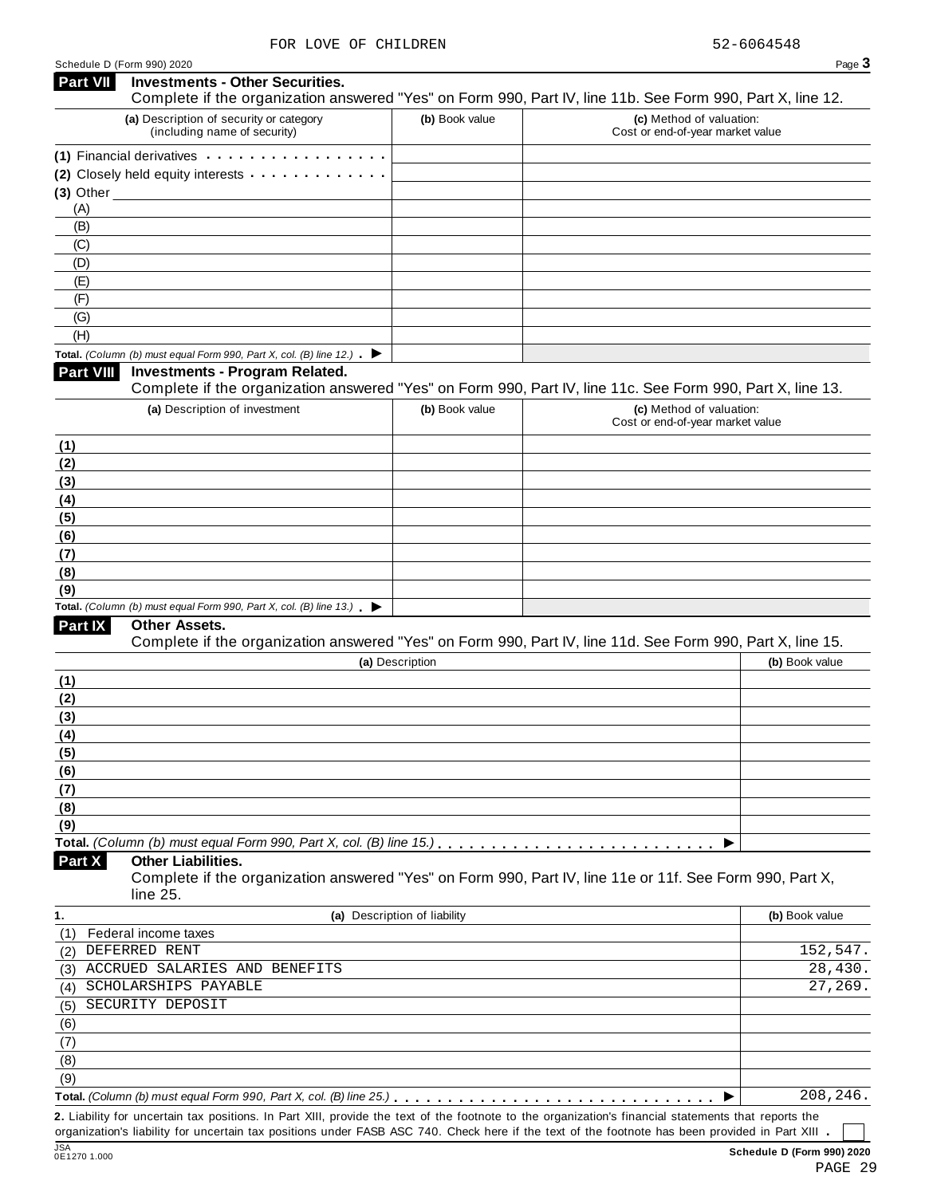| <b>Part VII</b>  | <b>Investments - Other Securities.</b>                                                                                                                |                 |                                                              |                |
|------------------|-------------------------------------------------------------------------------------------------------------------------------------------------------|-----------------|--------------------------------------------------------------|----------------|
|                  | Complete if the organization answered "Yes" on Form 990, Part IV, line 11b. See Form 990, Part X, line 12.<br>(a) Description of security or category | (b) Book value  | (c) Method of valuation:                                     |                |
|                  | (including name of security)                                                                                                                          |                 | Cost or end-of-year market value                             |                |
|                  | (1) Financial derivatives expansion results in the set of the set of the set of the set of the set of the set o                                       |                 |                                                              |                |
|                  | (2) Closely held equity interests                                                                                                                     |                 |                                                              |                |
|                  | $(3)$ Other $\overline{\phantom{a}}$                                                                                                                  |                 |                                                              |                |
| (A)              |                                                                                                                                                       |                 |                                                              |                |
| (B)              |                                                                                                                                                       |                 |                                                              |                |
| (C)              |                                                                                                                                                       |                 |                                                              |                |
| (D)              |                                                                                                                                                       |                 |                                                              |                |
| (E)              |                                                                                                                                                       |                 |                                                              |                |
| (F)              |                                                                                                                                                       |                 |                                                              |                |
| (G)              |                                                                                                                                                       |                 |                                                              |                |
| (H)              |                                                                                                                                                       |                 |                                                              |                |
|                  | Total. (Column (b) must equal Form 990, Part X, col. (B) line 12.) $\blacktriangleright$                                                              |                 |                                                              |                |
| <b>Part VIII</b> | <b>Investments - Program Related.</b>                                                                                                                 |                 |                                                              |                |
|                  | Complete if the organization answered "Yes" on Form 990, Part IV, line 11c. See Form 990, Part X, line 13.                                            |                 |                                                              |                |
|                  | (a) Description of investment                                                                                                                         | (b) Book value  | (c) Method of valuation:<br>Cost or end-of-year market value |                |
| (1)              |                                                                                                                                                       |                 |                                                              |                |
| (2)              |                                                                                                                                                       |                 |                                                              |                |
| (3)              |                                                                                                                                                       |                 |                                                              |                |
| (4)              |                                                                                                                                                       |                 |                                                              |                |
| (5)              |                                                                                                                                                       |                 |                                                              |                |
| (6)              |                                                                                                                                                       |                 |                                                              |                |
| (7)              |                                                                                                                                                       |                 |                                                              |                |
| (8)              |                                                                                                                                                       |                 |                                                              |                |
| (9)              |                                                                                                                                                       |                 |                                                              |                |
|                  | Total. (Column (b) must equal Form 990, Part X, col. (B) line 13.) $\blacktriangleright$                                                              |                 |                                                              |                |
| Part IX          | Other Assets.                                                                                                                                         |                 |                                                              |                |
|                  | Complete if the organization answered "Yes" on Form 990, Part IV, line 11d. See Form 990, Part X, line 15.                                            |                 |                                                              |                |
|                  |                                                                                                                                                       | (a) Description |                                                              | (b) Book value |
| (1)              |                                                                                                                                                       |                 |                                                              |                |
| (2)              |                                                                                                                                                       |                 |                                                              |                |
| (3)              |                                                                                                                                                       |                 |                                                              |                |
| (4)              |                                                                                                                                                       |                 |                                                              |                |
| (5)              |                                                                                                                                                       |                 |                                                              |                |
| (6)              |                                                                                                                                                       |                 |                                                              |                |
| (7)              |                                                                                                                                                       |                 |                                                              |                |
| (8)              |                                                                                                                                                       |                 |                                                              |                |
| (9)              |                                                                                                                                                       |                 |                                                              |                |
|                  | Total. (Column (b) must equal Form 990, Part X, col. (B) line 15.). $\ldots \ldots \ldots \ldots \ldots \ldots \ldots \ldots \ldots \ldots$           |                 |                                                              |                |
| Part X           | <b>Other Liabilities.</b>                                                                                                                             |                 |                                                              |                |
|                  | Complete if the organization answered "Yes" on Form 990, Part IV, line 11e or 11f. See Form 990, Part X,<br>line 25.                                  |                 |                                                              |                |
|                  |                                                                                                                                                       |                 |                                                              |                |

| 1.  | (a) Description of liability  | (b) Book value |
|-----|-------------------------------|----------------|
| (1) | Federal income taxes          |                |
| (2) | DEFERRED RENT                 | 152,547.       |
| (3) | ACCRUED SALARIES AND BENEFITS | 28,430.        |
| (4) | SCHOLARSHIPS PAYABLE          | 27,269.        |
| (5) | SECURITY DEPOSIT              |                |
| (6) |                               |                |
| (7) |                               |                |
| (8) |                               |                |
| (9) |                               |                |
|     |                               | 208,246.       |

**2.** Liability for uncertain tax positions. In Part XIII, provide the text of the footnote to the organization's financial statements that reports the organization's liability for uncertain tax positions under FASB ASC 740. Check here if the text of the footnote has been provided in Part XIII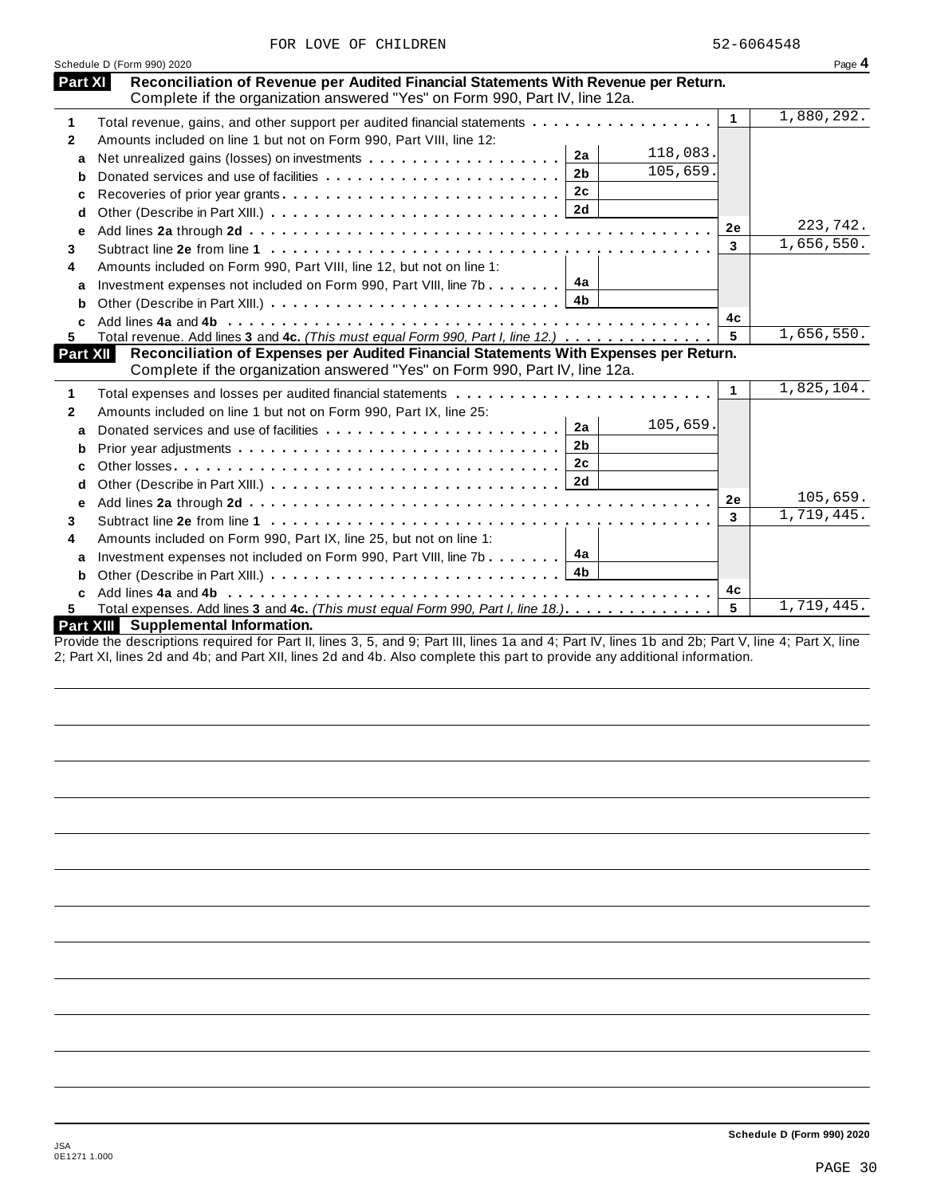|  | FOR LOVE OF CHILDREN | 52-6064548 |
|--|----------------------|------------|
|  |                      |            |

|                         | Schedule D (Form 990) 2020                                                                                                                                                       |           | Page 4                                             |
|-------------------------|----------------------------------------------------------------------------------------------------------------------------------------------------------------------------------|-----------|----------------------------------------------------|
| Part XI                 | Reconciliation of Revenue per Audited Financial Statements With Revenue per Return.                                                                                              |           |                                                    |
| 1                       | Complete if the organization answered "Yes" on Form 990, Part IV, line 12a.<br>Total revenue, gains, and other support per audited financial statements                          | 1         | 1,880,292.                                         |
|                         | Amounts included on line 1 but not on Form 990, Part VIII, line 12:                                                                                                              |           |                                                    |
| $\mathbf{2}$            | 118,083.<br>2a                                                                                                                                                                   |           |                                                    |
| a                       | 105,659.<br>2 <sub>b</sub>                                                                                                                                                       |           |                                                    |
| b                       | Donated services and use of facilities<br>2c                                                                                                                                     |           |                                                    |
| c                       | <b>2d</b>                                                                                                                                                                        |           |                                                    |
| d                       |                                                                                                                                                                                  | <b>2e</b> | 223,742.                                           |
| e                       |                                                                                                                                                                                  | 3         | 1,656,550.                                         |
| 3                       |                                                                                                                                                                                  |           |                                                    |
| 4                       | Amounts included on Form 990, Part VIII, line 12, but not on line 1:                                                                                                             |           |                                                    |
| a                       | 4a<br>Investment expenses not included on Form 990, Part VIII, line 7b                                                                                                           |           |                                                    |
|                         | 4b                                                                                                                                                                               |           |                                                    |
| b                       |                                                                                                                                                                                  |           |                                                    |
|                         |                                                                                                                                                                                  | 4c        |                                                    |
| 5.                      | Total revenue. Add lines 3 and 4c. (This must equal Form 990, Part I, line 12.)                                                                                                  | 5         | 1,656,550.                                         |
|                         | Reconciliation of Expenses per Audited Financial Statements With Expenses per Return.<br>Part XII<br>Complete if the organization answered "Yes" on Form 990, Part IV, line 12a. |           |                                                    |
|                         |                                                                                                                                                                                  | 1         |                                                    |
|                         |                                                                                                                                                                                  |           |                                                    |
| a                       | Amounts included on line 1 but not on Form 990, Part IX, line 25:<br>105,659.<br>2a                                                                                              |           |                                                    |
|                         | Donated services and use of facilities<br>2 <sub>b</sub>                                                                                                                         |           |                                                    |
| b                       | 2c                                                                                                                                                                               |           |                                                    |
| C                       | 2d                                                                                                                                                                               |           |                                                    |
| d                       |                                                                                                                                                                                  | 2e        |                                                    |
| e                       |                                                                                                                                                                                  | 3         |                                                    |
|                         |                                                                                                                                                                                  |           |                                                    |
|                         | Amounts included on Form 990, Part IX, line 25, but not on line 1:                                                                                                               |           |                                                    |
| a                       | 4a<br>Investment expenses not included on Form 990, Part VIII, line 7b<br>4b                                                                                                     |           |                                                    |
| 3<br>4<br>b             |                                                                                                                                                                                  |           |                                                    |
| 1<br>$\mathbf{2}$<br>5. | Total expenses. Add lines 3 and 4c. (This must equal Form 990, Part I, line 18.).                                                                                                | 4c<br>5   | 1,825,104.<br>105,659.<br>1,719,445.<br>1,719,445. |

Provide the descriptions required for Part II, lines 3, 5, and 9; Part III, lines 1a and 4; Part IV, lines 1b and 2b; Part V, line 4; Part X, line 2; Part XI, lines 2d and 4b; and Part XII, lines 2d and 4b. Also complete this part to provide any additional information.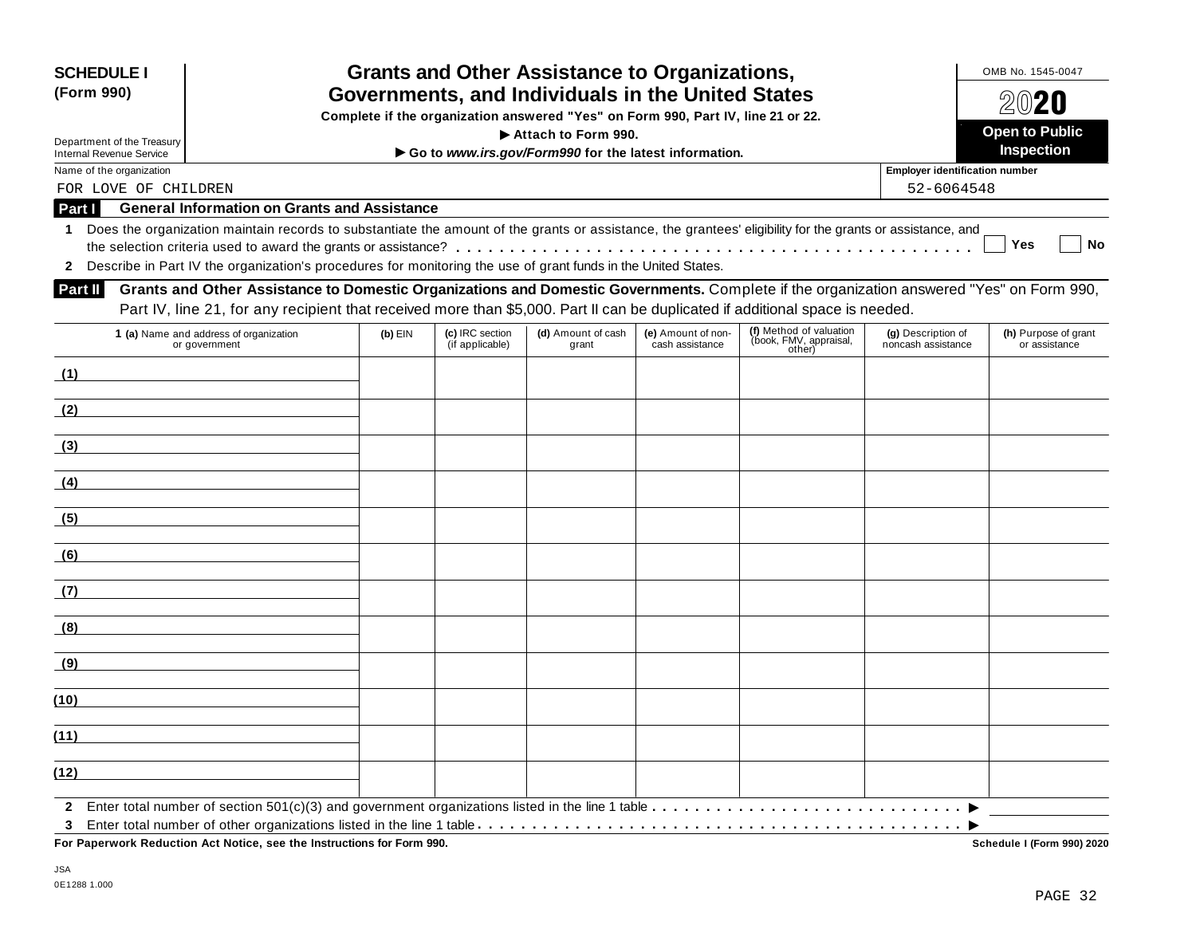| <b>SCHEDULE I</b><br>(Form 990)                               |                                                                                                                                                                                                                                                                               |           |                                    | <b>Grants and Other Assistance to Organizations,</b><br>Governments, and Individuals in the United States<br>Complete if the organization answered "Yes" on Form 990, Part IV, line 21 or 22. |                                       |                                                             |                                          | OMB No. 1545-0047<br>$20$ 20          |
|---------------------------------------------------------------|-------------------------------------------------------------------------------------------------------------------------------------------------------------------------------------------------------------------------------------------------------------------------------|-----------|------------------------------------|-----------------------------------------------------------------------------------------------------------------------------------------------------------------------------------------------|---------------------------------------|-------------------------------------------------------------|------------------------------------------|---------------------------------------|
|                                                               |                                                                                                                                                                                                                                                                               |           |                                    | Attach to Form 990.                                                                                                                                                                           |                                       |                                                             |                                          | <b>Open to Public</b>                 |
| Department of the Treasury<br><b>Internal Revenue Service</b> |                                                                                                                                                                                                                                                                               |           |                                    | Go to www.irs.gov/Form990 for the latest information.                                                                                                                                         |                                       |                                                             |                                          | <b>Inspection</b>                     |
| Name of the organization                                      |                                                                                                                                                                                                                                                                               |           |                                    |                                                                                                                                                                                               |                                       |                                                             | <b>Employer identification number</b>    |                                       |
| FOR LOVE OF CHILDREN                                          |                                                                                                                                                                                                                                                                               |           |                                    |                                                                                                                                                                                               |                                       |                                                             | 52-6064548                               |                                       |
| Part I                                                        | <b>General Information on Grants and Assistance</b>                                                                                                                                                                                                                           |           |                                    |                                                                                                                                                                                               |                                       |                                                             |                                          |                                       |
| 1.                                                            | Does the organization maintain records to substantiate the amount of the grants or assistance, the grantees' eligibility for the grants or assistance, and<br>2 Describe in Part IV the organization's procedures for monitoring the use of grant funds in the United States. |           |                                    |                                                                                                                                                                                               |                                       |                                                             |                                          | <b>Yes</b><br><b>No</b>               |
| Part II                                                       | Grants and Other Assistance to Domestic Organizations and Domestic Governments. Complete if the organization answered "Yes" on Form 990,                                                                                                                                      |           |                                    |                                                                                                                                                                                               |                                       |                                                             |                                          |                                       |
|                                                               | Part IV, line 21, for any recipient that received more than \$5,000. Part II can be duplicated if additional space is needed.                                                                                                                                                 |           |                                    |                                                                                                                                                                                               |                                       |                                                             |                                          |                                       |
|                                                               | 1 (a) Name and address of organization<br>or government                                                                                                                                                                                                                       | $(b)$ EIN | (c) IRC section<br>(if applicable) | (d) Amount of cash<br>grant                                                                                                                                                                   | (e) Amount of non-<br>cash assistance | (f) Method of valuation<br>(book, FMV, appraisal,<br>other) | (g) Description of<br>noncash assistance | (h) Purpose of grant<br>or assistance |
| (1)                                                           |                                                                                                                                                                                                                                                                               |           |                                    |                                                                                                                                                                                               |                                       |                                                             |                                          |                                       |
| (2)                                                           |                                                                                                                                                                                                                                                                               |           |                                    |                                                                                                                                                                                               |                                       |                                                             |                                          |                                       |
| (3)                                                           |                                                                                                                                                                                                                                                                               |           |                                    |                                                                                                                                                                                               |                                       |                                                             |                                          |                                       |
| (4)                                                           |                                                                                                                                                                                                                                                                               |           |                                    |                                                                                                                                                                                               |                                       |                                                             |                                          |                                       |
| (5)                                                           |                                                                                                                                                                                                                                                                               |           |                                    |                                                                                                                                                                                               |                                       |                                                             |                                          |                                       |
| (6)                                                           |                                                                                                                                                                                                                                                                               |           |                                    |                                                                                                                                                                                               |                                       |                                                             |                                          |                                       |
| (7)                                                           |                                                                                                                                                                                                                                                                               |           |                                    |                                                                                                                                                                                               |                                       |                                                             |                                          |                                       |
| (8)                                                           |                                                                                                                                                                                                                                                                               |           |                                    |                                                                                                                                                                                               |                                       |                                                             |                                          |                                       |
| <u>(9)</u>                                                    |                                                                                                                                                                                                                                                                               |           |                                    |                                                                                                                                                                                               |                                       |                                                             |                                          |                                       |
| (10)                                                          |                                                                                                                                                                                                                                                                               |           |                                    |                                                                                                                                                                                               |                                       |                                                             |                                          |                                       |
| (11)                                                          |                                                                                                                                                                                                                                                                               |           |                                    |                                                                                                                                                                                               |                                       |                                                             |                                          |                                       |
| (12)                                                          |                                                                                                                                                                                                                                                                               |           |                                    |                                                                                                                                                                                               |                                       |                                                             |                                          |                                       |
| 3                                                             |                                                                                                                                                                                                                                                                               |           |                                    |                                                                                                                                                                                               |                                       |                                                             |                                          |                                       |

Schedule I (Form 990) 2020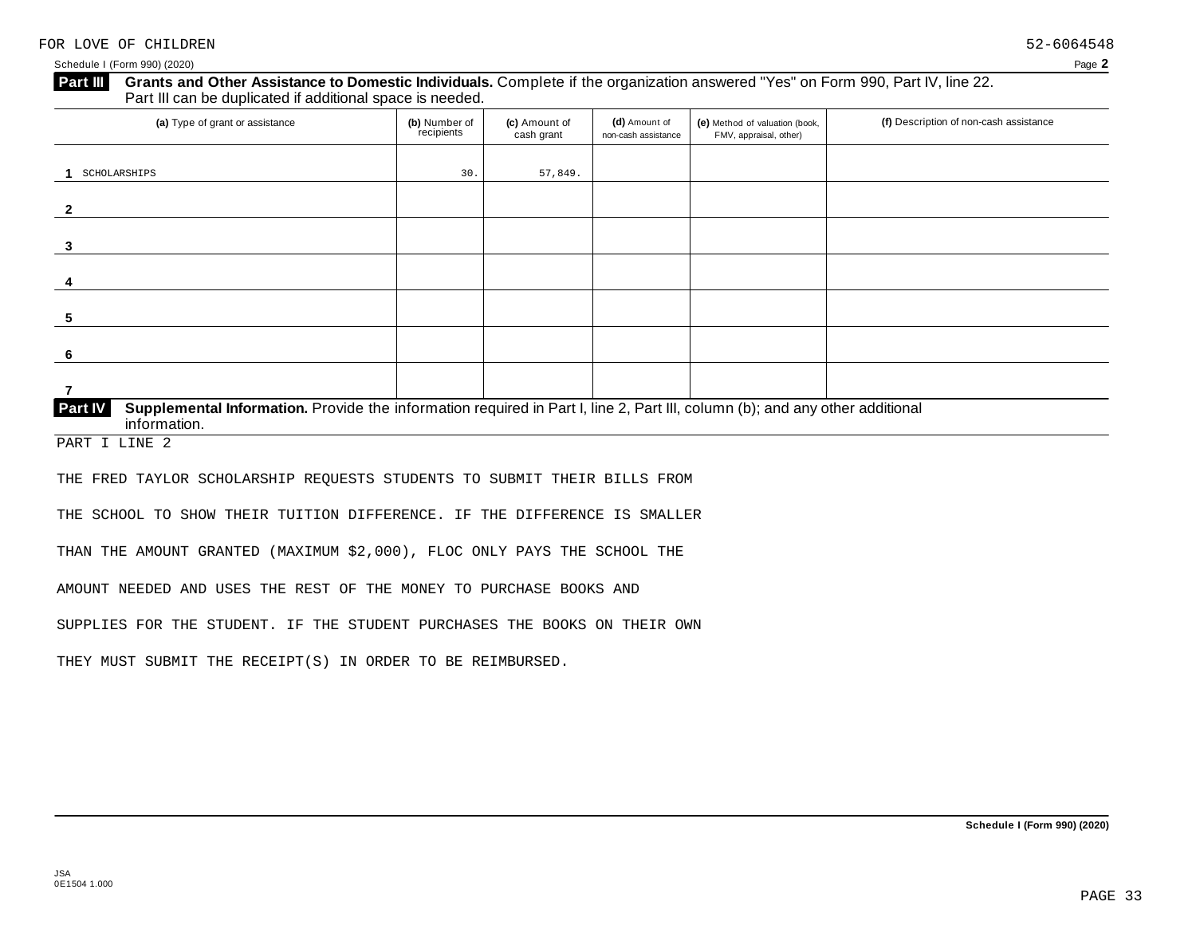Schedule I (Form 990) (2020) Page **2**

# **Part III** Grants and Other Assistance to Domestic Individuals. Complete if the organization answered "Yes" on Form 990, Part IV, line 22.<br>Part III can be duplicated if additional space is needed.

| (a) Type of grant or assistance                                                                                                                | (b) Number of<br>recipients | (c) Amount of<br>cash grant | (d) Amount of<br>non-cash assistance | (e) Method of valuation (book,<br>FMV, appraisal, other) | (f) Description of non-cash assistance |
|------------------------------------------------------------------------------------------------------------------------------------------------|-----------------------------|-----------------------------|--------------------------------------|----------------------------------------------------------|----------------------------------------|
| SCHOLARSHIPS                                                                                                                                   | 30.                         | 57,849.                     |                                      |                                                          |                                        |
| 2                                                                                                                                              |                             |                             |                                      |                                                          |                                        |
|                                                                                                                                                |                             |                             |                                      |                                                          |                                        |
|                                                                                                                                                |                             |                             |                                      |                                                          |                                        |
|                                                                                                                                                |                             |                             |                                      |                                                          |                                        |
| -5                                                                                                                                             |                             |                             |                                      |                                                          |                                        |
| 6                                                                                                                                              |                             |                             |                                      |                                                          |                                        |
| Supplemental Information. Provide the information required in Part I, line 2, Part III, column (b); and any other additional<br><b>Part IV</b> |                             |                             |                                      |                                                          |                                        |

PART I LINE 2

THE FRED TAYLOR SCHOLARSHIP REQUESTS STUDENTS TO SUBMIT THEIR BILLS FROM

THE SCHOOL TO SHOW THEIR TUITION DIFFERENCE. IF THE DIFFERENCE IS SMALLER

THAN THE AMOUNT GRANTED (MAXIMUM \$2,000), FLOC ONLY PAYS THE SCHOOL THE

AMOUNT NEEDED AND USES THE REST OF THE MONEY TO PURCHASE BOOKS AND

SUPPLIES FOR THE STUDENT. IF THE STUDENT PURCHASES THE BOOKS ON THEIR OWN

THEY MUST SUBMIT THE RECEIPT(S) IN ORDER TO BE REIMBURSED.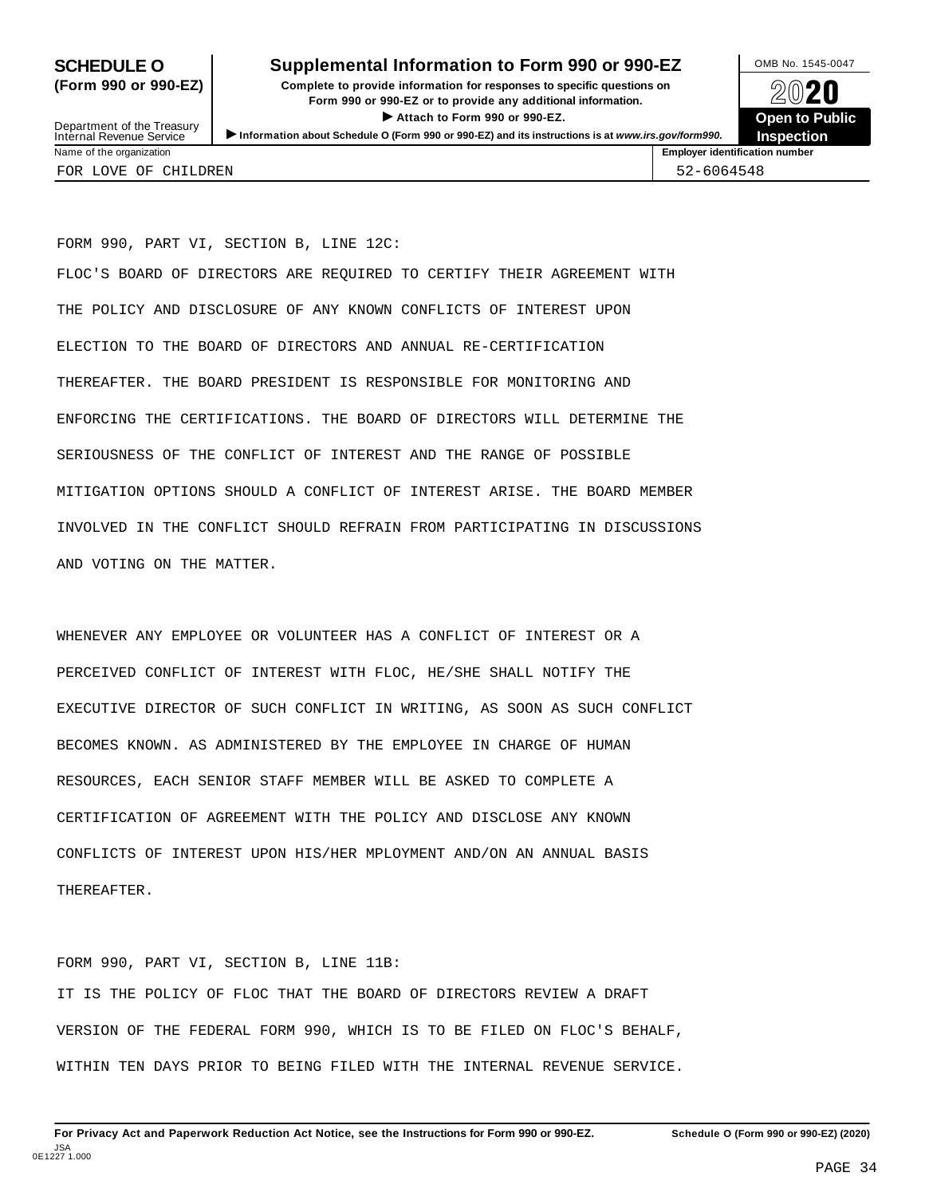### **SCHEDULE O** Supplemental Information to Form 990 or 990-EZ DMB No. 1545-0047

**(Form 990 or 990-EZ) Complete to provide information for responses to specific questions on** plete to provide information for responses to specific questions on  $\bigotimes_{\mathbb{Z}}\mathbb{Q}$  20 **EVECT**<br>
Attach to Form 990 or 990-EZ.<br>
and the Communication of the Communication of the Communication of the Communication of the Communication of the Communication of the Communication of the Communication of the Commu Department of the Treasury <br>Depen to Public<br>Name of the organization<br>Name of the organization<br>Name of the organization<br>Name of the organization



Department of the Treasury<br>Internal Revenue Service FOR LOVE OF CHILDREN 52-6064548

FORM 990, PART VI, SECTION B, LINE 12C: FLOC'S BOARD OF DIRECTORS ARE REQUIRED TO CERTIFY THEIR AGREEMENT WITH THE POLICY AND DISCLOSURE OF ANY KNOWN CONFLICTS OF INTEREST UPON ELECTION TO THE BOARD OF DIRECTORS AND ANNUAL RE-CERTIFICATION THEREAFTER. THE BOARD PRESIDENT IS RESPONSIBLE FOR MONITORING AND ENFORCING THE CERTIFICATIONS. THE BOARD OF DIRECTORS WILL DETERMINE THE SERIOUSNESS OF THE CONFLICT OF INTEREST AND THE RANGE OF POSSIBLE MITIGATION OPTIONS SHOULD A CONFLICT OF INTEREST ARISE. THE BOARD MEMBER INVOLVED IN THE CONFLICT SHOULD REFRAIN FROM PARTICIPATING IN DISCUSSIONS AND VOTING ON THE MATTER.

WHENEVER ANY EMPLOYEE OR VOLUNTEER HAS A CONFLICT OF INTEREST OR A PERCEIVED CONFLICT OF INTEREST WITH FLOC, HE/SHE SHALL NOTIFY THE EXECUTIVE DIRECTOR OF SUCH CONFLICT IN WRITING, AS SOON AS SUCH CONFLICT BECOMES KNOWN. AS ADMINISTERED BY THE EMPLOYEE IN CHARGE OF HUMAN RESOURCES, EACH SENIOR STAFF MEMBER WILL BE ASKED TO COMPLETE A CERTIFICATION OF AGREEMENT WITH THE POLICY AND DISCLOSE ANY KNOWN CONFLICTS OF INTEREST UPON HIS/HER MPLOYMENT AND/ON AN ANNUAL BASIS THEREAFTER.

FORM 990, PART VI, SECTION B, LINE 11B: IT IS THE POLICY OF FLOC THAT THE BOARD OF DIRECTORS REVIEW A DRAFT VERSION OF THE FEDERAL FORM 990, WHICH IS TO BE FILED ON FLOC'S BEHALF, WITHIN TEN DAYS PRIOR TO BEING FILED WITH THE INTERNAL REVENUE SERVICE.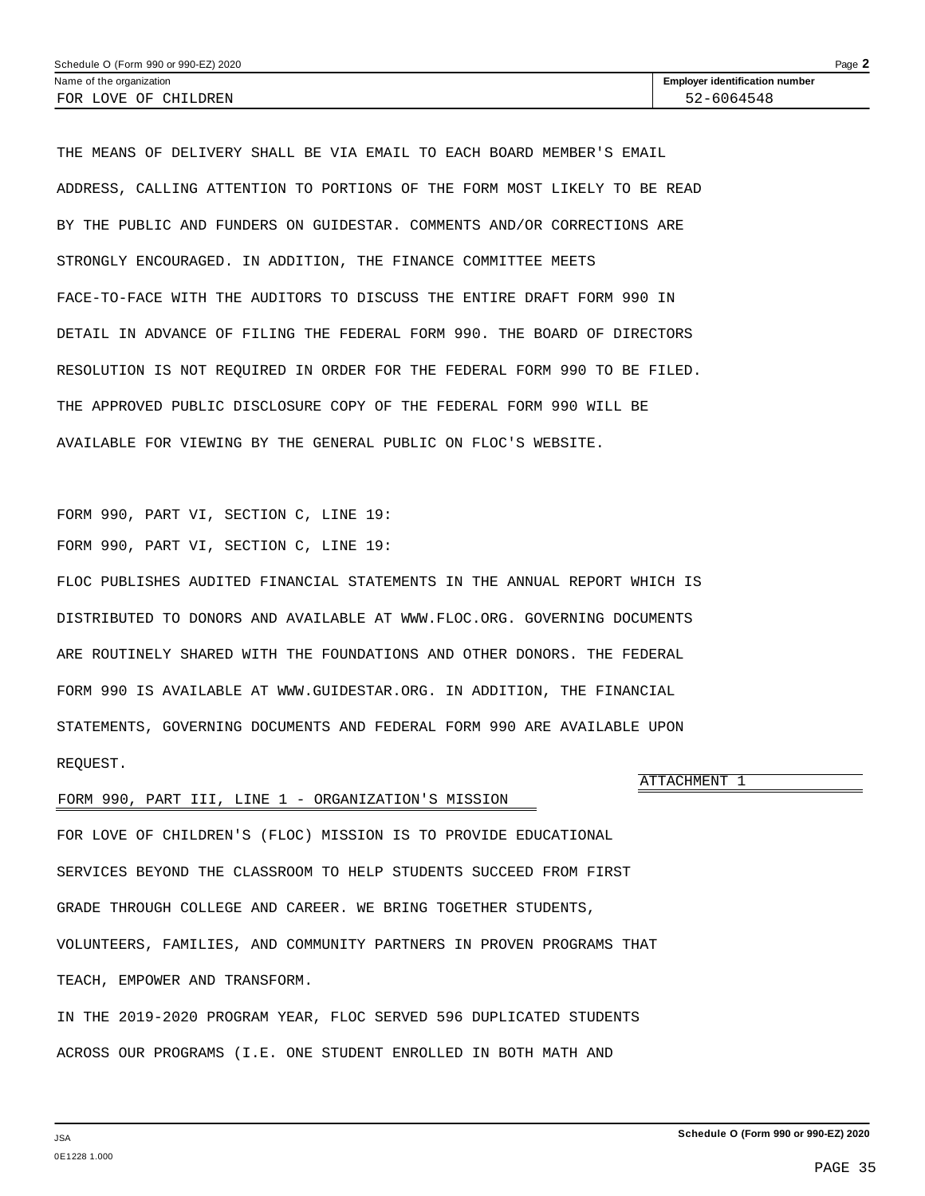<span id="page-36-0"></span>THE MEANS OF DELIVERY SHALL BE VIA EMAIL TO EACH BOARD MEMBER'S EMAIL ADDRESS, CALLING ATTENTION TO PORTIONS OF THE FORM MOST LIKELY TO BE READ BY THE PUBLIC AND FUNDERS ON GUIDESTAR. COMMENTS AND/OR CORRECTIONS ARE STRONGLY ENCOURAGED. IN ADDITION, THE FINANCE COMMITTEE MEETS FACE-TO-FACE WITH THE AUDITORS TO DISCUSS THE ENTIRE DRAFT FORM 990 IN DETAIL IN ADVANCE OF FILING THE FEDERAL FORM 990. THE BOARD OF DIRECTORS RESOLUTION IS NOT REQUIRED IN ORDER FOR THE FEDERAL FORM 990 TO BE FILED. THE APPROVED PUBLIC DISCLOSURE COPY OF THE FEDERAL FORM 990 WILL BE AVAILABLE FOR VIEWING BY THE GENERAL PUBLIC ON FLOC'S WEBSITE.

FORM 990, PART VI, SECTION C, LINE 19:

FORM 990, PART VI, SECTION C, LINE 19:

FLOC PUBLISHES AUDITED FINANCIAL STATEMENTS IN THE ANNUAL REPORT WHICH IS DISTRIBUTED TO DONORS AND AVAILABLE AT WWW.FLOC.ORG. GOVERNING DOCUMENTS ARE ROUTINELY SHARED WITH THE FOUNDATIONS AND OTHER DONORS. THE FEDERAL FORM 990 IS AVAILABLE AT WWW.GUIDESTAR.ORG. IN ADDITION, THE FINANCIAL STATEMENTS, GOVERNING DOCUMENTS AND FEDERAL FORM 990 ARE AVAILABLE UPON REQUEST.

### FORM 990, PART III, LINE 1 - ORGANIZATION'S MISSION

FOR LOVE OF CHILDREN'S (FLOC) MISSION IS TO PROVIDE EDUCATIONAL SERVICES BEYOND THE CLASSROOM TO HELP STUDENTS SUCCEED FROM FIRST GRADE THROUGH COLLEGE AND CAREER. WE BRING TOGETHER STUDENTS, VOLUNTEERS, FAMILIES, AND COMMUNITY PARTNERS IN PROVEN PROGRAMS THAT TEACH, EMPOWER AND TRANSFORM.

IN THE 2019-2020 PROGRAM YEAR, FLOC SERVED 596 DUPLICATED STUDENTS ACROSS OUR PROGRAMS (I.E. ONE STUDENT ENROLLED IN BOTH MATH AND

ATTACHMENT 1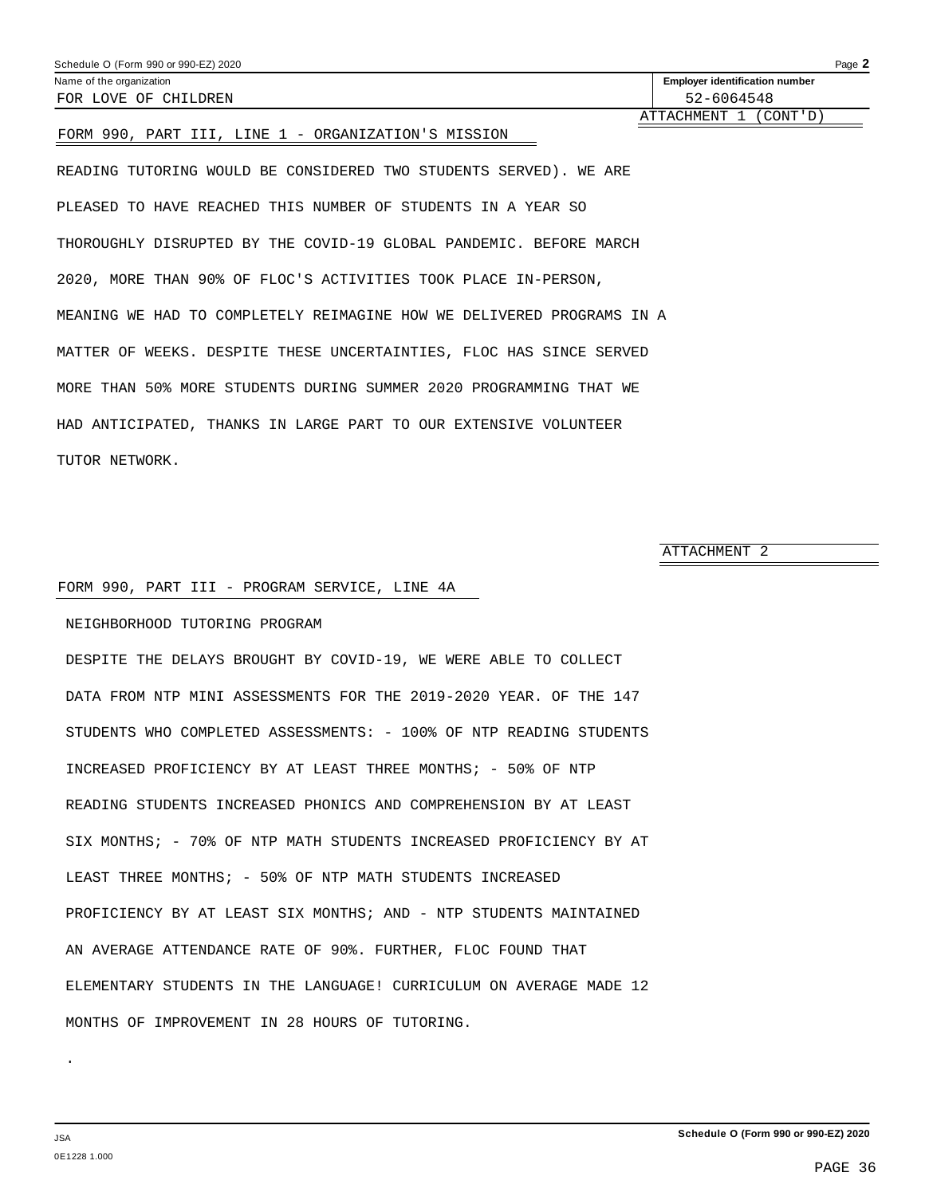<span id="page-37-0"></span>

| Schedule O (Form 990 or 990-EZ) 2020                              | Page 2                                |
|-------------------------------------------------------------------|---------------------------------------|
| Name of the organization                                          | <b>Employer identification number</b> |
| FOR LOVE OF CHILDREN                                              | 52-6064548                            |
|                                                                   | ATTACHMENT 1 (CONT'D)                 |
| FORM 990, PART III, LINE 1 - ORGANIZATION'S MISSION               |                                       |
| READING TUTORING WOULD BE CONSIDERED TWO STUDENTS SERVED). WE ARE |                                       |

PLEASED TO HAVE REACHED THIS NUMBER OF STUDENTS IN A YEAR SO THOROUGHLY DISRUPTED BY THE COVID-19 GLOBAL PANDEMIC. BEFORE MARCH 2020, MORE THAN 90% OF FLOC'S ACTIVITIES TOOK PLACE IN-PERSON, MEANING WE HAD TO COMPLETELY REIMAGINE HOW WE DELIVERED PROGRAMS IN A MATTER OF WEEKS. DESPITE THESE UNCERTAINTIES, FLOC HAS SINCE SERVED MORE THAN 50% MORE STUDENTS DURING SUMMER 2020 PROGRAMMING THAT WE HAD ANTICIPATED, THANKS IN LARGE PART TO OUR EXTENSIVE VOLUNTEER TUTOR NETWORK.

ATTACHMENT 2

### FORM 990, PART III - PROGRAM SERVICE, LINE 4A

NEIGHBORHOOD TUTORING PROGRAM

DESPITE THE DELAYS BROUGHT BY COVID-19, WE WERE ABLE TO COLLECT DATA FROM NTP MINI ASSESSMENTS FOR THE 2019-2020 YEAR. OF THE 147 STUDENTS WHO COMPLETED ASSESSMENTS: - 100% OF NTP READING STUDENTS INCREASED PROFICIENCY BY AT LEAST THREE MONTHS; - 50% OF NTP READING STUDENTS INCREASED PHONICS AND COMPREHENSION BY AT LEAST SIX MONTHS; - 70% OF NTP MATH STUDENTS INCREASED PROFICIENCY BY AT LEAST THREE MONTHS; - 50% OF NTP MATH STUDENTS INCREASED PROFICIENCY BY AT LEAST SIX MONTHS; AND - NTP STUDENTS MAINTAINED AN AVERAGE ATTENDANCE RATE OF 90%. FURTHER, FLOC FOUND THAT ELEMENTARY STUDENTS IN THE LANGUAGE! CURRICULUM ON AVERAGE MADE 12 MONTHS OF IMPROVEMENT IN 28 HOURS OF TUTORING.

JSA 0E1228 1.000

.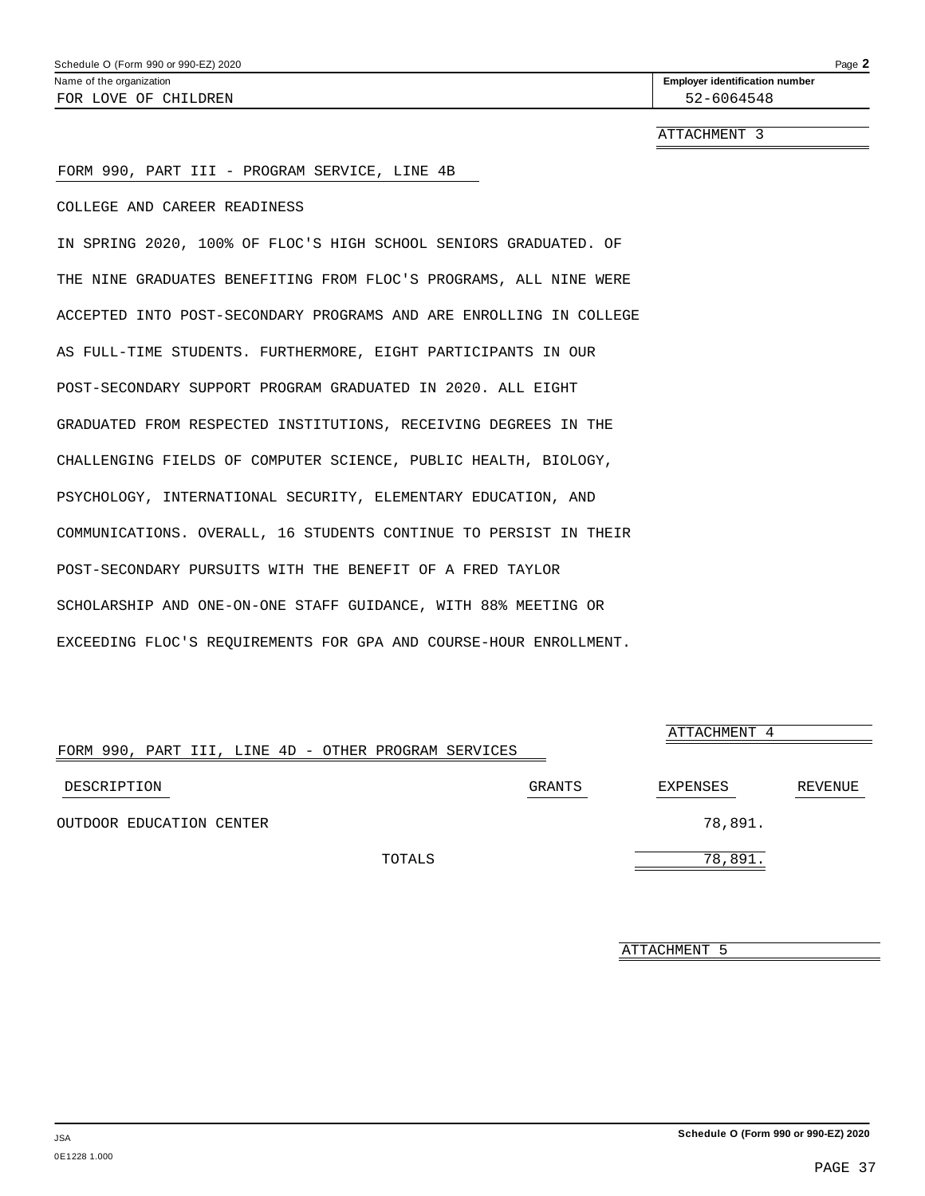ATTACHMENT 3

### <span id="page-38-0"></span>FORM 990, PART III - PROGRAM SERVICE, LINE 4B

COLLEGE AND CAREER READINESS

IN SPRING 2020, 100% OF FLOC'S HIGH SCHOOL SENIORS GRADUATED. OF THE NINE GRADUATES BENEFITING FROM FLOC'S PROGRAMS, ALL NINE WERE ACCEPTED INTO POST-SECONDARY PROGRAMS AND ARE ENROLLING IN COLLEGE AS FULL-TIME STUDENTS. FURTHERMORE, EIGHT PARTICIPANTS IN OUR POST-SECONDARY SUPPORT PROGRAM GRADUATED IN 2020. ALL EIGHT GRADUATED FROM RESPECTED INSTITUTIONS, RECEIVING DEGREES IN THE CHALLENGING FIELDS OF COMPUTER SCIENCE, PUBLIC HEALTH, BIOLOGY, PSYCHOLOGY, INTERNATIONAL SECURITY, ELEMENTARY EDUCATION, AND COMMUNICATIONS. OVERALL, 16 STUDENTS CONTINUE TO PERSIST IN THEIR POST-SECONDARY PURSUITS WITH THE BENEFIT OF A FRED TAYLOR SCHOLARSHIP AND ONE-ON-ONE STAFF GUIDANCE, WITH 88% MEETING OR EXCEEDING FLOC'S REQUIREMENTS FOR GPA AND COURSE-HOUR ENROLLMENT.

|                                                      |        | ATTACHMENT 4 |         |  |
|------------------------------------------------------|--------|--------------|---------|--|
| FORM 990, PART III, LINE 4D - OTHER PROGRAM SERVICES |        |              |         |  |
| DESCRIPTION                                          | GRANTS | EXPENSES     | REVENUE |  |
| OUTDOOR EDUCATION CENTER                             |        | 78,891.      |         |  |
| TOTALS                                               |        | 78,891.      |         |  |

ATTACHMENT 5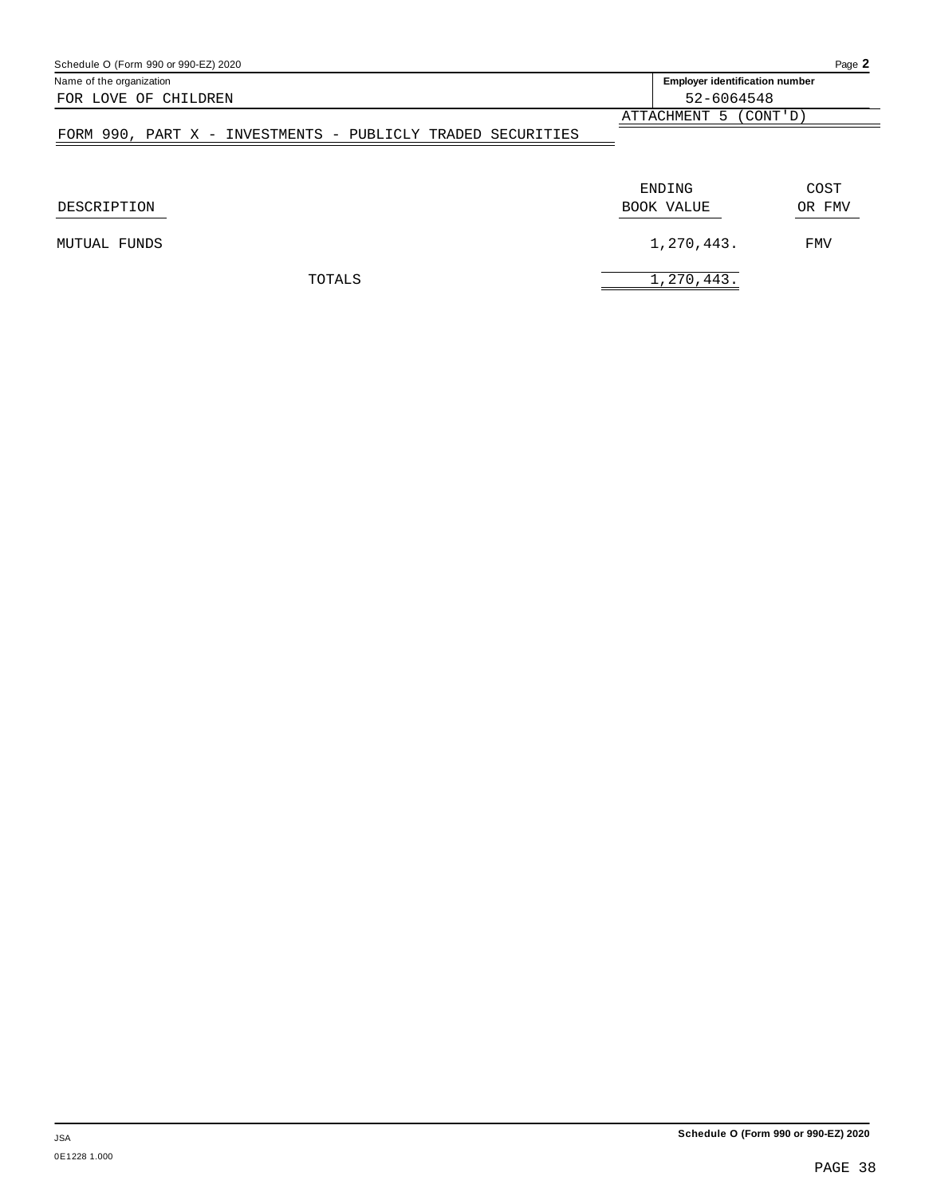| Schedule O (Form 990 or 990-EZ) 2020                        |                                       | Page 2     |  |
|-------------------------------------------------------------|---------------------------------------|------------|--|
| Name of the organization                                    | <b>Employer identification number</b> |            |  |
| FOR LOVE OF CHILDREN                                        | 52-6064548                            |            |  |
|                                                             | ATTACHMENT 5 (CONT'D)                 |            |  |
| FORM 990, PART X - INVESTMENTS - PUBLICLY TRADED SECURITIES |                                       |            |  |
|                                                             |                                       |            |  |
|                                                             | ENDING                                | COST       |  |
| DESCRIPTION                                                 | BOOK VALUE                            | OR FMV     |  |
| MUTUAL FUNDS                                                | 1,270,443.                            | <b>FMV</b> |  |
| TOTALS                                                      | 1,270,443.                            |            |  |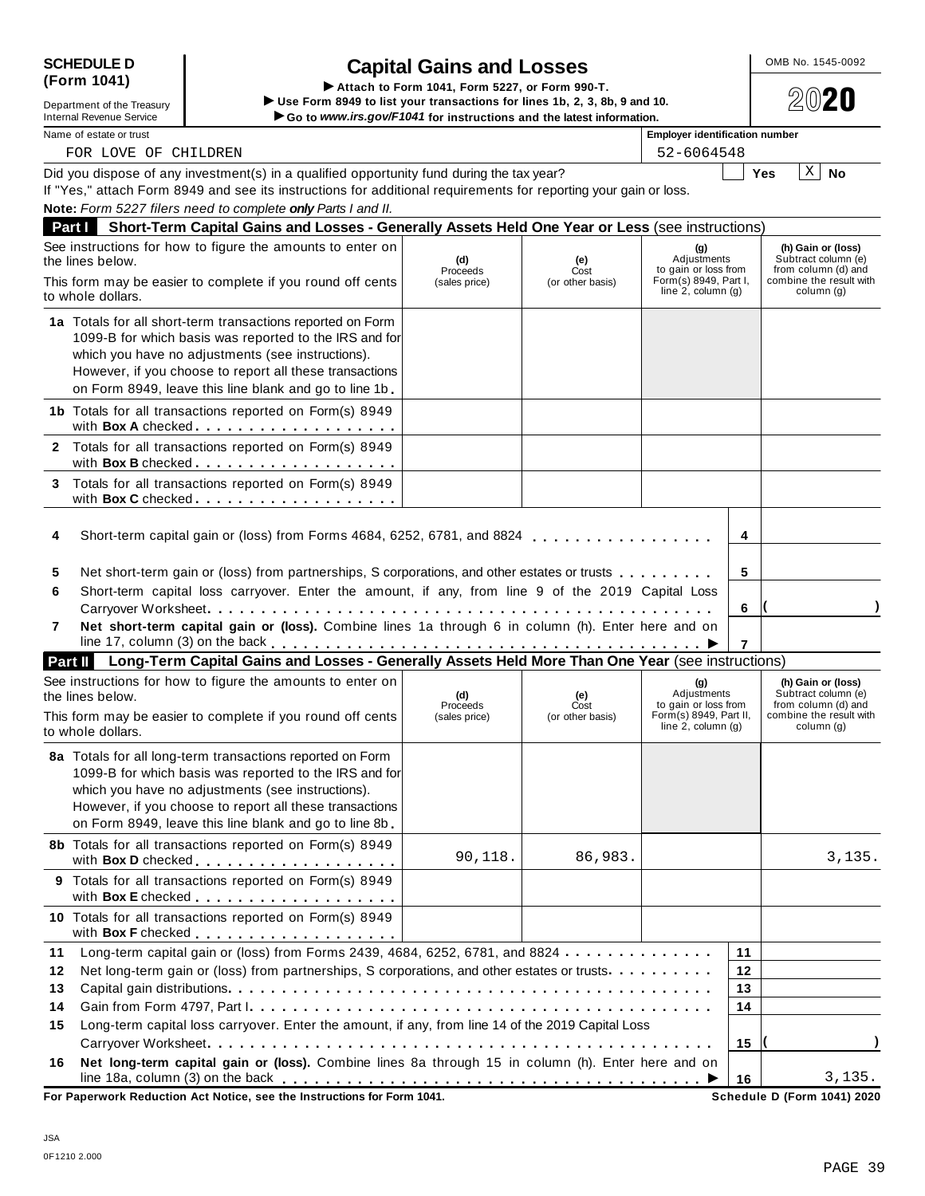| <b>SCHEDULE D</b> |  |
|-------------------|--|
| (Form 1041)       |  |

## **SCHEDULE D** OMB No. 1545-0092 **Capital Gains and Losses**

(FORM 1041)<br>Department of the Treasury Use Form 1049 to list your transactions for lines 1b, 2, 3, 8b, 9 and 10.<br>Internal Revenue Service Capital Control of the Service Capital Control of the latest information. Internal Revenue Service <u>Net all the service</u> internal Revenue Service internal Revenue Service internal Revenue Service internal Revenue Service internal Revenue Service internal Revenue Service internal Revenue Service Did you dispose of any investment(s) in a qualified opportunity fund during the tax year? Did you dispose of any investment(s) in a qualified opportunity fund during the tax year?<br>If "Yes," attach Form 8949 and see its instructions for additional requirements for reporting your gain or loss. **Note:** *Form 5227 filers need to complete only Parts I and II.* **Part I Short-Term Capital Gains and Losses - Generally Assets Held One Year or Less** (see instructions) See instructions for how to figure the amounts to enter on the lines below. **(g)** Adjustments to gain or loss from Form(s) 8949, Part I, line 2, column (g) **(h) Gain or (loss)** Subtract column (e) from column (d) and combine the result with column (g) **(d)** Proceeds (sales price) **(e)** Cost<br>(or other basis) This form may be easier to complete if you round off cents to whole dollars. **1a** Totals for all short-term transactions reported on Form 1099-B for which basis was reported to the IRS and for which you have no adjustments (see instructions). However, if you choose to report all these transactions on Form 8949, leave this line blank and go to line 1b. **1b** Totals for all transactions reported on Form(s) 8949 with **Box <sup>A</sup>** checked m mm m m m m m m m m m m m m m m m m **2** Totals for all transactions reported on Form(s) 8949 with **Box B** checked . . . . . <u>. . . . . . . . . . . . .</u> **3** Totals for all transactions reported on Form(s) 8949 with **Box C** checked **manual** metal manual manual metal manual manual metal manual metal **4** Short-term capital gain or (loss) from Forms 4684, 6252, 6781, and 8824 **4** m m m m m m m m m m m m m m m m m **5 6 7 5** Net short-term gain or (loss) from partnerships, S corporations, and other estates or trusts  $\dots \dots \dots$ **6** Short-term capital loss carryover. Enter the amount, if any, from line 9 of the 2019 Capital Loss Carryover Worksheet **( )** m m m m m m m m m m m m m m m m m m m m m m m m m m m m m m m m m m m m m m m m m m m m m m m **7 Net short-term capital gain or (loss).** Combine lines 1a through 6 in column (h). Enter here and on line 17, column (3) on the back m m m m m m m m m m m m m m m m m m m m m m m m m m m m m m m m m m m m m m m m I **Part II Long-Term Capital Gains and Losses - Generally Assets Held More Than One Year** (see instructions) See instructions for how to figure the amounts to enter on the lines below. **(g)** Adjustments to gain or loss from Form(s) 8949, Part II, line 2, column (g) **(h) Gain or (loss)** Subtract column (e) from column (d) and combine the result with column (g) **(d)** Proceeds (sales price) **(e)** Cost<br>(or other basis) This form may be easier to complete if you round off cents to whole dollars. **8a** Totals for all long-term transactions reported on Form 1099-B for which basis was reported to the IRS and for which you have no adjustments (see instructions). However, if you choose to report all these transactions on Form 8949, leave this line blank and go to line 8b. **8b** Totals for all transactions reported on Form(s) 8949 with **Box <sup>D</sup>** checked m m m m m m m m m m m m m m m m m m m **9** Totals for all transactions reported on Form(s) 8949 with **Box <sup>E</sup>** checked m m m m m m m m m m m m m m m m m m m **10** Totals for all transactions reported on Form(s) 8949 with **Box F** checked . . <u>. . . . . . . . . . . . . . . .</u> . **11 12** Net long-term gain or (loss) from partnerships, S corporations, and other estates or trusts m m m m m m m m m m **13 14** ith **Box F** checked ......................]<br>Long-term capital gain or (loss) from Forms 2439, 4684, 6252, 6781, and 8824.............<mark>11</mark> Capital gain distributions m m m m m m m m m m m m m m m m m m m m m m m m m m m m m m m m m m m m m m m m m m m m m Gain from Form 4797, Part I m m m m m m m m m m m m m m m m m m m m m m m m m m m m m m m m m m m m m m m m m m m **12 13 14** FOR LOVE OF CHILDREN 52-6064548  $X \mid N$ o 90,118.  $\begin{array}{|c|c|c|c|c|c|c|c|c|} \hline \end{array}$  86,983.  $\begin{array}{|c|c|c|c|c|c|c|c|} \hline \end{array}$  3,135.

**15** Long-term capital loss carryover. Enter the amount, if any, from line 14 of the 2019 Capital Loss Carryover Worksheet **( )** m m m m m m m m m m m m m m m m m m m m m m m m m m m m m m m m m m m m m m m m m m m m m m m **15 16 16 Net long-term capital gain or (loss).** Combine lines 8a through 15 in column (h). Enter here and on line 18a, column (3) on the back m m m m m m m m m m m m m m m m m m m m m m m m m m m m m m m m m m m m m m m I 3,135.

**For Paperwork Reduction Act Notice, see the Instructions for Form 1041.**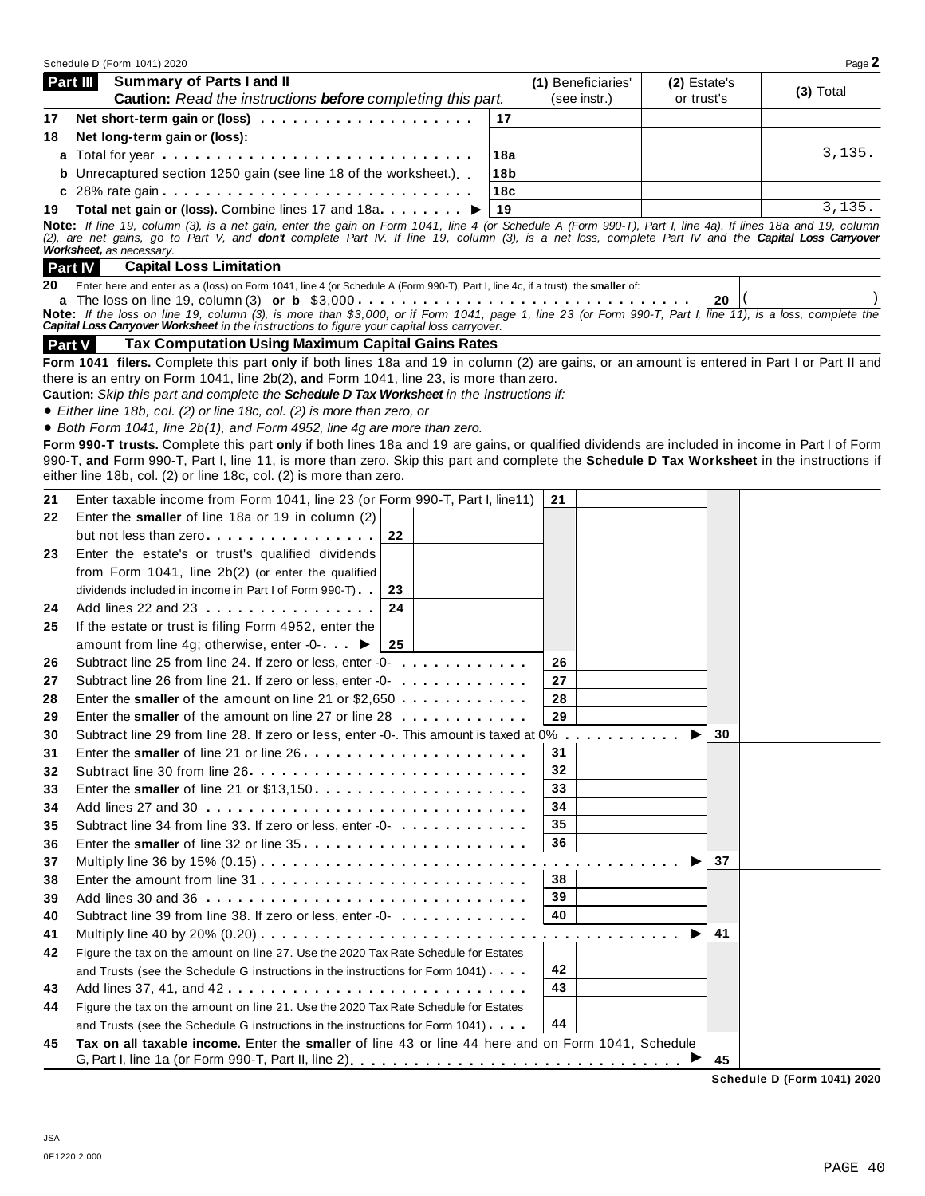|    | Schedule D (Form 1041) 2020                                                                                                                                                                                                                               |                 |                    |              |    | Page 2      |
|----|-----------------------------------------------------------------------------------------------------------------------------------------------------------------------------------------------------------------------------------------------------------|-----------------|--------------------|--------------|----|-------------|
|    | <b>Summary of Parts I and II</b><br>Part III                                                                                                                                                                                                              |                 | (1) Beneficiaries' | (2) Estate's |    | $(3)$ Total |
|    | Caution: Read the instructions before completing this part.                                                                                                                                                                                               |                 | (see instr.)       | or trust's   |    |             |
| 17 |                                                                                                                                                                                                                                                           | 17              |                    |              |    |             |
| 18 | Net long-term gain or (loss):                                                                                                                                                                                                                             |                 |                    |              |    |             |
|    | a Total for year enterpresent reserves in the contract reserves in the Total Total and Total Total T                                                                                                                                                      | 18a             |                    |              |    | 3,135.      |
|    | <b>b</b> Unrecaptured section 1250 gain (see line 18 of the worksheet.)                                                                                                                                                                                   | 18 <sub>b</sub> |                    |              |    |             |
|    |                                                                                                                                                                                                                                                           | 18c             |                    |              |    |             |
|    |                                                                                                                                                                                                                                                           | 19              |                    |              |    | 3,135.      |
|    | Note: If line 19, column (3), is a net gain, enter the gain on Form 1041, line 4 (or Schedule A (Form 990-T), Part I, line 4a). If lines 18a and 19, column                                                                                               |                 |                    |              |    |             |
|    | (2), are net gains, go to Part V, and <b>don't</b> complete Part IV. If line 19, column (3), is a net loss, complete Part IV and the <b>Capital Loss Carryover</b><br>Worksheet, as necessary.                                                            |                 |                    |              |    |             |
|    | <b>Part IV</b><br><b>Capital Loss Limitation</b>                                                                                                                                                                                                          |                 |                    |              |    |             |
| 20 | Enter here and enter as a (loss) on Form 1041, line 4 (or Schedule A (Form 990-T), Part I, line 4c, if a trust), the smaller of:                                                                                                                          |                 |                    |              |    |             |
|    |                                                                                                                                                                                                                                                           |                 |                    |              | 20 |             |
|    | Note: If the loss on line 19, column (3), is more than \$3,000, or if Form 1041, page 1, line 23 (or Form 990-T, Part I, line 11), is a loss, complete the<br>Capital Loss Carryover Worksheet in the instructions to figure your capital loss carryover. |                 |                    |              |    |             |
|    | <b>Tax Computation Using Maximum Capital Gains Rates</b><br><b>Part V</b>                                                                                                                                                                                 |                 |                    |              |    |             |
|    | Form 1041 filers. Complete this part only if both lines 18a and 19 in column (2) are gains, or an amount is entered in Part I or Part II and                                                                                                              |                 |                    |              |    |             |
|    | there is an entry on Form 1041, line 2b(2), and Form 1041, line 23, is more than zero.                                                                                                                                                                    |                 |                    |              |    |             |
|    | Caution: Skip this part and complete the Schedule D Tax Worksheet in the instructions if:                                                                                                                                                                 |                 |                    |              |    |             |
|    | • Either line 18b, col. (2) or line 18c, col. (2) is more than zero, or                                                                                                                                                                                   |                 |                    |              |    |             |
|    | • Both Form 1041, line 2b(1), and Form 4952, line 4g are more than zero.                                                                                                                                                                                  |                 |                    |              |    |             |
|    | Form 990-T trusts. Complete this part only if both lines 18a and 19 are gains, or qualified dividends are included in income in Part I of Form                                                                                                            |                 |                    |              |    |             |
|    | 990-T, and Form 990-T, Part I, line 11, is more than zero. Skip this part and complete the Schedule D Tax Worksheet in the instructions if                                                                                                                |                 |                    |              |    |             |
|    | either line 18b, col. (2) or line 18c, col. (2) is more than zero.                                                                                                                                                                                        |                 |                    |              |    |             |
| 21 | Enter taxable income from Form 1041, line 23 (or Form 990-T, Part I, line11)                                                                                                                                                                              |                 | 21                 |              |    |             |
| 22 | Enter the smaller of line 18a or 19 in column (2)                                                                                                                                                                                                         |                 |                    |              |    |             |
|    | but not less than zero experience that is a set of the set of the set of the set of the set of the set of the<br>22                                                                                                                                       |                 |                    |              |    |             |
| 23 | Enter the estate's or trust's qualified dividends                                                                                                                                                                                                         |                 |                    |              |    |             |
|    | from Form 1041, line 2b(2) (or enter the qualified                                                                                                                                                                                                        |                 |                    |              |    |             |
|    | dividends included in income in Part I of Form 990-T)<br>23                                                                                                                                                                                               |                 |                    |              |    |             |
| 24 | 24<br>Add lines 22 and 23                                                                                                                                                                                                                                 |                 |                    |              |    |             |
| 25 | If the estate or trust is filing Form 4952, enter the                                                                                                                                                                                                     |                 |                    |              |    |             |
|    | amount from line 4g; otherwise, enter -0- $\blacktriangleright$<br>25                                                                                                                                                                                     |                 |                    |              |    |             |
| 26 | Subtract line 25 from line 24. If zero or less, enter -0-                                                                                                                                                                                                 |                 | 26                 |              |    |             |
| 27 | Subtract line 26 from line 21. If zero or less, enter -0-                                                                                                                                                                                                 |                 | 27                 |              |    |             |
| 28 | Enter the smaller of the amount on line 21 or $$2,650$                                                                                                                                                                                                    |                 | 28                 |              |    |             |
| 29 | Enter the smaller of the amount on line 27 or line 28                                                                                                                                                                                                     |                 | 29                 |              |    |             |
| 30 | Subtract line 29 from line 28. If zero or less, enter -0-. This amount is taxed at 0%                                                                                                                                                                     |                 |                    |              | 30 |             |
| 31 | Enter the smaller of line 21 or line 26.                                                                                                                                                                                                                  |                 | 31                 |              |    |             |
| 32 |                                                                                                                                                                                                                                                           |                 | 32                 |              |    |             |
| 33 | Enter the smaller of line 21 or \$13,150                                                                                                                                                                                                                  |                 | 33                 |              |    |             |
| 34 |                                                                                                                                                                                                                                                           |                 | 34                 |              |    |             |
| 35 |                                                                                                                                                                                                                                                           |                 | 35                 |              |    |             |
| 36 |                                                                                                                                                                                                                                                           |                 | 36                 |              |    |             |
| 37 |                                                                                                                                                                                                                                                           |                 |                    |              | 37 |             |
| 38 | Enter the amount from line 31                                                                                                                                                                                                                             |                 | 38                 |              |    |             |
| 39 |                                                                                                                                                                                                                                                           |                 | 39                 |              |    |             |
| 40 | Subtract line 39 from line 38. If zero or less, enter -0-                                                                                                                                                                                                 |                 | 40                 |              |    |             |
| 41 |                                                                                                                                                                                                                                                           |                 | .                  |              | 41 |             |
|    | Figure the tax on the amount on line 27. Use the 2020 Tax Rate Schedule for Estates                                                                                                                                                                       |                 |                    |              |    |             |
| 42 |                                                                                                                                                                                                                                                           |                 | 42                 |              |    |             |
|    | and Trusts (see the Schedule G instructions in the instructions for Form 1041)                                                                                                                                                                            |                 | 43                 |              |    |             |
| 43 | Add lines 37, 41, and 42                                                                                                                                                                                                                                  |                 |                    |              |    |             |
| 44 | Figure the tax on the amount on line 21. Use the 2020 Tax Rate Schedule for Estates                                                                                                                                                                       |                 |                    |              |    |             |
|    | and Trusts (see the Schedule G instructions in the instructions for Form 1041).                                                                                                                                                                           |                 | 44                 |              |    |             |
| 45 | Tax on all taxable income. Enter the smaller of line 43 or line 44 here and on Form 1041, Schedule                                                                                                                                                        |                 |                    |              |    |             |
|    |                                                                                                                                                                                                                                                           |                 |                    |              | 45 |             |

**Schedule D (Form 1041) 2020**